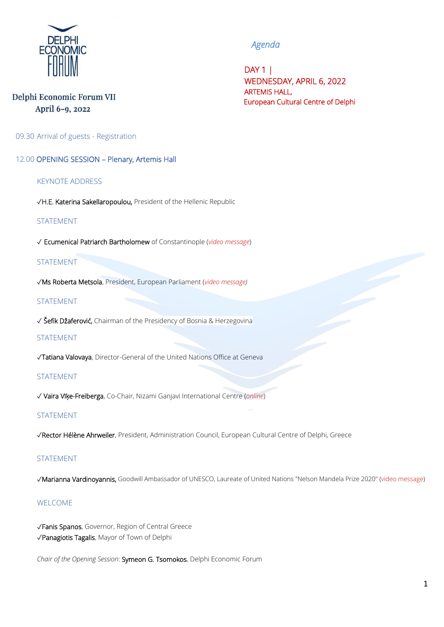

# *Agenda*

 DAY 1 | WEDNESDAY, APRIL 6, 2022 ARTEMIS HALL, European Cultural Centre of Delphi

### Delphi Economic Forum VII April 6-9, 2022

09.30 Arrival of guests - Registration

12.00 OPENING SESSION – Plenary, Artemis Hall

#### KEYNOTE ADDRESS

✓H.E. Katerina Sakellaropoulou, President of the Hellenic Republic

#### STATEMENT

✓ Ecumenical Patriarch Bartholomew of Constantinople (*video message*)

#### STATEMENT

✓Ms Roberta Metsola, President, European Parliament (*video message)*

#### STATEMENT

✓ Šefik Džaferović, Chairman of the Presidency of Bosnia & Herzegovina

#### **STATEMENT**

✓Tatiana Valovaya, Director-General of the United Nations Office at Geneva

#### STATEMENT

✓ Vaira Vīķe-Freiberga, Co-Chair, Nizami Ganjavi International Centre (*online*)

#### STATEMENT

✓Rector Hélène Ahrweiler, President, Administration Council, European Cultural Centre of Delphi, Greece

#### STATEMENT

✓Marianna Vardinoyannis, Goodwill Ambassador of UNESCO, Laureate of United Nations "Nelson Mandela Prize 2020" (video message)

#### WELCOME

✓Fanis Spanos, Governor, Region of Central Greece ✓Panagiotis Tagalis, Mayor of Town of Delphi

*Chair of the Opening Session*: Symeon G. Tsomokos, Delphi Economic Forum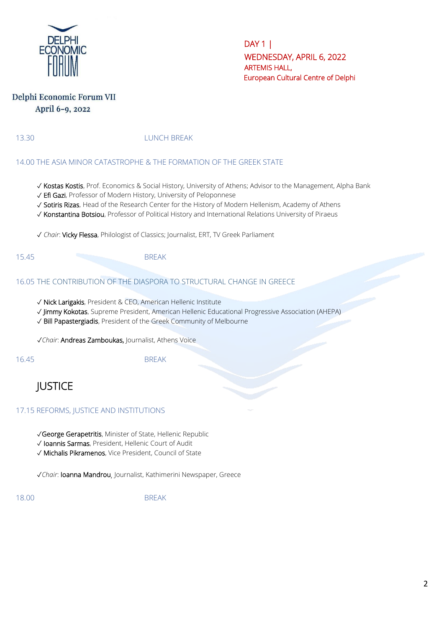

### Delphi Economic Forum VII April 6-9, 2022

13.30 LUNCH BREAK

#### 14.00 THE ASIA MINOR CATASTROPHE & THE FORMATION OF THE GREEK STATE

- ✓ Kostas Kostis, Prof. Economics & Social History, University of Athens; Advisor to the Management, Alpha Bank
- ✓ Efi Gazi, Professor of Modern History, University of Peloponnese
- ✓ Sotiris Rizas, Head of the Research Center for the History of Modern Hellenism, Academy of Athens
- ✓ Konstantina Botsiou, Professor of Political History and International Relations University of Piraeus
- ✓ *Chair*: Vicky Flessa, Philologist of Classics; Journalist, ERT, TV Greek Parliament
- 15.45 BREAK

#### 16.05 THE CONTRIBUTION OF THE DIASPORA TO STRUCTURAL CHANGE IN GREECE

- ✓ Nick Larigakis, President & CEO, American Hellenic Institute
- ✓ Jimmy Kokotas, Supreme President, American Hellenic Educational Progressive Association (AHEPA)
- ✓ Bill Papastergiadis, President of the Greek Community of Melbourne

✓*Chair*: Andreas Zamboukas, Journalist, Athens Voice

16.45 BREAK

# **JUSTICE**

#### 17.15 REFORMS, JUSTICE AND INSTITUTIONS

- ✓George Gerapetritis, Minister of State, Hellenic Republic
- ✓ Ioannis Sarmas, President, Hellenic Court of Audit
- ✓ Michalis Pikramenos, Vice President, Council of State

✓*Chair*: Ioanna Mandrou, Journalist, Kathimerini Newspaper, Greece

18.00 BREAK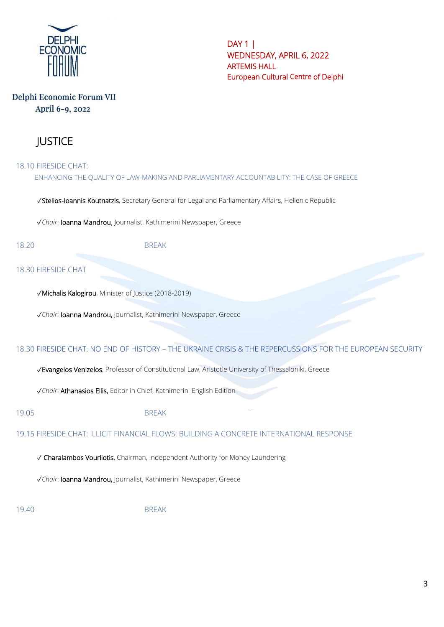

# Delphi Economic Forum VII April 6-9, 2022

# JUSTICE

18.10 FIRESIDE CHAT: ENHANCING THE QUALITY OF LAW-MAKING AND PARLIAMENTARY ACCOUNTABILITY: THE CASE OF GREECE

✓Stelios-Ioannis Koutnatzis, Secretary General for Legal and Parliamentary Affairs, Hellenic Republic

✓*Chair*: Ioanna Mandrou, Journalist, Kathimerini Newspaper, Greece

18.20 BREAK

#### 18.30 FIRESIDE CHAT

✓Michalis Kalogirou, Minister of Justice (2018-2019)

✓*Chair*: Ioanna Mandrou, Journalist, Kathimerini Newspaper, Greece

#### 18.30 FIRESIDE CHAT: NO END OF HISTORY – THE UKRAINE CRISIS & THE REPERCUSSIONS FOR THE EUROPEAN SECURITY

✓Evangelos Venizelos, Professor of Constitutional Law, Aristotle University of Thessaloniki, Greece

✓*Chair*: Athanasios Ellis, Editor in Chief, Kathimerini English Edition

#### 19.05 BREAK

19.15 FIRESIDE CHAT: ILLICIT FINANCIAL FLOWS: BUILDING A CONCRETE INTERNATIONAL RESPONSE

✓ Charalambos Vourliotis, Chairman, Independent Authority for Money Laundering

✓*Chair*: Ioanna Mandrou, Journalist, Kathimerini Newspaper, Greece

19.40 BREAK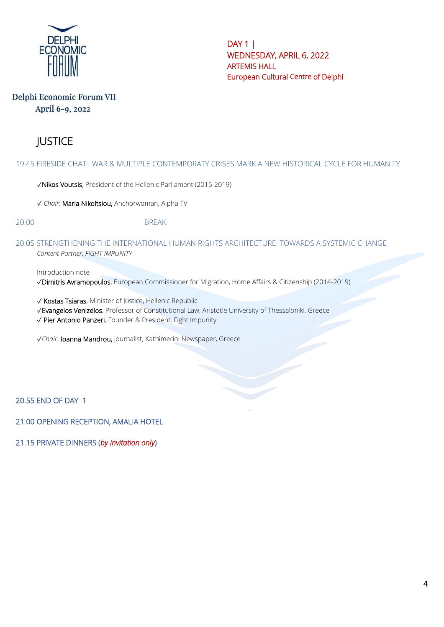

### Delphi Economic Forum VII April 6-9, 2022

# JUSTICE

19.45 FIRESIDE CHAT: WAR & MULTIPLE CONTEMPORATY CRISES MARK A NEW HISTORICAL CYCLE FOR HUMANITY

✓Nikos Voutsis, President of the Hellenic Parliament (2015-2019)

✓ *Chair*: Maria Nikoltsiou, Anchorwoman, Alpha TV

20.00 BREAK

20.05 STRENGTHENING THE INTERNATIONAL HUMAN RIGHTS ARCHITECTURE: TOWARDS A SYSTEMIC CHANGE *Content Partner: FIGHT IMPUNITY*

Introduction note

✓Dimitris Avramopoulos, European Commissioner for Migration, Home Affairs & Citizenship (2014-2019)

✓ Kostas Tsiaras, Minister of Justice, Hellenic Republic

✓Evangelos Venizelos, Professor of Constitutional Law, Aristotle University of Thessaloniki, Greece

✓ Pier Antonio Panzeri, Founder & President, Fight Impunity

✓*Chair*: Ioanna Mandrou, Journalist, Kathimerini Newspaper, Greece

20.55 END OF DAY 1

21.00 OPENING RECEPTION, AMALIA HOTEL

21.15 PRIVATE DINNERS (*by invitation only*)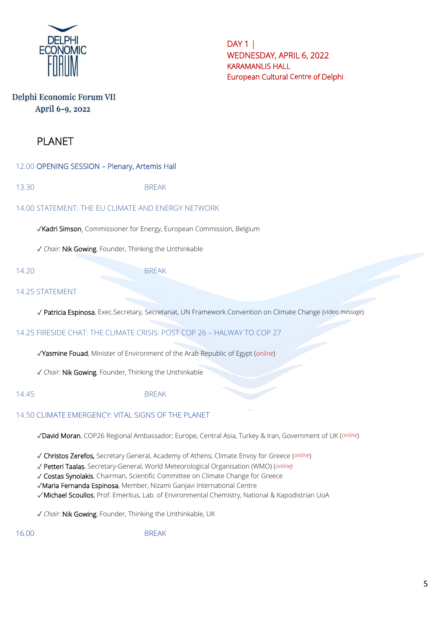

# Delphi Economic Forum VII April 6-9, 2022

# PLANET

12.00 OPENING SESSION – Plenary, Artemis Hall

13.30 BREAK

14.00 STATEMENT: THE EU CLIMATE AND ENERGY NETWORK

✓Kadri Simson, Commissioner for Energy, European Commission, Belgium

✓ *Chair:* Nik Gowing, Founder, Thinking the Unthinkable

14.20 BREAK

#### 14.25 STATEMENT

✓ Patricia Espinosa, Exec.Secretary, Secretariat, UN Framework Convention on Climate Change (video *message*)

14.25 FIRESIDE CHAT: THE CLIMATE CRISIS: POST COP 26 – HALWAY TO COP 27

✓Yasmine Fouad, Minister of Environment of the Arab Republic of Egypt (*online*)

✓ *Chair:* Nik Gowing, Founder, Thinking the Unthinkable

14.45 BREAK

# 14.50 CLIMATE EMERGENCY: VITAL SIGNS OF THE PLANET

✓David Moran, COP26 Regional Ambassador; Europe, Central Asia, Turkey & Iran, Government of UK (*online*)

✓ Christos Zerefos, Secretary General, Academy of Athens; Climate Envoy for Greece (*online*)

✓ Petteri Taalas, Secretary-General, World Meteorological Organisation (WMO) (*online)*

✓ Costas Synolakis, Chairman, Scientific Committee on Climate Change for Greece

✓Maria Fernanda Espinosa, Member, Nizami Ganjavi International Centre

✓ Michael Scoullos, Prof. Emeritus, Lab. of Environmental Chemistry, National & Kapodistrian UoA

✓ *Chair*: Nik Gowing, Founder, Thinking the Unthinkable, UK

16.00 BREAK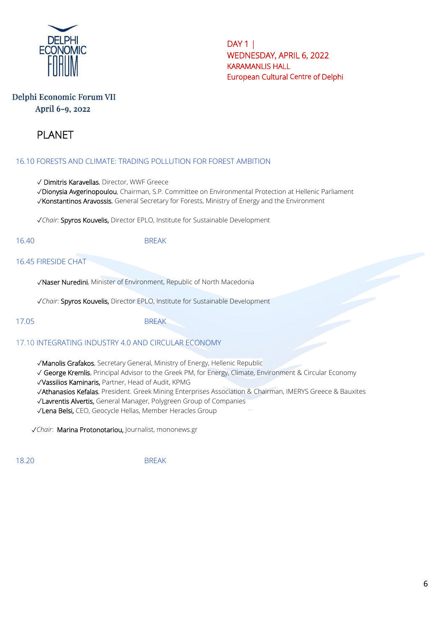

# Delphi Economic Forum VII April 6-9, 2022

# PLANET

### 16.10 FORESTS AND CLIMATE: TRADING POLLUTION FOR FOREST AMBITION

✓ Dimitris Karavellas, Director, WWF Greece

✓Dionysia Avgerinopoulou, Chairman, S.P. Committee on Environmental Protection at Hellenic Parliament ✓Konstantinos Aravossis, General Secretary for Forests, Ministry of Energy and the Environment

✓*Chair*: Spyros Kouvelis, Director EPLO, Institute for Sustainable Development

16.40 BREAK

16.45 FIRESIDE CHAT

✓Naser Nuredini, Minister of Environment, Republic of North Macedonia

✓*Chair*: Spyros Kouvelis, Director EPLO, Institute for Sustainable Development

17.05 BREAK

### 17.10 INTEGRATING INDUSTRY 4.0 AND CIRCULAR ECONOMY

✓Manolis Grafakos, Secretary General, Ministry of Energy, Hellenic Republic

✓ George Kremlis, Principal Advisor to the Greek PM, for Energy, Climate, Environment & Circular Economy

✓Vassilios Kaminaris, Partner, Head of Audit, KPMG

✓Athanasios Kefalas, President. Greek Mining Enterprises Association & Chairman, IMERYS Greece & Bauxites

✓Lavrentis Alvertis, General Manager, Polygreen Group of Companies

✓Lena Belsi, CEO, Geocycle Hellas, Member Heracles Group

✓*Chair*: Marina Protonotariou, Journalist, mononews.gr

18.20 BREAK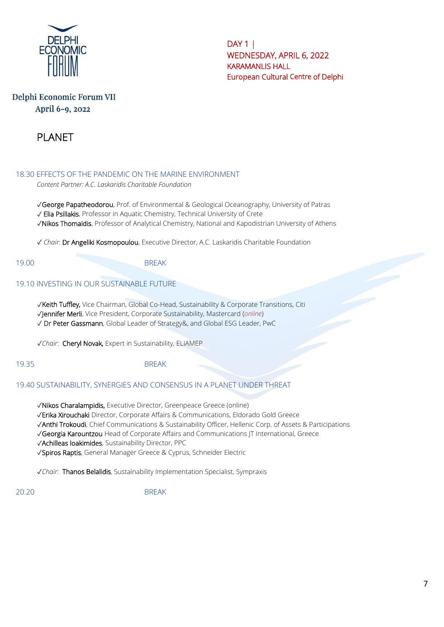

# Delphi Economic Forum VII April 6-9, 2022



#### 18.30 EFFECTS OF THE PANDEMIC ON THE MARINE ENVIRONMENT

*Content Partner: A.C. Laskaridis Charitable Foundation*

✓George Papatheodorou, Prof. of Environmental & Geological Oceanography, University of Patras ✓ Elia Psillakis, Professor in Aquatic Chemistry, Technical University of Crete ✓Nikos Thomaidis, Professor of Analytical Chemistry, National and Kapodistrian University of Athens

✓ *Chair*: Dr Angeliki Kosmopoulou, Executive Director, A.C. Laskaridis Charitable Foundation

19.00 BREAK

#### 19.10 INVESTING IN OUR SUSTAINABLE FUTURE

✓Keith Tuffley, Vice Chairman, Global Co-Head, Sustainability & Corporate Transitions, Citi ✓Jennifer Merli, Vice President, Corporate Sustainability, Mastercard (*online*) ✓ Dr Peter Gassmann, Global Leader of Strategy&, and Global ESG Leader, PwC

✓*Chair*: Cheryl Novak, Expert in Sustainability, ELIAMEP

19.35 BREAK

#### 19.40 SUSTAINABILITY, SYNERGIES AND CONSENSUS IN A PLANET UNDER THREAT

✓Nikos Charalampidis, Executive Director, Greenpeace Greece (online)

✓Erika Xirouchaki Director, Corporate Affairs & Communications, Eldorado Gold Greece

✓Anthi Trokoudi, Chief Communications & Sustainability Officer, Hellenic Corp. of Assets & Participations

✓Georgia Karountzou Head of Corporate Affairs and Communications JT International, Greece

✓Achilleas Ioakimides, Sustainability Director, PPC

✓Spiros Raptis, General Manager Greece & Cyprus, Schneider Electric

✓*Chair*: Thanos Belalidis, Sustainability Implementation Specialist, Sympraxis

20.20 BREAK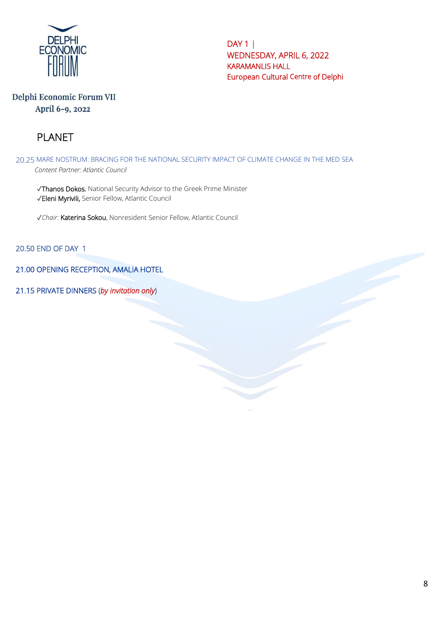

# Delphi Economic Forum VII April 6-9, 2022

# PLANET

20.25 MARE NOSTRUM: BRACING FOR THE NATIONAL SECURITY IMPACT OF CLIMATE CHANGE IN THE MED SEA *Content Partner: Atlantic Council*

✓Thanos Dokos, National Security Advisor to the Greek Prime Minister ✓Eleni Myrivili, Senior Fellow, Atlantic Council

✓*Chair*: Katerina Sokou, Nonresident Senior Fellow, Atlantic Council

20.50 END OF DAY 1

21.00 OPENING RECEPTION, AMALIA HOTEL

21.15 PRIVATE DINNERS (*by invitation only*)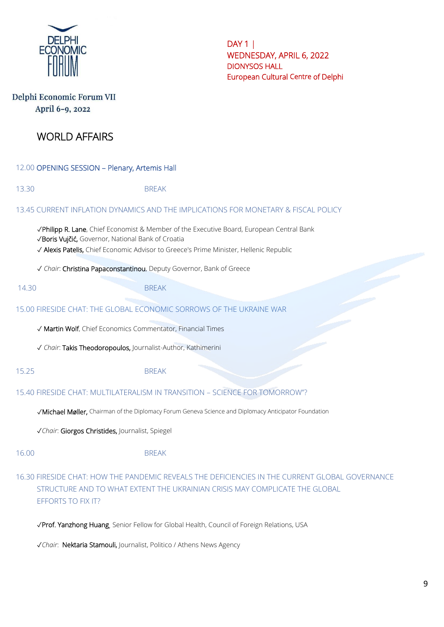

# Delphi Economic Forum VII April 6-9, 2022

# WORLD AFFAIRS

12.00 OPENING SESSION – Plenary, Artemis Hall

# 13.30 BREAK 13.45 CURRENT INFLATION DYNAMICS AND THE IMPLICATIONS FOR MONETARY & FISCAL POLICY ✓Philipp R. Lane, Chief Economist & Member of the Executive Board, European Central Bank ✓Boris Vujčić, Governor, National Bank of Croatia ✓ Alexis Patelis, Chief Economic Advisor to Greece's Prime Minister, Hellenic Republic ✓ *Chair*: Christina Papaconstantinou, Deputy Governor, Bank of Greece 14.30 BREAK 15.00 FIRESIDE CHAT: THE GLOBAL ECONOMIC SORROWS OF THE UKRAINE WAR ✓ Martin Wolf, Chief Economics Commentator, Financial Times ✓ *Chair*: Takis Theodoropoulos, Journalist-Author, Kathimerini 15.25 BREAK 15.40 FIRESIDE CHAT: MULTILATERALISM IN TRANSITION – SCIENCE FOR TOMORROW"? ✓Michael Møller, Chairman of the Diplomacy Forum Geneva Science and Diplomacy Anticipator Foundation ✓*Chair*: Giorgos Christides, Journalist, Spiegel 16.00 BREAK 16.30 FIRESIDE CHAT: HOW THE PANDEMIC REVEALS THE DEFICIENCIES IN THE CURRENT GLOBAL GOVERNANCE STRUCTURE AND TO WHAT EXTENT THE UKRAINIAN CRISIS MAY COMPLICATE THE GLOBAL EFFORTS TO FIX IT?

✓Prof. Yanzhong Huang, Senior Fellow for Global Health, Council of Foreign Relations, USA

✓*Chair*: Nektaria Stamouli, Journalist, Politico / Athens News Agency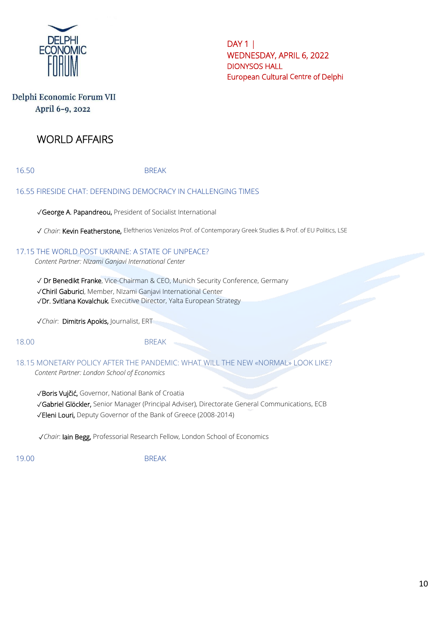

# Delphi Economic Forum VII April 6-9, 2022

# WORLD AFFAIRS

16.50 BREAK

### 16.55 FIRESIDE CHAT: DEFENDING DEMOCRACY IN CHALLENGING TIMES

✓George A. Papandreou, President of Socialist International

✓ *Chair*: Kevin Featherstone, Eleftherios Venizelos Prof. of Contemporary Greek Studies & Prof. of EU Politics, LSE

#### 17.15 THE WORLD POST UKRAINE: A STATE OF UNPEACE?

*Content Partner: NIzami Ganjavi International Center*

✓ Dr Benedikt Franke, Vice-Chairman & CEO, Munich Security Conference, Germany

✓Chiril Gaburici, Member, NIzami Ganjavi International Center

✓Dr. Svitlana Kovalchuk, Executive Director, Yalta European Strategy

✓*Chair*: Dimitris Apokis, Journalist, ERT

18.00 BREAK

18.15 MONETARY POLICY AFTER THE PANDEMIC: WHAT WILL THE NEW «NORMAL» LOOK LIKE? *Content Partner: London School of Economics*

✓Boris Vujčić, Governor, National Bank of Croatia

✓Gabriel Glöckler, Senior Manager (Principal Adviser), Directorate General Communications, ECB

✓Eleni Louri, Deputy Governor of the Bank of Greece (2008-2014)

✓*Chair*: Iain Begg, Professorial Research Fellow, London School of Economics

19.00 BREAK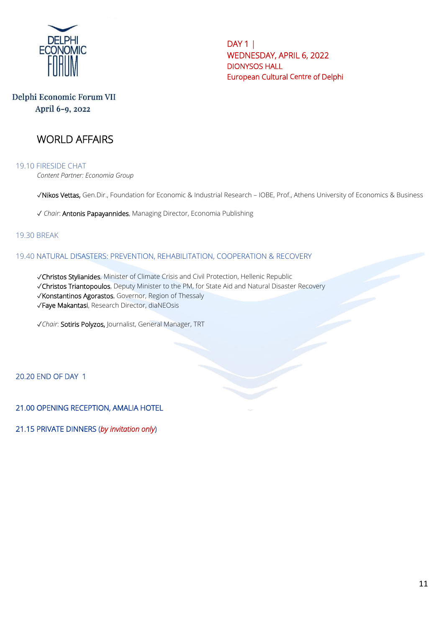

# Delphi Economic Forum VII April 6-9, 2022

# WORLD AFFAIRS

19.10 FIRESIDE CHAT *Content Partner: Economia Group*

✓Nikos Vettas, Gen.Dir., Foundation for Economic & Industrial Research – IOBE, Prof., Athens University of Economics & Business

✓ *Chair*: Antonis Papayannides, Managing Director, Economia Publishing

#### 19.30 BREAK

#### 19.40 NATURAL DISASTERS: PREVENTION, REHABILITATION, COOPERATION & RECOVERY

✓Christos Stylianides, Minister of Climate Crisis and Civil Protection, Hellenic Republic

✓Christos Triantopoulos, Deputy Minister to the PM, for State Aid and Natural Disaster Recovery

✓Konstantinos Agorastos, Governor, Region of Thessaly

✓Faye Makantasi, Research Director, diaNEOsis

✓*Chair*: Sotiris Polyzos, Journalist, General Manager, TRT

20.20 END OF DAY 1

21.00 OPENING RECEPTION, AMALIA HOTEL

21.15 PRIVATE DINNERS (*by invitation only*)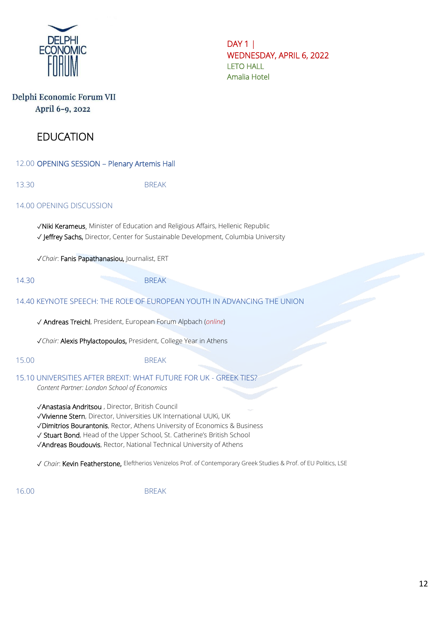

DAY 1 | WEDNESDAY, APRIL 6, 2022 LETO HALL Amalia Hotel

### Delphi Economic Forum VII April 6-9, 2022

# EDUCATION

12.00 OPENING SESSION – Plenary Artemis Hall

13.30 BREAK

#### 14.00 OPENING DISCUSSION

✓Niki Kerameus, Minister of Education and Religious Affairs, Hellenic Republic ✓ Jeffrey Sachs, Director, Center for Sustainable Development, Columbia University

✓*Chair*: Fanis Papathanasiou, Journalist, ERT

14.30 BREAK

### 14.40 KEYNOTE SPEECH: THE ROLE OF EUROPEAN YOUTH IN ADVANCING THE UNION

✓ Andreas Treichl, President, European Forum Alpbach (*online*)

✓*Chair:* Alexis Phylactopoulos, President, College Year in Athens

### 15.00 BREAK

15.10 UNIVERSITIES AFTER BREXIT: WHAT FUTURE FOR UK - GREEK TIES?

*Content Partner: London School of Economics*

✓Anastasia Andritsou , Director, British Council

✓Vivienne Stern, Director, Universities UK International UUKi, UK

✓Dimitrios Bourantonis, Rector, Athens University of Economics & Business

✓ Stuart Bond, Head of the Upper School, St. Catherine's British School

✓Andreas Boudouvis, Rector, National Technical University of Athens

✓ *Chair*: Kevin Featherstone, Eleftherios Venizelos Prof. of Contemporary Greek Studies & Prof. of EU Politics, LSE

16.00 BREAK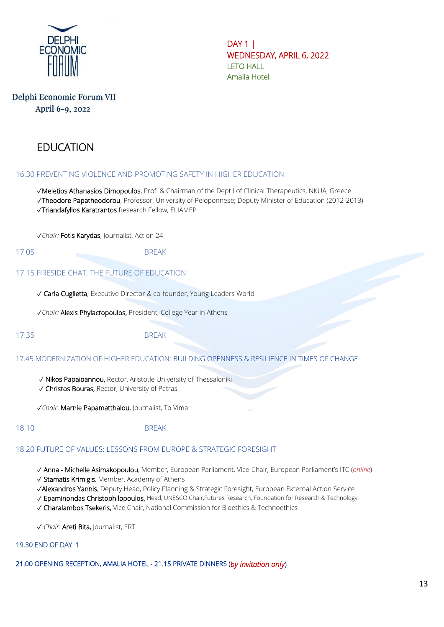

DAY 1 | WEDNESDAY, APRIL 6, 2022 LETO HALL Amalia Hotel

### Delphi Economic Forum VII April 6-9, 2022

# EDUCATION

#### 16.30 PREVENTING VIOLENCE AND PROMOTING SAFETY IN HIGHER EDUCATION

✓Meletios Athanasios Dimopoulos, Prof. & Chairman of the Dept l of Clinical Therapeutics, NKUA, Greece ✓Theodore Papatheodorou, Professor, University of Peloponnese; Deputy Minister of Education (2012-2013) ✓Triandafyllos Karatrantos Research Fellow, ELIAMEP

✓*Chair:* Fotis Karydas, Journalist, Action 24

17.05 BREAK

#### 17.15 FIRESIDE CHAT: THE FUTURE OF EDUCATION

✓ Carla Cuglietta, Executive Director & co-founder, Young Leaders World

✓*Chair:* Alexis Phylactopoulos, President, College Year in Athens

#### 17.35 BREAK

17.45 MODERNIZATION OF HIGHER EDUCATION: BUILDING OPENNESS & RESILIENCE IN TIMES OF CHANGE

✓ Nikos Papaioannou, Rector, Aristotle University of Thessaloniki

✓ Christos Bouras, Rector, University of Patras

✓*Chair*: Marnie Papamatthaiou, Journalist, To Vima

#### 18.10 BREAK

#### 18.20 FUTURE OF VALUES: LESSONS FROM EUROPE & STRATEGIC FORESIGHT

✓ Anna - Michelle Asimakopoulou, Member, European Parliament, Vice-Chair, European Parliament's ITC (*online*)

✓ Stamatis Krimigis, Member, Academy of Athens

✓Alexandros Yannis, Deputy Head, Policy Planning & Strategic Foresight, European External Action Service

✓ Epaminondas Christophilopoulos, Head, UNESCO Chair,Futures Research, Foundation for Research & Technology

✓ Charalambos Tsekeris, Vice Chair, National Commission for Bioethics & Technoethics

✓ *Chair*: Areti Bita, Journalist, ERT

#### 19.30 END OF DAY 1

21.00 OPENING RECEPTION, AMALIA HOTEL - 21.15 PRIVATE DINNERS (*by invitation only*)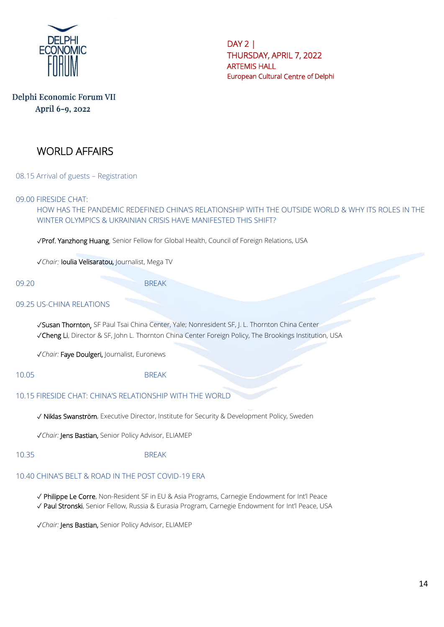

# Delphi Economic Forum VII April 6-9, 2022

# WORLD AFFAIRS

08.15 Arrival of guests – Registration

09.00 FIRESIDE CHAT:

HOW HAS THE PANDEMIC REDEFINED CHINA'S RELATIONSHIP WITH THE OUTSIDE WORLD & WHY ITS ROLES IN THE WINTER OLYMPICS & UKRAINIAN CRISIS HAVE MANIFESTED THIS SHIFT?

✓Prof. Yanzhong Huang, Senior Fellow for Global Health, Council of Foreign Relations, USA

✓*Chair:* Ioulia Velisaratou, Journalist, Mega TV

09.20 BREAK

#### 09.25 US-CHINA RELATIONS

✓Susan Thornton, SF Paul Tsai China Center, Yale; Nonresident SF, [J. L. Thornton China Center](https://www.brookings.edu/center/john-l-thornton-china-center/) ✓Cheng Li, Director & SF, John L. Thornton China Center Foreign Policy, The Brookings Institution, USA

✓*Chair:* Faye Doulgeri, Journalist, Euronews

10.05 BREAK

#### 10.15 FIRESIDE CHAT: CHINA'S RELATIONSHIP WITH THE WORLD

✓ Niklas Swanström, Executive Director, Institute for Security & Development Policy, Sweden

✓*Chair:* Jens Bastian, Senior Policy Advisor, ELIAMEP

#### 10.35 BREAK

#### 10.40 CHINA'S BELT & ROAD IN THE POST COVID-19 ERA

✓ Philippe Le Corre, Non-Resident SF in EU & Asia Programs, Carnegie Endowment for Int'l Peace

✓ Paul Stronski, Senior Fellow, Russia & Eurasia Program, Carnegie Endowment for Int'l Peace, USA

✓*Chair:* Jens Bastian, Senior Policy Advisor, ELIAMEP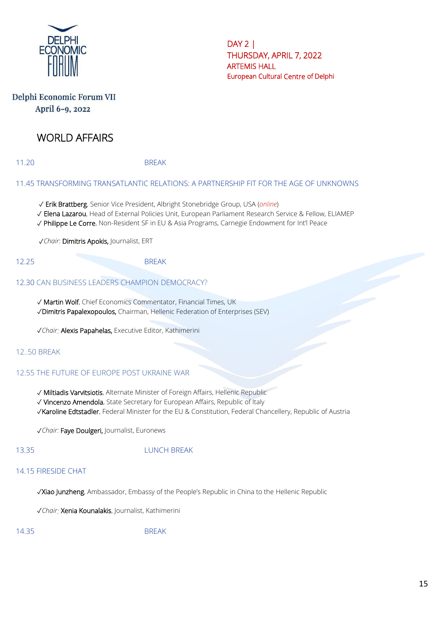

### Delphi Economic Forum VII April 6-9, 2022

# WORLD AFFAIRS

11.20 BREAK

#### 11.45 TRANSFORMING TRANSATLANTIC RELATIONS: A PARTNERSHIP FIT FOR THE AGE OF UNKNOWNS

- ✓ Erik Brattberg, Senior Vice President, Albright Stonebridge Group, USA (*online*)
- ✓ Elena Lazarou, Head of External Policies Unit, European Parliament Research Service & Fellow, ELIAMEP
- ✓ Philippe Le Corre, Non-Resident SF in EU & Asia Programs, Carnegie Endowment for Int'l Peace

✓*Chair*: Dimitris Apokis, Journalist, ERT

#### 12.25 BREAK

#### 12.30 CAN BUSINESS LEADERS CHAMPION DEMOCRACY?

✓ Martin Wolf, Chief Economics Commentator, Financial Times, UK ✓Dimitris Papalexopoulos, Chairman, Hellenic Federation of Enterprises (SEV)

✓*Chair:* Alexis Papahelas, Executive Editor, Kathimerini

#### 12..50 BREAK

#### 12.55 THE FUTURE OF EUROPE POST UKRAINE WAR

✓ Miltiadis Varvitsiotis, Alternate Minister of Foreign Affairs, Hellenic Republic

✓ Vincenzo Amendola, State Secretary for European Affairs, Republic of Italy

✓Karoline Edtstadler, Federal Minister for the EU & Constitution, Federal Chancellery, Republic of Austria

✓*Chair:* Faye Doulgeri, Journalist, Euronews

#### 13.35 LUNCH BREAK

### 14.15 FIRESIDE CHAT

✓Xiao Junzheng, Ambassador, Embassy of the People's Republic in China to the Hellenic Republic

✓*Chair:* Xenia Kounalakis, Journalist, Kathimerini

14.35 BREAK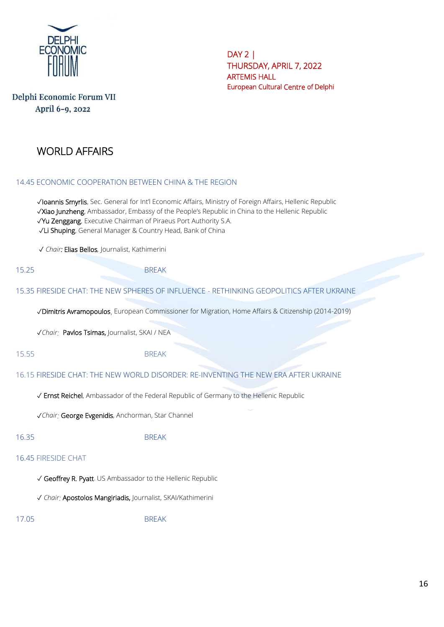

# Delphi Economic Forum VII April 6-9, 2022

# WORLD AFFAIRS

#### 14.45 ECONOMIC COOPERATION BETWEEN CHINA & THE REGION

✓Ioannis Smyrlis, Sec. General for Int'l Economic Affairs, Ministry of Foreign Affairs, Hellenic Republic ✓Xiao Junzheng, Ambassador, Embassy of the People's Republic in China to the Hellenic Republic ✓Yu Zenggang, Executive Chairman of Piraeus Port Authority S.A. ✓Li Shuping, General Manager & Country Head, Bank of China

✓ *Chair:* Elias Bellos*,* Journalist, Kathimerini

15.25 BREAK

#### 15.35 FIRESIDE CHAT: THE NEW SPHERES OF INFLUENCE - RETHINKING GEOPOLITICS AFTER UKRAINE

✓Dimitris Avramopoulos, European Commissioner for Migration, Home Affairs & Citizenship (2014-2019)

✓*Chair:* Pavlos Tsimas, Journalist, SKAI / NEA

15.55 BREAK

16.15 FIRESIDE CHAT: THE NEW WORLD DISORDER: RE-INVENTING THE NEW ERA AFTER UKRAINE

✓ Ernst Reichel, Ambassador of the Federal Republic of Germany to the Hellenic Republic

✓*Chair:* George Evgenidis, Anchorman, Star Channel

#### 16.35 BREAK

#### 16.45 FIRESIDE CHAT

✓ Geoffrey R. Pyatt. US Ambassador to the Hellenic Republic

✓ *Chair:* Apostolos Mangiriadis, Journalist, SKAI/Kathimerini

17.05 BREAK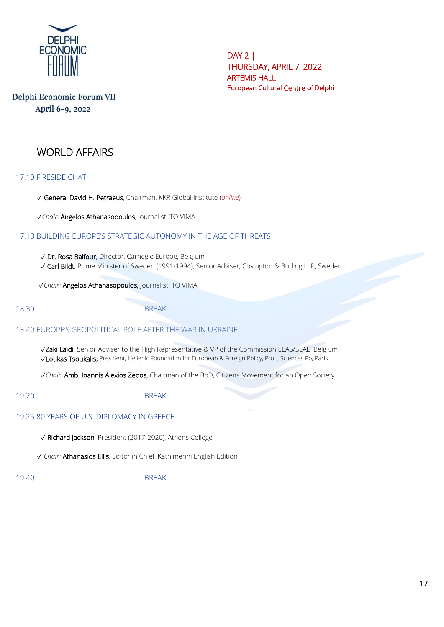

# Delphi Economic Forum VII April 6-9, 2022

# WORLD AFFAIRS

17.10 FIRESIDE CHAT

✓ General David H. Petraeus, Chairman, KKR Global Institute (*online*)

✓*Chair*: Angelos Athanasopoulos, Journalist, TO VIMA

### 17.10 BUILDING EUROPE'S STRATEGIC AUTONOMY IN THE AGE OF THREATS

 ✓ Dr. Rosa Balfour, Director, Carnegie Europe, Belgium ✓ Carl Bildt, Prime Minister of Sweden (1991-1994); Senior Adviser, Covington & Burling LLP, Sweden

✓*Chair:* Angelos Athanasopoulos, Journalist, TO VIMA

18.30 BREAK

#### 18.40 EUROPE'S GEOPOLITICAL ROLE AFTER THE WAR IN UKRAINE

 ✓Zaki Laïdi, Senior Adviser to the High Representative & VP of the Commission EEAS/SEAE, Belgium ✓Loukas Tsoukalis, President, Hellenic Foundation for European & Foreign Policy, Prof., Sciences Po, Paris

✓*Chair*: Amb. Ioannis Alexios Zepos, Chairman of the BoD, Citizens Movement for an Open Society

19.20 BREAK

#### 19.25 80 YEARS OF U.S. DIPLOMACY IN GREECE

✓ Richard Jackson, President (2017-2020), Athens College

✓ *Chair:* Athanasios Ellis, Editor in Chief, Kathimerini English Edition

19.40 BREAK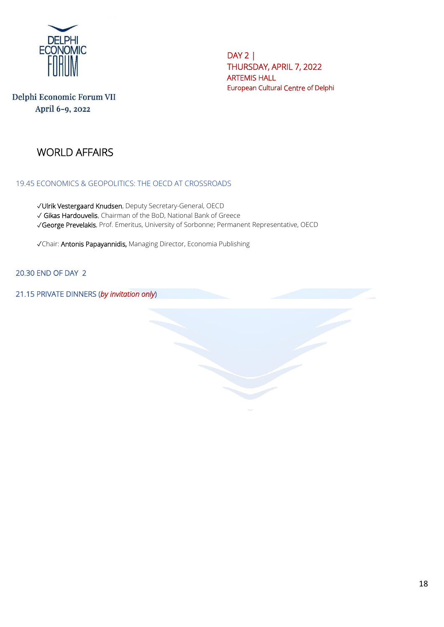

# Delphi Economic Forum VII April 6-9, 2022

# WORLD AFFAIRS

### 19.45 ECONOMICS & GEOPOLITICS: THE OECD AT CROSSROADS

✓Ulrik Vestergaard Knudsen, Deputy Secretary-General, OECD

✓ Gikas Hardouvelis, Chairman of the BoD, National Bank of Greece

✓George Prevelakis, Prof. Emeritus, University of Sorbonne; Permanent Representative, OECD

✓Chair: Antonis Papayannidis, Managing Director, Economia Publishing

### 20.30 END OF DAY 2

21.15 PRIVATE DINNERS (*by invitation only*)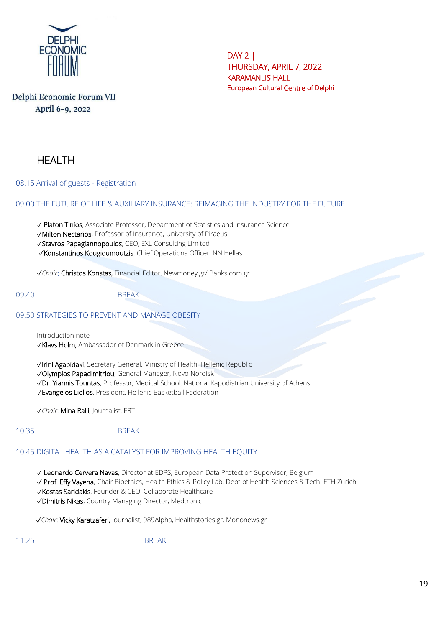

# Delphi Economic Forum VII April 6-9, 2022

# **HFALTH**

08.15 Arrival of guests - Registration

09.00 THE FUTURE OF LIFE & AUXILIARY INSURANCE: REIMAGING THE INDUSTRY FOR THE FUTURE

✓ Platon Tinios, Associate Professor, Department of Statistics and Insurance Science

✓Milton Nectarios, Professor of Insurance, University of Piraeus

✓Stavros Papagiannopoulos, CEO, EXL Consulting Limited

✓Konstantinos Kougioumoutzis, Chief Operations Officer, NN Hellas

✓*Chair*: Christos Konstas, Financial Editor, Newmoney.gr/ Banks.com.gr

09.40 BREAK

#### 09.50 STRATEGIES TO PREVENT AND MANAGE OBESIT[Y](https://www.cdc.gov/obesity/strategies/index.html)

Introduction note ✓Klavs Holm, Ambassador of Denmark in Greece

✓Irini Agapidaki, Secretary General, Ministry of Health, Hellenic Republic

✓Olympios Papadimitriou, General Manager, Novo Nordisk

✓Dr. Yiannis Tountas, Professor, Medical School, National Kapodistrian University of Athens

✓Evangelos Liolios, President, Hellenic Basketball Federation

✓*Chair*: Mina Ralli, Journalist, ERT

10.35 BREAK

# 10.45 DIGITAL HEALTH AS A CATALYST FOR IMPROVING HEALTH EQUITY

✓ Leonardo Cervera Navas, Director at EDPS, European Data Protection Supervisor, Belgium

✓ Prof. Effy Vayena, Chair Bioethics, Health Ethics & Policy Lab, Dept of Health Sciences & Tech. ETH Zurich

✓Kostas Saridakis, Founder & CEO, Collaborate Healthcare

✓Dimitris Nikas, Country Managing Director, Medtronic

✓*Chair*: Vicky Karatzaferi, Journalist, 989Alpha, Healthstories.gr, Mononews.gr

11.25 BREAK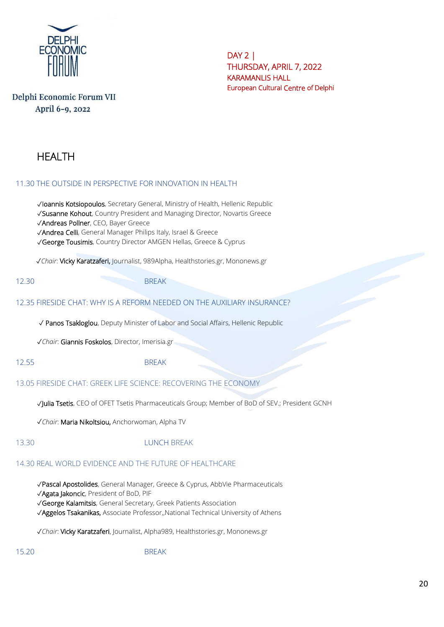

# Delphi Economic Forum VII April 6-9, 2022

# HEALTH

### 11.30 THE OUTSIDE IN PERSPECTIVE FOR INNOVATION IN HEALTH

✓Ioannis Kotsiopoulos, Secretary General, Ministry of Health, Hellenic Republic ✓Susanne Kohout, Country President and Managing Director, Novartis Greece

✓Andreas Pollner, CEO, Bayer Greece

✓Andrea Celli, General Manager Philips Italy, Israel & Greece

✓George Tousimis, Country Director AMGEN Hellas, Greece & Cyprus

✓*Chair*: Vicky Karatzaferi, Journalist, 989Alpha, Healthstories.gr, Mononews.gr

12.30 BREAK

### 12.35 FIRESIDE CHAT: WHY IS A REFORM NEEDED ON THE AUXILIARY INSURANCE?

✓ Panos Tsakloglou, Deputy Minister of Labor and Social Affairs, Hellenic Republic

✓*Chair*: Giannis Foskolos, Director, Imerisia.gr

12.55 BREAK

### 13.05 FIRESIDE CHAT: GREEK LIFE SCIENCE: RECOVERING THE ECONOMY

✓Julia Tsetis, CEO of OFET Tsetis Pharmaceuticals Group; Member of BoD of SEV.; President GCNH

✓*Chair*: Maria Nikoltsiou, Anchorwoman, Alpha TV

### 13.30 LUNCH BREAK

### 14.30 REAL WORLD EVIDENCE AND THE FUTURE OF HEALTHCARE

✓Pascal Apostolides, General Manager, Greece & Cyprus, AbbVie Pharmaceuticals

✓Agata Jakoncic, President of BoD, PIF

✓George Kalamitsis, General Secretary, Greek Patients Association

✓Aggelos Tsakanikas, Associate Professor,,National Technical University of Athens

✓*Chair*: Vicky Karatzaferi, Journalist, Alpha989, Healthstories.gr, Mononews.gr

15.20 BREAK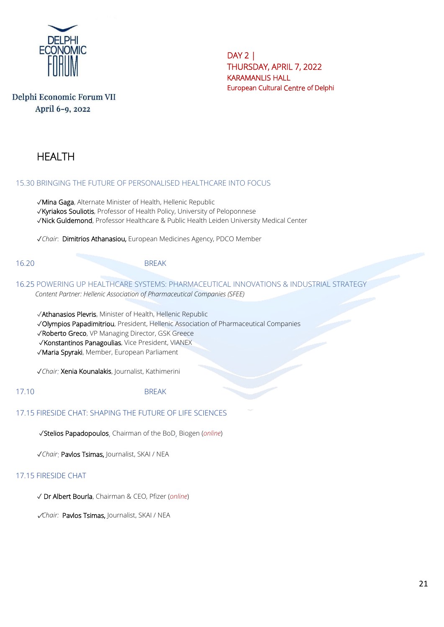

# Delphi Economic Forum VII April 6-9, 2022

# HEALTH

#### 15.30 BRINGING THE FUTURE OF PERSONALISED HEALTHCARE INTO FOCUS

✓Mina Gaga, Alternate Minister of Health, Hellenic Republic

✓Kyriakos Souliotis, Professor of Health Policy, University of Peloponnese

✓Nick Guldemond, Professor Healthcare & Public Health Leiden University Medical Center

✓*Chair*: Dimitrios Athanasiou, European Medicines Agency, PDCO Member

#### 16.20 BREAK

16.25 POWERING UP HEALTHCARE SYSTEMS: PHARMACEUTICAL INNOVATIONS & INDUSTRIAL STRATEGY  *Content Partner: Hellenic Association of Pharmaceutical Companies (SFEE)* 

✓Athanasios Plevris, Minister of Health, Hellenic Republic

✓Olympios Papadimitriou, President, Hellenic Association of Pharmaceutical Companies

✓Roberto Greco, VP Managing Director, GSK Greece

✓Konstantinos Panagoulias, Vice President, VIANEX

✓Maria Spyraki, Member, European Parliament

✓*Chair:* Xenia Kounalakis, Journalist, Kathimerini

17.10 BRFAK

### 17.15 FIRESIDE CHAT: SHAPING THE FUTURE OF LIFE SCIENCES

✓Stelios Papadopoulos, Chairman of the BoD, Biogen (*online*)

✓*Chair*: Pavlos Tsimas, Journalist, SKAI / NEA

#### 17.15 FIRESIDE CHAT

✓ Dr Albert Bourla, Chairman & CEO, Pfizer (*online*)

✓*Chair:* Pavlos Tsimas, Journalist, SKAI / NEA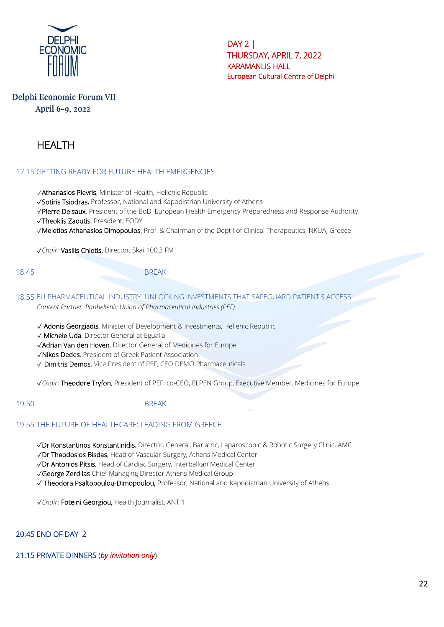

# Delphi Economic Forum VII April 6-9, 2022

# HEALTH

### 17.15 GETTING READY FOR FUTURE HEALTH EMERGENCIES

✓Athanasios Plevris, Minister of Health, Hellenic Republic

✓Sotiris Tsiodras, Professor, National and Kapodistrian University of Athens

✓Pierre Delsaux, President of the BoD, European Health Emergency Preparedness and Response Authority

✓Theoklis Zaoutis, President, EODY

✓Meletios Athanasios Dimopoulos, Prof. & Chairman of the Dept l of Clinical Therapeutics, NKUA, Greece

✓*Chair*: Vasilis Chiotis, Director, Skai 100,3 FM

18.45 BREAK

18.55 EU PHARMACEUTICAL INDUSTRY: UNLOCKING INVESTMENTS THAT SAFEGUARD PATIENT'S ACCESS *Content Partner: Panhellenic Union of Pharmaceutical Industries (PEF)*

✓ Adonis Georgiadis, Minister of Development & Investments, Hellenic Republic

✓ Michele Uda, Director General at Egualia

✓Adrian Van den Hoven, Director General of Medicines for Europe

✓Nikos Dedes, President of Greek Patient Association

√ **Dimitris Demos,** Vice President of PEF, CEO DEMO Pharmaceuticals

✓*Chair*: Theodore Tryfon, President of PEF, co-CEO, ELPEN Group, Executive Member, Medicines for Europe

19.50 BREAK

#### 19.55 THE FUTURE OF HEALTHCARE: LEADING FROM GREECE

✓Dr Konstantinos Konstantinidis, Director, General, Bariatric, Laparoscopic & Robotic Surgery Clinic, AMC

✓Dr Theodosios Bisdas, Head of Vascular Surgery, Athens Medical Center

✓Dr Antonios Pitsis, Head of Cardiac Surgery, Interbalkan Medical Center

✓George Zerdilas Chief Managing Director Athens Medical Group

✓ Theodora Psaltopoulou-Dimopoulou, Professor, National and Kapodistrian University of Athens

✓*Chair*: Foteini Georgiou, Health Journalist, ANT 1

#### 20.45 END OF DAY 2

#### 21.15 PRIVATE DINNERS (*by invitation only*)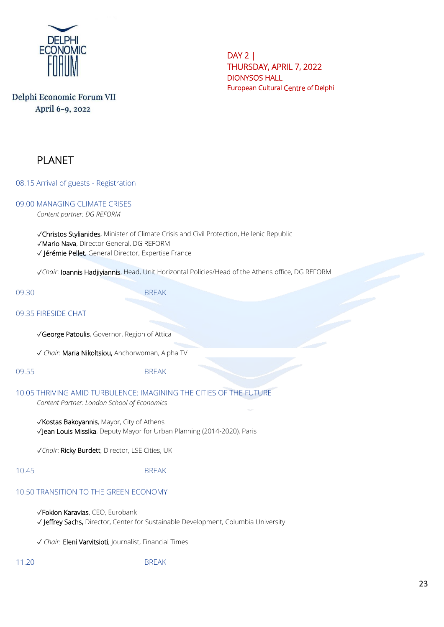

# Delphi Economic Forum VII April 6-9, 2022

# PLANET

08.15 Arrival of guests - Registration

# 09.00 MANAGING CLIMATE CRISES

*Content partner: DG REFORM*

✓Christos Stylianides, Minister of Climate Crisis and Civil Protection, Hellenic Republic ✓Mario Nava, Director General, DG REFORM

✓ Jérémie Pellet, General Director, Expertise France

✓*Chair*: Ioannis Hadjiyiannis, Head, Unit Horizontal Policies/Head of the Athens office, DG REFORM

09.30 BREAK

09.35 FIRESIDE CHAT

✓George Patoulis, Governor, Region of Attica

✓ *Chair*: Maria Nikoltsiou, Anchorwoman, Alpha TV

09.55 BREAK

# 10.05 THRIVING AMID TURBULENCE: IMAGINING THE CITIES OF THE FUTURE

*Content Partner: London School of Economics*

✓Kostas Bakoyannis, Mayor, City of Athens ✓Jean Louis Missika, Deputy Mayor for Urban Planning (2014-2020), Paris

✓*Chair*: Ricky Burdett, Director, LSE Cities, UK

#### 10.45 BREAK

### 10.50 TRANSITION TO THE GREEN ECONOMY

✓Fokion Karavias, CEO, Eurobank ✓ Jeffrey Sachs, Director, Center for Sustainable Development, Columbia University

✓ *Chair*: Eleni Varvitsioti, Journalist, Financial Times

11.20 BREAK

23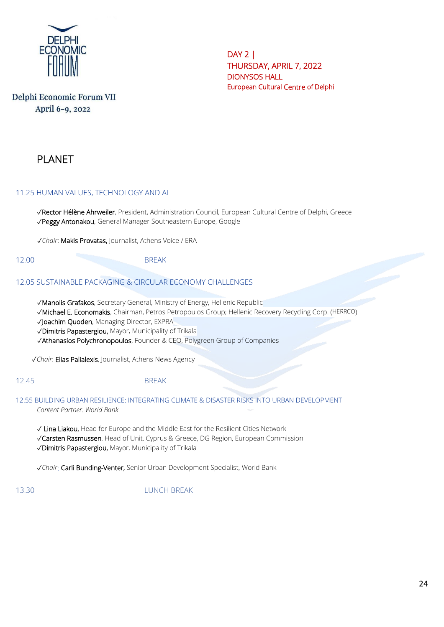

# Delphi Economic Forum VII April 6-9, 2022

# PLANET

### 11.25 HUMAN VALUES, TECHNOLOGY AND AI

✓Rector Hélène Ahrweiler, President, Administration Council, European Cultural Centre of Delphi, Greece ✓Peggy Antonakou, General Manager Southeastern Europe, Google

✓*Chair*: Makis Provatas, Journalist, Athens Voice / ERA

#### 12.00 BREAK

### 12.05 SUSTAINABLE PACKAGING & CIRCULAR ECONOMY CHALLENGES

✓Manolis Grafakos, Secretary General, Ministry of Energy, Hellenic Republic

✓Michael E. Economakis, Chairman, Petros Petropoulos Group; Hellenic Recovery Recycling Corp. (HERRCO)

✓Joachim Quoden, Managing Director, EXPRA

✓Dimitris Papastergiou, Mayor, Municipality of Trikala

✓Athanasios Polychronopoulos, Founder & CEO, Polygreen Group of Companies

✓*Chair*: Elias Palialexis, Journalist, Athens News Agency

### 12.45 BREAK

12.55 BUILDING URBAN RESILIENCE: INTEGRATING CLIMATE & DISASTER RISKS INTO URBAN DEVELOPMENT *Content Partner: World Bank*

✓ Lina Liakou, Head for Europe and the Middle East for the Resilient Cities Network ✓Carsten Rasmussen, Head of Unit, Cyprus & Greece, DG Region, European Commission ✓Dimitris Papastergiou, Mayor, Municipality of Trikala

✓*Chair*: Carli Bunding-Venter, Senior Urban Development Specialist, World Bank

13.30 LUNCH BREAK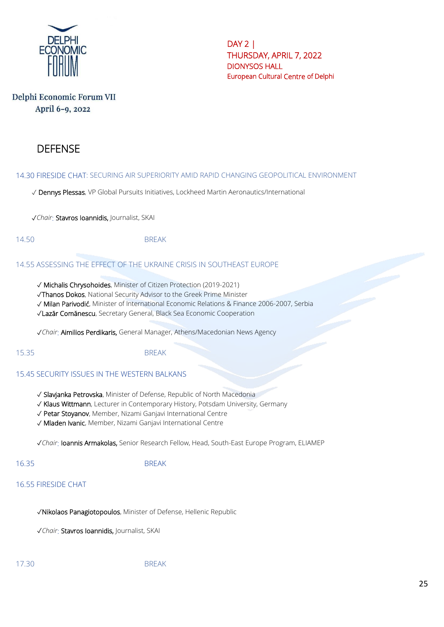

# Delphi Economic Forum VII April 6-9, 2022

# **DEFENSE**

14.30 FIRESIDE CHAT: SECURING AIR SUPERIORITY AMID RAPID CHANGING GEOPOLITICAL ENVIRONMENT

✓ Dennys Plessas, VP Global Pursuits Initiatives, Lockheed Martin Aeronautics/International

✓*Chair*: Stavros Ioannidis, Journalist, SKAI

14.50 BREAK

#### 14.55 ASSESSING THE EFFECT OF THE UKRAINE CRISIS IN SOUTHEAST EUROPE

✓ Michalis Chrysohoides, Minister of Citizen Protection (2019-2021)

✓Thanos Dokos, National Security Advisor to the Greek Prime Minister

✓ Milan Parivodić, Minister of International Economic Relations & Finance 2006-2007, Serbia

✓Lazăr Comănescu, Secretary General, Black Sea Economic Cooperation

✓*Chair*: Aimilios Perdikaris, General Manager, Athens/Macedonian News Agency

15.35 BREAK

#### 15.45 SECURITY ISSUES IN THE WESTERN BALKANS

- ✓ Slavjanka Petrovska, Minister of Defense, Republic of North Macedonia
- ✓ Klaus Wittmann, Lecturer in Contemporary History, Potsdam University, Germany
- ✓ Petar Stoyanov, Member, Nizami Ganjavi International Centre
- ✓ Mladen Ivanic, Member, Nizami Ganjavi International Centre

✓*Chair*: Ioannis Armakolas, Senior Research Fellow, Head, South-East Europe Program, ELIAMEP

#### 16.35 BREAK

#### 16.55 FIRESIDE CHAT

✓Nikolaos Panagiotopoulos, Minister of Defense, Hellenic Republic

✓*Chair*: Stavros Ioannidis, Journalist, SKAI

17.30 BREAK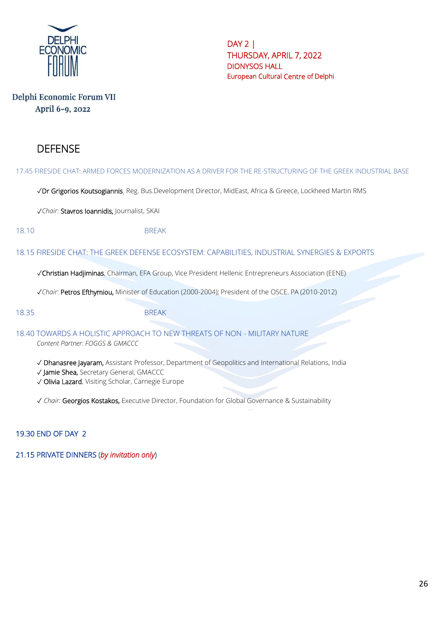

# Delphi Economic Forum VII April 6-9, 2022

# DEFENSE

#### 17.45 FIRESIDE CHAT: ARMED FORCES MODERNIZATION AS A DRIVER FOR THE RE-STRUCTURING OF THE GREEK INDUSTRIAL BASE

✓Dr Grigorios Koutsogiannis, Reg. Bus.Development Director, MidEast, Africa & Greece, Lockheed Martin RMS

✓*Chair*: Stavros Ioannidis, Journalist, SKAI

#### 18.10 BREAK

#### 18.15 FIRESIDE CHAT: THE GREEK DEFENSE ECOSYSTEM: CAPABILITIES, INDUSTRIAL SYNERGIES & EXPORTS

✓Christian Hadjiminas, Chairman, EFA Group, Vice President Hellenic Entrepreneurs Association (EENE)

✓*Chair*: Petros Efthymiou, Minister of Education (2000-2004); President of the OSCE. PA (2010-2012)

18.35 BREAK

18.40 TOWARDS A HOLISTIC APPROACH TO NEW THREATS OF NON - MILITARY NATURE

*Content Partner: FOGGS & GMACCC*

- ✓ Dhanasree Jayaram, Assistant Professor, Department of Geopolitics and International Relations, India
- ✓ Jamie Shea, Secretary General, GMACCC
- ✓ Olivia Lazard, Visiting Scholar, Carnegie Europe

✓ *Chair:* Georgios Kostakos, Executive Director, Foundation for Global Governance & Sustainability

#### 19.30 END OF DAY 2

21.15 PRIVATE DINNERS (*by invitation only*)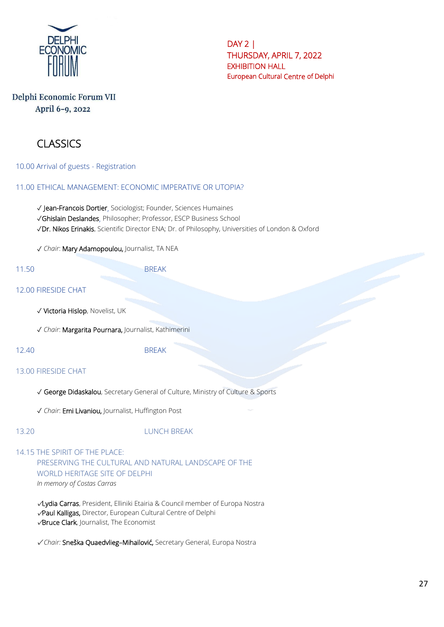

# Delphi Economic Forum VII April 6-9, 2022

# CLASSICS

10.00 Arrival of guests - Registration

#### 11.00 ETHICAL MANAGEMENT: ECONOMIC IMPERATIVE OR UTOPIA?

✓ Jean-Francois Dortier, Sociologist; Founder, Sciences Humaines

✓Ghislain Deslandes, Philosopher; Professor, ESCP Business School

✓Dr. Nikos Erinakis, Scientific Director ENA; Dr. of Philosophy, Universities of London & Oxford

✓ *Chair*: Mary Adamopoulou, Journalist, TA NEA

11.50 BREAK

#### 12.00 FIRESIDE CHAT

- ✓ Victoria Hislop, Novelist, UK
- ✓ *Chair*: Margarita Pournara, Journalist, Kathimerini

12.40 BREAK

#### 13.00 FIRESIDE CHAT

✓ George Didaskalou, Secretary General of Culture, Ministry of Culture & Sports

✓ *Chair*: Emi Livaniou, Journalist, Huffington Post

#### 13.20 LUNCH BREAK

14.15 THE SPIRIT OF THE PLACE: PRESERVING THE CULTURAL AND NATURAL LANDSCAPE OF THE WORLD HERITAGE SITE OF DELPHI *In memory of Costas Carras*

✓Lydia Carras, President, Elliniki Etairia & Council member of Europa Nostra ✓Paul Kalligas, Director, European Cultural Centre of Delphi ✓Bruce Clark, Journalist, The Economist

✓ *Chair:* Sneška Quaedvlieg–Mihailović, Secretary General, Europa Nostra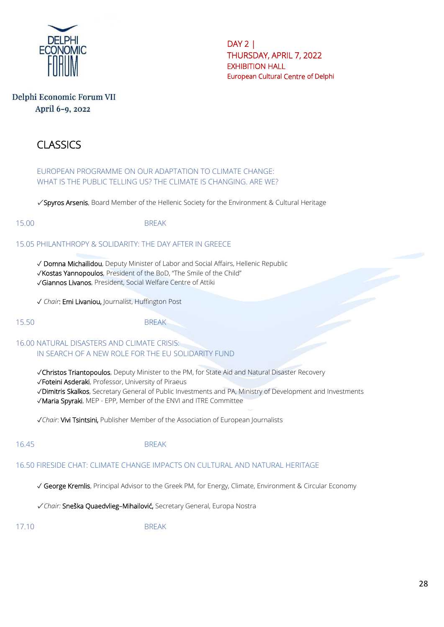

# Delphi Economic Forum VII April 6-9, 2022

# CLASSICS

EUROPEAN PROGRAMME ON OUR ADAPTATION TO CLIMATE CHANGE: WHAT IS THE PUBLIC TELLING US? THE CLIMATE IS CHANGING. ARE WE?

✓ Spyros Arsenis, Board Member of the Hellenic Society for the Environment & Cultural Heritage

15.00 BREAK

#### 15.05 PHILANTHROPY & SOLIDARITY: THE DAY AFTER IN GREECE

✓ Domna Michailidou, Deputy Minister of Labor and Social Affairs, Hellenic Republic

- ✓Kostas Yannopoulos, President of the BoD, "The Smile of the Child"
- ✓Giannos Livanos, President, Social Welfare Centre of Attiki

✓ *Chair*: Emi Livaniou, Journalist, Huffington Post

15.50 BREAK

### 16.00 NATURAL DISASTERS AND CLIMATE CRISIS: IN SEARCH OF A NEW ROLE FOR THE EU SOLIDARITY FUND

✓Christos Triantopoulos, Deputy Minister to the PM, for State Aid and Natural Disaster Recovery

- ✓Foteini Asderaki, Professor, University of Piraeus
- ✓Dimitris Skalkos, Secretary General of Public Investments and PA, Ministry of Development and Investments
- ✓Maria Spyraki, MEP EPP, Member of the ENVI and ITRE Committee

✓*Chair*: Vivi Tsintsini, Publisher Member of the Association of European Journalists

#### 16.45 BREAK

#### 16.50 FIRESIDE CHAT: CLIMATE CHANGE IMPACTS ON CULTURAL AND NATURAL HERITAGE

✓ George Kremlis, Principal Advisor to the Greek PM, for Energy, Climate, Environment & Circular Economy

✓ *Chair:* Sneška Quaedvlieg–Mihailović, Secretary General, Europa Nostra

17.10 BREAK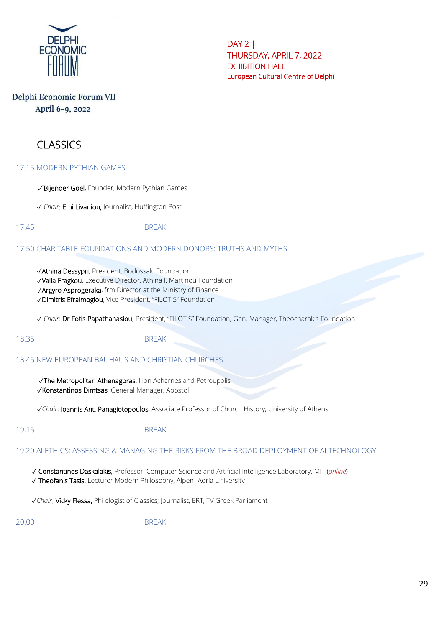

# Delphi Economic Forum VII April 6-9, 2022

# CLASSICS

#### 17.15 MODERN PYTHIAN GAMES

✓ Bijender Goel, Founder, Modern Pythian Games

✓ *Chair*: Emi Livaniou, Journalist, Huffington Post

17.45 BREAK

### 17.50 CHARITABLE FOUNDATIONS AND MODERN DONORS: TRUTHS AND MYTHS

✓Athina Dessypri, President, Bodossaki Foundation

✓Valia Fragkou, Executive Director, Athina I. Martinou Foundation

✓Argyro Asprogeraka, frm Director at the Ministry of Finance

✓Dimitris Efraimoglou, Vice President, "FILOTIS" Foundation

✓ *Chair*: Dr Fotis Papathanasiou, President, "FILOTIS" Foundation; Gen. Manager, Theocharakis Foundation

#### 18.35 BREAK

#### 18.45 NEW EUROPEAN BAUHAUS AND CHRISTIAN CHURCHES

✓The Metropolitan Athenagoras, Ilion Acharnes and Petroupolis ✓Konstantinos Dimtsas, General Manager, Apostoli

✓*Chair*: Ioannis Ant. Panagiotopoulos, Associate Professor of Church History, University of Athens

19.15 BREAK

#### 19.20 AI ETHICS: ASSESSING & MANAGING THE RISKS FROM THE BROAD DEPLOYMENT OF AI TECHNOLOGY

✓ Constantinos Daskalakis, Professor, Computer Science and Artificial Intelligence Laboratory, MIT (*online*)

✓ Theofanis Tasis, Lecturer Modern Philosophy, Alpen- Adria University

✓*Chair*: Vicky Flessa, Philologist of Classics; Journalist, ERT, TV Greek Parliament

20.00 BREAK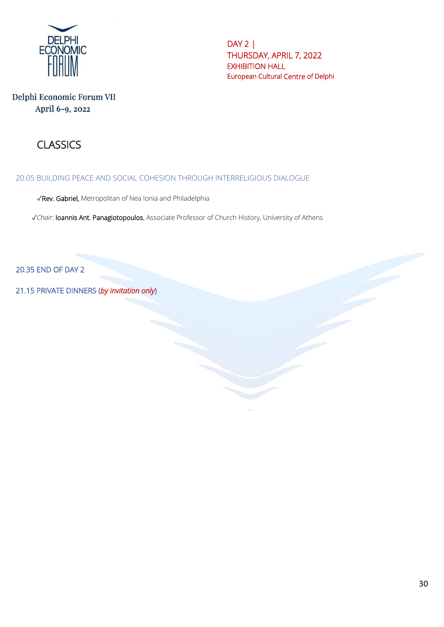

# Delphi Economic Forum VII April 6-9, 2022

# **CLASSICS**

### 20.05 BUILDING PEACE AND SOCIAL COHESION THROUGH INTERRELIGIOUS DIALOGUE

✓Rev. Gabriel, Metropolitan of Nea Ionia and Philadelphia

✓*Chair*: Ioannis Ant. Panagiotopoulos, Associate Professor of Church History, University of Athens

20.35 END OF DAY 2

21.15 PRIVATE DINNERS (*by invitation only*)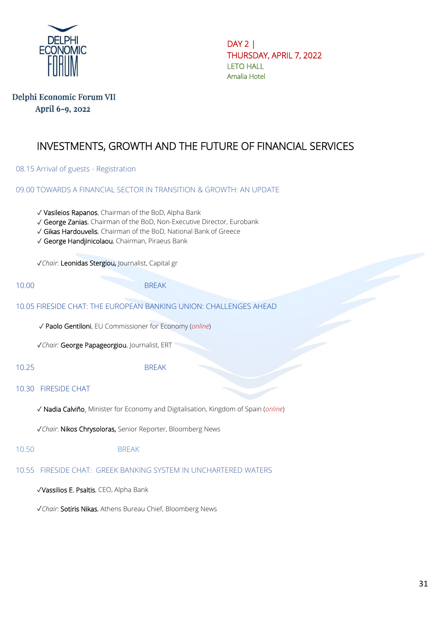

DAY 2 | ΤHURSDAY, APRIL 7, 2022 LETO HALL Amalia Hotel

# Delphi Economic Forum VII April 6-9, 2022

# INVESTMENTS, GROWTH AND THE FUTURE OF FINANCIAL SERVICES

08.15 Arrival of guests - Registration

09.00 TOWARDS A FINANCIAL SECTOR IN TRANSITION & GROWTH: AN UPDATE

- ✓ Vasileios Rapanos, Chairman of the BoD, Alpha Bank
- ✓ George Zanias, Chairman of the BoD, Non-Executive Director, Eurobank
- ✓ Gikas Hardouvelis, Chairman of the BoD, National Bank of Greece
- ✓ George Handjinicolaou, Chairman, Piraeus Bank

✓*Chair*: Leonidas Stergiou, Journalist, Capital gr

10.00 BREAK

#### 10.05 FIRESIDE CHAT: THE EUROPEAN BANKING UNION: CHALLENGES AHEAD

✓ Paolo Gentiloni, EU Commissioner for Economy (*online*)

✓*Chair:* George Papageorgiou, Journalist, ERT

10.25 BREAK

#### 10.30 FIRESIDE CHAT

✓ Nadia Calviño, Minister for Economy and Digitalisation, Kingdom of Spain (*online*)

✓*Chair*: Nikos Chrysoloras, Senior Reporter, Bloomberg News

10.50 BREAK

### 10.55 FIRESIDE CHAT: GREEK BANKING SYSTEM IN UNCHARTERED WATERS

✓Vassilios E. Psaltis, CEO, Alpha Bank

✓*Chair*: Sotiris Nikas, Athens Bureau Chief, Bloomberg News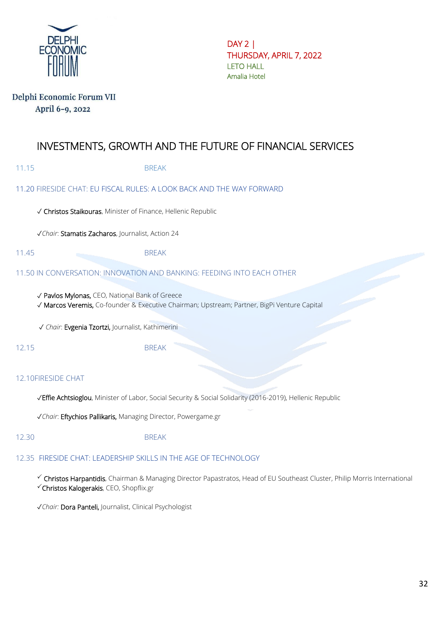

DAY 2 | ΤHURSDAY, APRIL 7, 2022 LETO HALL Amalia Hotel

### Delphi Economic Forum VII April 6-9, 2022

# INVESTMENTS, GROWTH AND THE FUTURE OF FINANCIAL SERVICES

| 11.15 | <b>BREAK</b> |
|-------|--------------|
|-------|--------------|

### 11.20 FIRESIDE CHAT: EU FISCAL RULES: A LOOK BACK AND THE WAY FORWARD

✓ Christos Staikouras, Minister of Finance, Hellenic Republic

✓*Chair*: Stamatis Zacharos, Journalist, Action 24

11.45 BREAK

### 11.50 IN CONVERSATION: INNOVATION AND BANKING: FEEDING INTO EACH OTHER

✓ Pavlos Mylonas, CEO, National Bank of Greece

✓ Marcos Veremis, Co-founder & Executive Chairman; Upstream; Partner, BigPi Venture Capital

✓ *Chair*: Evgenia Tzortzi, Journalist, Kathimerini

12.15 BREAK

### 12.10FIRESIDE CHAT

✓Effie Achtsioglou, Minister of Labor, Social Security & Social Solidarity (2016-2019), Hellenic Republic

✓*Chair*: Eftychios Pallikaris, Managing Director, Powergame.gr

#### 12.30 BREAK

#### 12.35 FIRESIDE CHAT: LEADERSHIP SKILLS IN THE AGE OF TECHNOLOGY

 Christos Harpantidis, Chairman & Managing Director Papastratos, Head of EU Southeast Cluster, Philip Morris International Christos Kalogerakis, CEO, Shopflix.gr

✓*Chair:* Dora Panteli, Journalist, Clinical Psychologist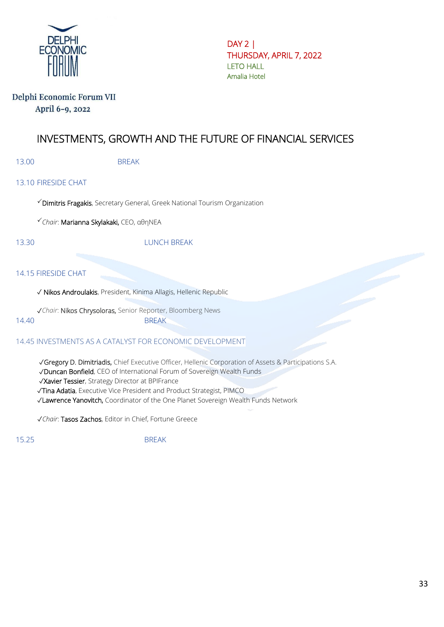

DAY 2 | ΤHURSDAY, APRIL 7, 2022 LETO HALL Amalia Hotel

### Delphi Economic Forum VII April 6-9, 2022

# INVESTMENTS, GROWTH AND THE FUTURE OF FINANCIAL SERVICES

13.00 BREAK

### 13.10 FIRESIDE CHAT

 $\checkmark$  Dimitris Fragakis, Secretary General, Greek National Tourism Organization

*Chair*: Marianna Skylakaki, CEO, αθηΝΕΑ

#### 13.30 LUNCH BREAK

#### 14.15 FIRESIDE CHAT

✓ Nikos Androulakis, President, Kinima Allagis, Hellenic Republic

✓*Chair*: Nikos Chrysoloras, Senior Reporter, Bloomberg News 14.40 BREAK

#### 14.45 INVESTMENTS AS A CATALYST FOR ECONOMIC DEVELOPMENT

✓Gregory D. Dimitriadis, Chief Executive Officer, Hellenic Corporation of Assets & Participations S.A.

✓Duncan Bonfield, CEO of International Forum of Sovereign Wealth Funds

✓Xavier Tessier, Strategy Director at BPIFrance

✓Tina Adatia, Executive Vice President and Product Strategist, PIMCO

✓Lawrence Yanovitch, Coordinator of the One Planet Sovereign Wealth Funds Network

✓*Chair*: Tasos Zachos, Editor in Chief, Fortune Greece

15.25 BREAK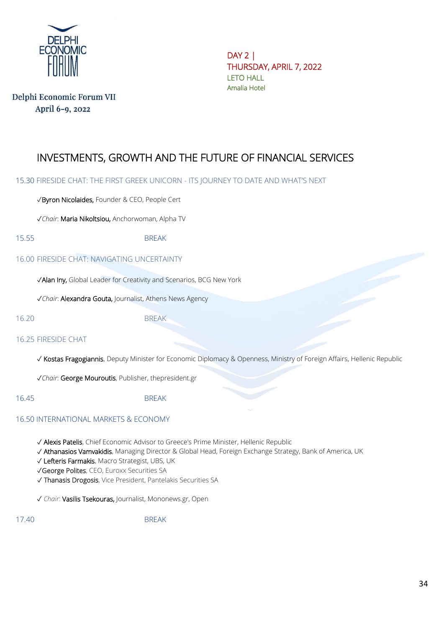

Delphi Economic Forum VII April 6-9, 2022

DAY 2 | ΤHURSDAY, APRIL 7, 2022 LETO HALL Amalia Hotel

# INVESTMENTS, GROWTH AND THE FUTURE OF FINANCIAL SERVICES

15.30 FIRESIDE CHAT: THE FIRST GREEK UNICORN - ITS JOURNEY TO DATE AND WHAT'S NEXT

✓Byron Nicolaides, Founder & CEO, People Cert

✓*Chair*: Maria Nikoltsiou, Anchorwoman, Alpha TV

15.55 BREAK

#### 16.00 FIRESIDE CHAT: NAVIGATING UNCERTAINTY

✓Alan Iny, Global Leader for Creativity and Scenarios, BCG New York

✓*Chair*: Alexandra Gouta, Journalist, Athens News Agency

16.20 BREAK

#### 16.25 FIRESIDE CHAT

✓ Kostas Fragogiannis, Deputy Minister for Economic Diplomacy & Openness, Ministry of Foreign Affairs, Hellenic Republic

✓*Chair*: George Mouroutis, Publisher, thepresident.gr

16.45 BREAK

### 16.50 INTERNATIONAL MARKETS & ECONOMY

✓ Alexis Patelis, Chief Economic Advisor to Greece's Prime Minister, Hellenic Republic

✓ Athanasios Vamvakidis, Managing Director & Global Head, Foreign Exchange Strategy, Bank of America, UK

✓ Lefteris Farmakis, Macro Strategist, UBS, UK

✓George Polites, CEO, Euroxx Securities SA

✓ Thanasis Drogosis, Vice President, Pantelakis Securities SA

✓ *Chair*: Vasilis Tsekouras, Journalist, Mononews.gr, Open

17.40 BREAK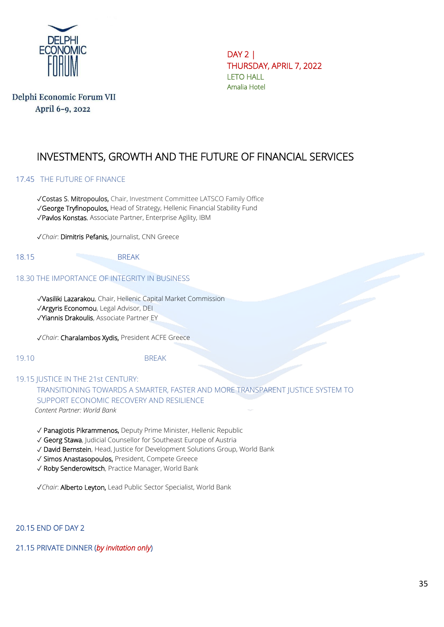

Delphi Economic Forum VII April 6-9, 2022

DAY 2 | ΤHURSDAY, APRIL 7, 2022 LETO HALL Amalia Hotel

# INVESTMENTS, GROWTH AND THE FUTURE OF FINANCIAL SERVICES

#### 17.45 THE FUTURE OF FINANCE

✓Costas S. Mitropoulos, Chair, Investment Committee LATSCO Family Office

✓George Tryfinopoulos, Head of Strategy, Hellenic Financial Stability Fund

✓Pavlos Konstas, Associate Partner, Enterprise Agility, IBM

✓*Chair*: Dimitris Pefanis, Journalist, CNN Greece

18.15 BREAK

#### 18.30 THE IMPORTANCE OF INTEGRITY IN BUSINESS

 ✓Vasiliki Lazarakou, Chair, Hellenic Capital Market Commission ✓Argyris Economou, Legal Advisor, DEI ✓Yiannis Drakoulis, Associate Partner EY

✓*Chair*: Charalambos Xydis, President ACFE Greece

19.10 BREAK

# 19.15 JUSTICE IN THE 21st CENTURY: TRANSITIONING TOWARDS A SMARTER, FASTER AND MORE TRANSPARENT JUSTICE SYSTEM TO

SUPPORT ECONOMIC RECOVERY AND RESILIENCE *Content Partner: World Bank*

- ✓ Panagiotis Pikrammenos, Deputy Prime Minister, Hellenic Republic
- ✓ Georg Stawa, Judicial Counsellor for Southeast Europe of Austria
- ✓ David Bernstein, Head, Justice for Development Solutions Group, World Bank
- ✓ Simos Anastasopoulos, President, Compete Greece
- ✓ Roby Senderowitsch, Practice Manager, World Bank
- ✓*Chair*: Alberto Leyton, Lead Public Sector Specialist, World Bank

20.15 END OF DAY 2

#### 21.15 PRIVATE DINNER (*by invitation only*)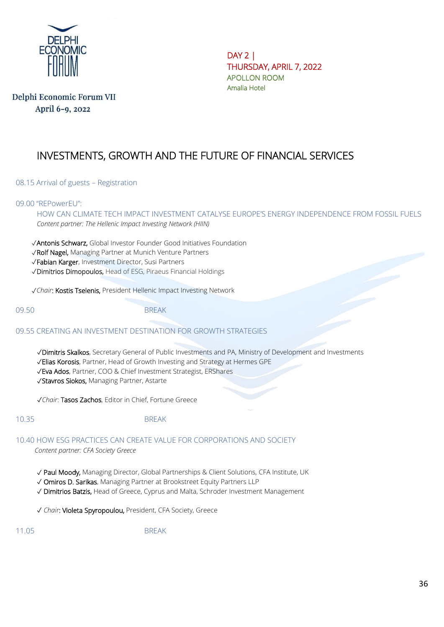

Delphi Economic Forum VII April 6-9, 2022

DAY 2 | ΤHURSDAY, APRIL 7, 2022 APOLLON ROOM Amalia Hotel

# INVESTMENTS, GROWTH AND THE FUTURE OF FINANCIAL SERVICES

08.15 Arrival of guests – Registration

#### 09.00 "REPowerEU":

HOW CAN CLIMATE TECH IMPACT INVESTMENT CATALYSE EUROPE'S ENERGY INDEPENDENCE FROM FOSSIL FUELS *Content partner: The Hellenic Impact Investing Network (HIIN)*

✓Antonis Schwarz, Global Investor Founder Good Initiatives Foundation

✓Rolf Nagel, Managing Partner at Munich Venture Partners

✓Fabian Karger, Investment Director, Susi Partners

✓Dimitrios Dimopoulos, Head of ESG, Piraeus Financial Holdings

✓*Chair*: Kostis Tselenis, President Hellenic Impact Investing Network

09.50 BREAK

09.55 CREATING AN INVESTMENT DESTINATION FOR GROWTH STRATEGIES

✓Dimitris Skalkos, Secretary General of Public Investments and PA, Ministry of Development and Investments

- ✓Elias Korosis, Partner, Head of Growth Investing and Strategy at Hermes GPE
- ✓Eva Ados, Partner, COO & Chief Investment Strategist, ERShares

✓Stavros Siokos, Managing Partner, Astarte

✓*Chair*: Tasos Zachos, Editor in Chief, Fortune Greece

#### 10.35 BREAK

#### 10.40 HOW ESG PRACTICES CAN CREATE VALUE FOR CORPORATIONS AND SOCIETY

*Content partner: CFA Society Greece*

✓ Paul Moody, Managing Director, Global Partnerships & Client Solutions, CFA Institute, UK

✓ Omiros D. Sarikas, Managing Partner at Brookstreet Equity Partners LLP

✓ Dimitrios Batzis, Head of Greece, Cyprus and Malta, Schroder Investment Management

✓ *Chair*: Violeta Spyropoulou, President, CFA Society, Greece

11.05 BREAK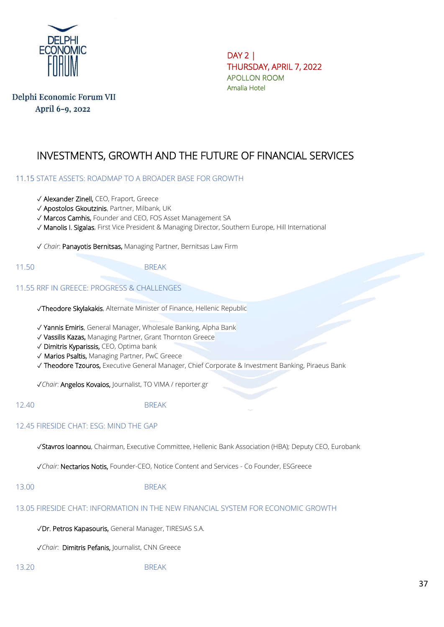

DAY 2 | ΤHURSDAY, APRIL 7, 2022 APOLLON ROOM Amalia Hotel

# INVESTMENTS, GROWTH AND THE FUTURE OF FINANCIAL SERVICES

#### 11.15 STATE ASSETS: ROADMAP TO A BROADER BASE FOR GROWTH

- ✓ Alexander Zinell, CEO, Fraport, Greece
- ✓ Apostolos Gkoutzinis, Partner, Milbank, UK
- ✓ Marcos Camhis, Founder and CEO, FOS Asset Management SA
- ✓ Manolis I. Sigalas, First Vice President & Managing Director, Southern Europe, Hill International

✓ *Chair*: Panayotis Bernitsas, Managing Partner, Bernitsas Law Firm

#### 11.50 BREAK

#### 11.55 RRF IN GREECE: PROGRESS & CHALLENGES

✓Theodore Skylakakis, Alternate Minister of Finance, Hellenic Republic

✓ Yannis Emiris, General Manager, Wholesale Banking, Alpha Bank

- ✓ Vassilis Kazas, Managing Partner, Grant Thornton Greece
- ✓ Dimitris Kyparissis, CEO, Optima bank
- ✓ Marios Psaltis, Managing Partner, PwC Greece

✓ Theodore Tzouros, Executive General Manager, Chief Corporate & Investment Banking, Piraeus Bank

✓*Chair*: Angelos Kovaios, Journalist, TO VIMA / reporter.gr

#### 12.40 BREAK

#### 12.45 FIRESIDE CHAT: ESG: MIND THE GAP

✓Stavros Ioannou, Chairman, Executive Committee, Hellenic Bank Association (HBA); Deputy CEO, Eurobank

✓*Chair:* Nectarios Notis, Founder-CEO, Notice Content and Services - Co Founder, ESGreece

13.00 BREAK

#### 13.05 FIRESIDE CHAT: INFORMATION IN THE NEW FINANCIAL SYSTEM FOR ECONOMIC GROWTH

✓Dr. Petros Kapasouris, General Manager, TIRESIAS S.Α.

✓*Chair*: Dimitris Pefanis, Journalist, CNN Greece

13.20 BREAK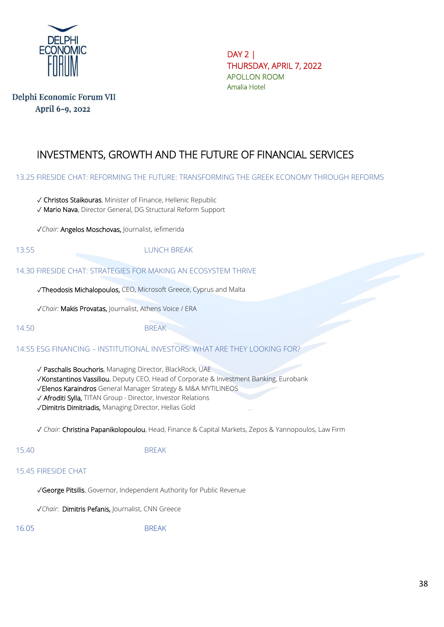

DAY 2 | ΤHURSDAY, APRIL 7, 2022 APOLLON ROOM Amalia Hotel

# INVESTMENTS, GROWTH AND THE FUTURE OF FINANCIAL SERVICES

13.25 FIRESIDE CHAT: REFORMING THE FUTURE: TRANSFORMING THE GREEK ECONOMY THROUGH REFORMS

- ✓ Christos Staikouras, Minister of Finance, Hellenic Republic
- ✓ Mario Nava, Director General, DG Structural Reform Support

✓*Chair:* Angelos Moschovas, Journalist, iefimerida

13.55 LUNCH BREAK

14.30 FIRESIDE CHAT: STRATEGIES FOR MAKING AN ECOSYSTEM THRIVE

✓Theodosis Michalopoulos, CEO, Microsoft Greece, Cyprus and Malta

✓*Chair:* Makis Provatas, Journalist, Athens Voice / ERA

14.50 BREAK

14.55 ESG FINANCING – INSTITUTIONAL INVESTORS: WHAT ARE THEY LOOKING FOR?

✓ Paschalis Bouchoris, Managing Director, BlackRock, UAE

✓Konstantinos Vassiliou, Deputy CEO, Head of Corporate & Investment Banking, Eurobank

✓Elenos Karaindros General Manager Strategy & M&A MYTILINEOS

✓ Afroditi Sylla, TITAN Group - Director, Investor Relations

✓Dimitris Dimitriadis, Managing Director, Hellas Gold

✓ *Chair*: Christina Papanikolopoulou, Head, Finance & Capital Markets, Zepos & Yannopoulos, Law Firm

15.40 BREAK

#### 15.45 FIRESIDE CHAT

✓George Pitsilis, Governor, Independent Authority for Public Revenue

✓*Chair*: Dimitris Pefanis, Journalist, CNN Greece

16.05 BREAK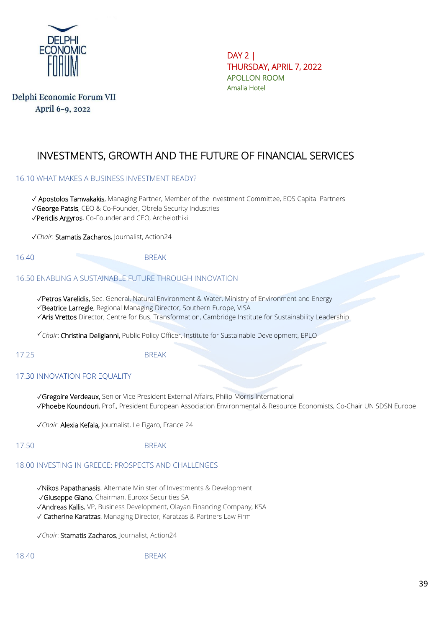

DAY 2 | ΤHURSDAY, APRIL 7, 2022 APOLLON ROOM Amalia Hotel

# INVESTMENTS, GROWTH AND THE FUTURE OF FINANCIAL SERVICES

#### 16.10 WHAT MAKES A BUSINESS INVESTMENT READY?

✓ Apostolos Tamvakakis, Managing Partner, Member of the Investment Committee, EOS Capital Partners ✓George Patsis, CEO & Co-Founder, Obrela Security Industries ✓Periclis Argyros, Co-Founder and CEO, Archeiothiki

✓*Chair*: Stamatis Zacharos, Journalist, Action24

16.40 BREAK

#### 16.50 ENABLING A SUSTAINABLE FUTURE THROUGH INNOVATION

✓Petros Varelidis, Sec. General, Natural Environment & Water, Ministry of Environment and Energy

- Beatrice Larregle, Regional Managing Director, Southern Europe, VISA
- Aris Vrettos Director, Centre for Bus. Transformation, Cambridge Institute for Sustainability Leadership

*Chair*: Christina Deligianni, Public Policy Officer, Institute for Sustainable Development, EPLO

17.25 BREAK

#### 17.30 INNOVATION FOR EOUALITY

✓Gregoire Verdeaux, Senior Vice President External Affairs, Philip Morris International ✓Phoebe Koundouri, Prof., President European Association Environmental & Resource Economists, Co-Chair UN SDSN Europe

✓*Chair*: Alexia Kefala, Journalist, Le Figaro, France 24

#### 17.50 BREAK

#### 18.00 INVESTING IN GREECE: PROSPECTS AND CHALLENGES

✓Nikos Papathanasis. Alternate Minister of Investments & Development

✓Giuseppe Giano, Chairman, Euroxx Securities SA

✓Andreas Kallis, VP, Business Development, Olayan Financing Company, KSA

✓ Catherine Karatzas, Managing Director, Karatzas & Partners Law Firm

✓*Chair*: Stamatis Zacharos, Journalist, Action24

18.40 BREAK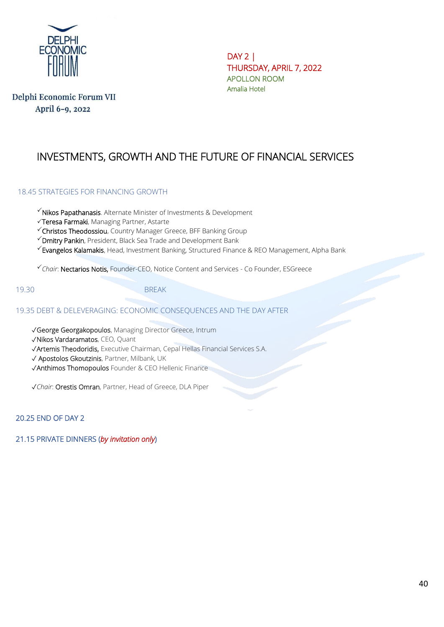

DAY 2 | ΤHURSDAY, APRIL 7, 2022 APOLLON ROOM Amalia Hotel

# INVESTMENTS, GROWTH AND THE FUTURE OF FINANCIAL SERVICES

#### 18.45 STRATEGIES FOR FINANCING GROWTH

 $\checkmark$  Nikos Papathanasis. Alternate Minister of Investments & Development

Teresa Farmaki, Managing Partner, Astarte

Christos Theodossiou, Country Manager Greece, BFF Banking Group

 $\checkmark$  Dmitry Pankin, President, Black Sea Trade and Development Bank

 $\checkmark$  Evangelos Kalamakis, Head, Investment Banking, Structured Finance & REO Management, Alpha Bank

*Chair*: Nectarios Notis, Founder-CEO, Notice Content and Services - Co Founder, ESGreece

19.30 BREAK

#### 19.35 DEBT & DELEVERAGING: ECONOMIC CONSEQUENCES AND THE DAY AFTER

✓George Georgakopoulos, Managing Director Greece, Intrum

✓Nikos Vardaramatos, CEO, Quant

✓Artemis Theodoridis, Executive Chairman, Cepal Hellas Financial Services S.A.

✓ Apostolos Gkoutzinis, Partner, Milbank, UK

✓Anthimos Thomopoulos Founder & CEO Hellenic Finance

✓*Chair*: Orestis Omran, Partner, Head of Greece, DLA Piper

20.25 END OF DAY 2

21.15 PRIVATE DINNERS (*by invitation only*)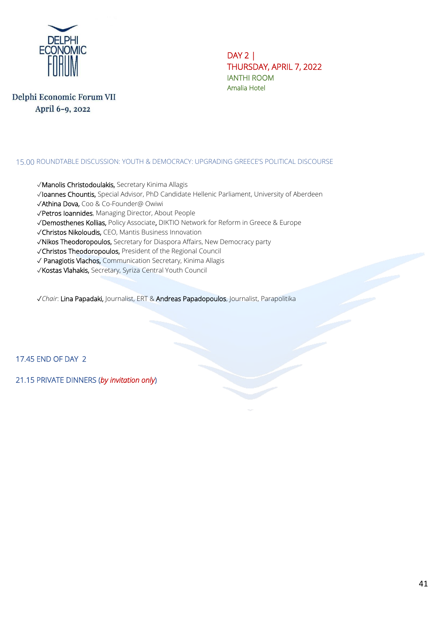

DAY 2 | ΤHURSDAY, APRIL 7, 2022 IANTHI ROOM Amalia Hotel

Delphi Economic Forum VII April 6-9, 2022

#### 15.00 ROUNDTABLE DISCUSSION: YOUTH & DEMOCRACY: UPGRADING GREECE'S POLITICAL DISCOURSE

- ✓Manolis Christodoulakis, Secretary Kinima Allagis
- ✓Ioannes Chountis, Special Advisor, PhD Candidate Hellenic Parliament, University of Aberdeen
- ✓Athina Dova, Coo & Co-Founder@ Owiwi
- ✓Petros Ioannides, Managing Director, About People
- ✓Demosthenes Kollias, Policy Associate, DIKTIO Network for Reform in Greece & Europe
- ✓Christos Nikoloudis, CEO, Mantis Business Innovation
- ✓Nikos Theodoropoulos, Secretary for Diaspora Affairs, New Democracy party
- ✓Christos Theodoropoulos, President of the Regional Council
- ✓ Panagiotis Vlachos, Communication Secretary, Kinima Allagis
- ✓Kostas Vlahakis, Secretary, Syriza Central Youth Council

✓*Chair*: Lina Papadaki, Journalist, ERT & Andreas Papadopoulos, Journalist, Parapolitika

17.45 END OF DAY 2

21.15 PRIVATE DINNERS (*by invitation only*)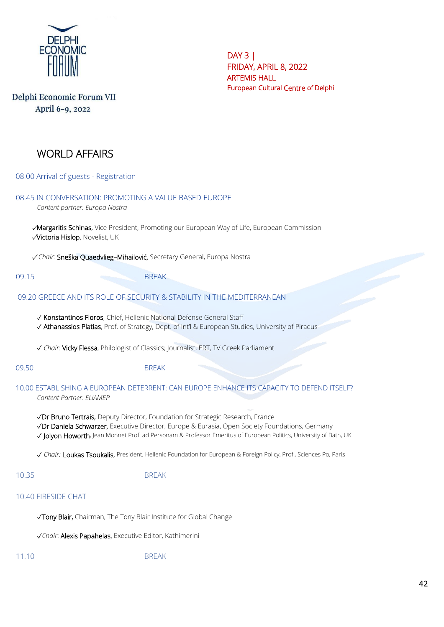

DAY 3 | FRIDAY, APRIL 8, 2022 ARTEMIS HALL European Cultural Centre of Delphi

# WORLD AFFAIRS

08.00 Arrival of guests - Registration

| 08.45 IN CONVERSATION: PROMOTING A VALUE BASED EUROPE<br>Content partner: Europa Nostra                                                                                                                                                                                                               |  |
|-------------------------------------------------------------------------------------------------------------------------------------------------------------------------------------------------------------------------------------------------------------------------------------------------------|--|
| Margaritis Schinas, Vice President, Promoting our European Way of Life, European Commission<br>Victoria Hislop, Novelist, UK                                                                                                                                                                          |  |
| √ Chair: Sneška Quaedvlieg-Mihailović, Secretary General, Europa Nostra                                                                                                                                                                                                                               |  |
| 09.15<br><b>BREAK</b>                                                                                                                                                                                                                                                                                 |  |
| 09.20 GREECE AND ITS ROLE OF SECURITY & STABILITY IN THE MEDITERRANEAN                                                                                                                                                                                                                                |  |
| √ Konstantinos Floros, Chief, Hellenic National Defense General Staff<br>√ Athanassios Platias, Prof. of Strategy, Dept. of Int'l & European Studies, University of Piraeus                                                                                                                           |  |
| √ Chair: Vicky Flessa, Philologist of Classics; Journalist, ERT, TV Greek Parliament                                                                                                                                                                                                                  |  |
| 09.50<br><b>BREAK</b>                                                                                                                                                                                                                                                                                 |  |
| 10.00 ESTABLISHING A EUROPEAN DETERRENT: CAN EUROPE ENHANCE ITS CAPACITY TO DEFEND ITSELF?<br>Content Partner: ELIAMEP                                                                                                                                                                                |  |
| √Dr Bruno Tertrais, Deputy Director, Foundation for Strategic Research, France<br>√Dr Daniela Schwarzer, Executive Director, Europe & Eurasia, Open Society Foundations, Germany<br>√ Jolyon Howorth, Jean Monnet Prof. ad Personam & Professor Emeritus of European Politics, University of Bath, UK |  |
| √ Chair: Loukas Tsoukalis, President, Hellenic Foundation for European & Foreign Policy, Prof., Sciences Po, Paris                                                                                                                                                                                    |  |
| 10.35<br><b>BREAK</b>                                                                                                                                                                                                                                                                                 |  |
| 10.40 FIRESIDE CHAT                                                                                                                                                                                                                                                                                   |  |
| √Tony Blair, Chairman, The Tony Blair Institute for Global Change                                                                                                                                                                                                                                     |  |
| √Chair: Alexis Papahelas, Executive Editor, Kathimerini                                                                                                                                                                                                                                               |  |
| <b>BREAK</b><br>11.10                                                                                                                                                                                                                                                                                 |  |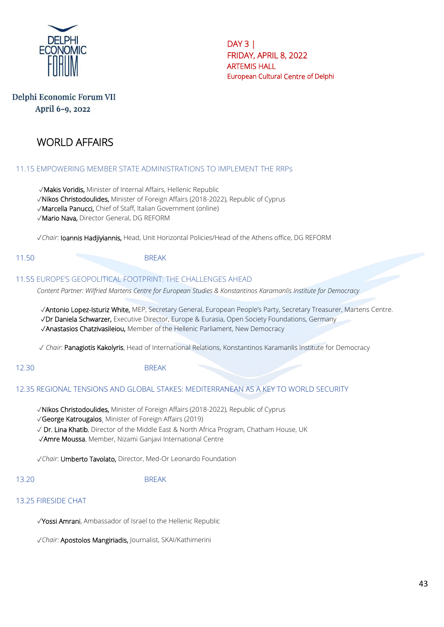

## Delphi Economic Forum VII April 6-9, 2022

# WORLD AFFAIRS

### 11.15 EMPOWERING MEMBER STATE ADMINISTRATIONS TO IMPLEMENT THE RRPs

✓Makis Voridis, Minister of Internal Affairs, Hellenic Republic

✓Nikos Christodoulides, Minister of Foreign Affairs (2018-2022), Republic of Cyprus

✓Marcella Panucci, Chief of Staff, Italian Government (online)

✓Mario Nava, Director General, DG REFORM

✓*Chair*: Ioannis Hadjiyiannis, Head, Unit Horizontal Policies/Head of the Athens office, DG REFORM

11.50 BREAK

#### 11.55 EUROPE'S GEOPOLITICAL FOOTPRINT: THE CHALLENGES AHEAD

*Content Partner: Wilfried Martens Centre for European Studies & Konstantinos Karamanlis Institute for Democracy*

 ✓Antonio Lopez-Isturiz White, MEP, Secretary General, European People's Party, Secretary Treasurer, Martens Centre. ✓Dr Daniela Schwarzer, Executive Director, Europe & Eurasia, Open Society Foundations, Germany ✓Anastasios Chatzivasileiou, Member of the Hellenic Parliament, New Democracy

✓ *Chair*: Panagiotis Kakolyris, Head of International Relations, Konstantinos Karamanlis Institute for Democracy

12.30 BREAK

#### 12.35 REGIONAL TENSIONS AND GLOBAL STAKES: MEDITERRANEAN AS A KEY TO WORLD SECURITY

✓Nikos Christodoulides, Minister of Foreign Affairs (2018-2022), Republic of Cyprus

✓George Katrougalos, Minister of Foreign Affairs (2019)

✓ Dr. Lina Khatib, Director of the Middle East & North Africa Program, Chatham House, UK

✓Amre Moussa, Member, Nizami Ganjavi International Centre

✓*Chair*: Umberto Tavolato, Director, Med-Or Leonardo Foundation

#### 13.20 BREAK

#### 13.25 FIRESIDE CHAT

✓Yossi Amrani, Ambassador of Israel to the Hellenic Republic

✓*Chair:* Apostolos Mangiriadis, Journalist, SKAI/Kathimerini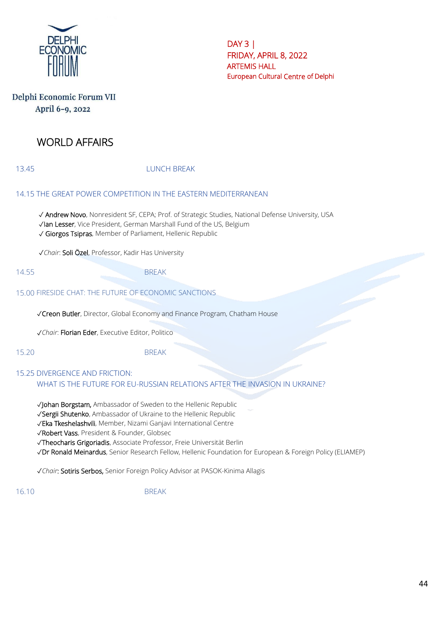

# Delphi Economic Forum VII April 6-9, 2022

# WORLD AFFAIRS

13.45 LUNCH BREAK

#### 14.15 THE GREAT POWER COMPETITION IN THE EASTERN MEDITERRANEAN

✓ Andrew Novo, Nonresident SF, CEPA; Prof. of Strategic Studies, National Defense University, USA ✓Ian Lesser, Vice President, German Marshall Fund of the US, Belgium ✓ Giorgos Tsipras, Member of Parliament, Hellenic Republic

✓*Chair*: Soli Özel, Professor, Kadir Has University

14.55 BREAK

## 15.00 FIRESIDE CHAT: THE FUTURE OF ECONOMIC SANCTIONS

✓Creon Butler, Director, Global Economy and Finance Program, Chatham House

✓*Chair*: Florian Eder, Executive Editor, Politico

15.20 BREAK

#### 15.25 DIVERGENCE AND FRICTION: WHAT IS THE FUTURE FOR EU-RUSSIAN RELATIONS AFTER THE INVASION IN UKRAINE?

✓Johan Borgstam, Ambassador of Sweden to the Hellenic Republic

✓Sergii Shutenko, Ambassador of Ukraine to the Hellenic Republic

✓Eka Tkeshelashvili, Member, Nizami Ganjavi International Centre

✓Robert Vass, President & Founder, Globsec

✓Theocharis Grigoriadis, Associate Professor, Freie Universität Berlin

✓Dr Ronald Meinardus, Senior Research Fellow, Hellenic Foundation for European & Foreign Policy (ELIAMEP)

✓*Chair*: Sotiris Serbos, Senior Foreign Policy Advisor at PASOK-Kinima Allagis

16.10 BREAK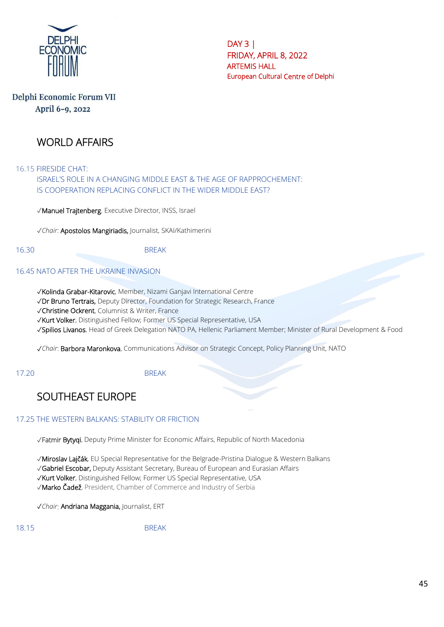

# Delphi Economic Forum VII April 6-9, 2022

# WORLD AFFAIRS

16.15 FIRESIDE CHAT:

ISRAEL'S ROLE IN A CHANGING MIDDLE EAST & THE AGE OF RAPPROCHEMENT: IS COOPERATION REPLACING CONFLICT IN THE WIDER MIDDLE EAST?

✓Manuel Trajtenberg, Executive Director, INSS, Israel

✓*Chair:* Apostolos Mangiriadis, Journalist, SKAI/Kathimerini

16.30 BREAK

#### 16.45 NATO AFTER THE UKRAINE INVASION

✓Kolinda Grabar-Kitarovic, Member, Nizami Ganjavi International Centre

✓Dr Bruno Tertrais, Deputy Director, Foundation for Strategic Research, France

✓Christine Ockrent, Columnist & Writer, France

✓Kurt Volker, Distinguished Fellow; Former US Special Representative, USA

✓Spilios Livanos, Head of Greek Delegation NATO PA, Hellenic Parliament Member; Minister of Rural Development & Food

✓*Chair*: Barbora Maronkova, Communications Advisor on Strategic Concept, Policy Planning Unit, NATO

17.20 BREAK

# SOUTHEAST EUROPE

#### 17.25 THE WESTERN BALKANS: STABILITY OR FRICTION

✓Fatmir Bytyqi, Deputy Prime Minister for Economic Affairs, Republic of North Macedonia

✓Miroslav Lajčák, EU Special Representative for the Belgrade-Pristina Dialogue & Western Balkans

✓Gabriel Escobar, Deputy Assistant Secretary, Bureau of European and Eurasian Affairs

✓Kurt Volker, Distinguished Fellow; Former US Special Representative, USA

✓Marko Čadež, President, Chamber of Commerce and Industry of Serbia

✓*Chair*: Andriana Maggania, Journalist, ERT

18.15 BREAK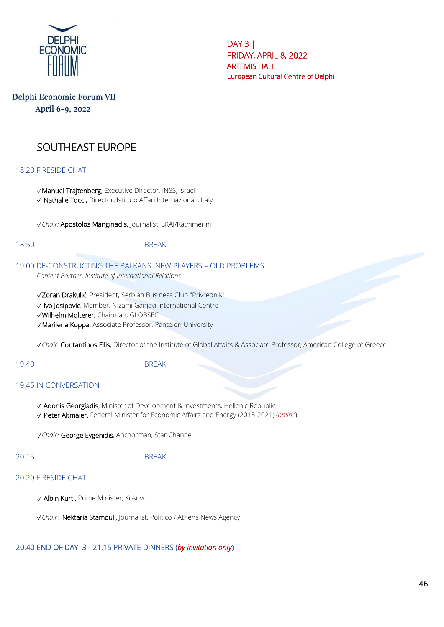

# Delphi Economic Forum VII April 6-9, 2022

# SOUTHEAST EUROPE

#### 18.20 FIRESIDE CHAT

✓Manuel Trajtenberg, Executive Director, INSS, Israel ✓ Nathalie Tocci, Director, Istituto Affari Internazionali, Italy

✓*Chair:* Apostolos Mangiriadis, Journalist, SKAI/Kathimerini

18.50 BREAK

#### 19.00 DE-CONSTRUCTING THE BALKANS: NEW PLAYERS – OLD PROBLEMS *Content Partner: Institute of International Relations*

✓Zoran Drakulić, President, Serbian Business Club "Privrednik"

✓ Ivo Josipovic, Member, Nizami Ganjavi International Centre

✓Wilhelm Molterer, Chairman, GLOBSEC

✓Marilena Koppa, Associate Professor, Panteion University

✓*Chair*: Contantinos Filis, Director of the Institute of Global Affairs & Associate Professor, American College of Greece

#### 19.40 BREAK

#### 19.45 IN CONVERSATION

- ✓ Adonis Georgiadis, Minister of Development & Investments, Hellenic Republic
- ✓ Peter Altmaier, Federal Minister for Economic Affairs and Energy (2018-2021) (*online*)

✓*Chair:* George Evgenidis, Anchorman, Star Channel

20.15 BREAK

#### 20.20 FIRESIDE CHAT

✓ Albin Kurti, Prime Minister, Kosovo

✓*Chair*: Nektaria Stamouli, Journalist, Politico / Athens News Agency

#### 20.40 END OF DAY 3 - 21.15 PRIVATE DINNERS (*by invitation only*)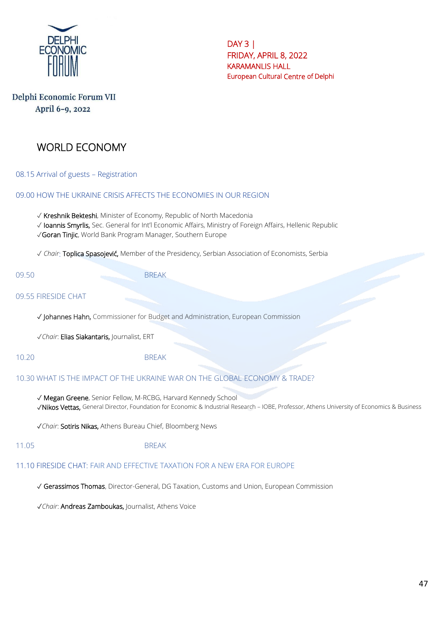

# Delphi Economic Forum VII April 6-9, 2022

# WORLD ECONOMY

08.15 Arrival of guests – Registration

09.00 HOW THE UKRAINE CRISIS AFFECTS THE ECONOMIES IN OUR REGION

✓ Kreshnik Bekteshi, Minister of Economy, Republic of North Macedonia

✓ Ioannis Smyrlis, Sec. General for Int'l Economic Affairs, Ministry of Foreign Affairs, Hellenic Republic

✓Goran Tinjic, World Bank Program Manager, Southern Europe

✓ *Chair*: Toplica Spasojević, Member of the Presidency, Serbian Association of Economists, Serbia

09.50 BREAK

#### 09.55 FIRESIDE CHAT

✓ Johannes Hahn, Commissioner for Budget and Administration, European Commission

✓*Chair*: Elias Siakantaris, Journalist, ERT

10.20 BREAK

#### 10.30 WHAT IS THE IMPACT OF THE UKRAINE WAR ON THE GLOBAL ECONOMY & TRADE?

✓ Megan Greene, Senior Fellow, M-RCBG, Harvard Kennedy School ✓Nikos Vettas, General Director, Foundation for Economic & Industrial Research – IOBE, Professor, Athens University of Economics & Business

✓*Chair*: Sotiris Nikas, Athens Bureau Chief, Bloomberg News

11.05 BRFAK

#### 11.10 FIRESIDE CHAT: FAIR AND EFFECTIVE TAXATION FOR A NEW ERA FOR EUROPE

✓ Gerassimos Thomas, Director-General, DG Taxation, Customs and Union, European Commission

✓*Chair*: Andreas Zamboukas, Journalist, Athens Voice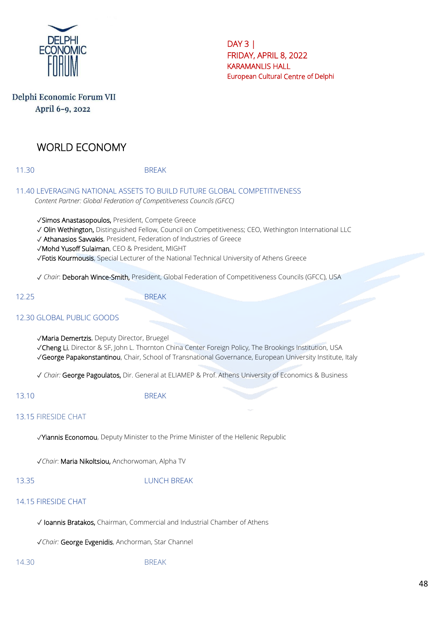

# Delphi Economic Forum VII April 6-9, 2022

# WORLD ECONOMY

11.30 BREAK

11.40 LEVERAGING NATIONAL ASSETS TO BUILD FUTURE GLOBAL COMPETITIVENESS *Content Partner: Global Federation of Competitiveness Councils (GFCC)*

✓Simos Anastasopoulos, President, Compete Greece

✓ Olin Wethington, Distinguished Fellow, Council on Competitiveness; CEO, Wethington International LLC

✓ Athanasios Savvakis, President, Federation of Industries of Greece

✓Mohd Yusoff Sulaiman, CEO & President, MIGHT

✓Fotis Kourmousis, Special Lecturer of the National Technical University of Athens Greece

✓ *Chair*: Deborah Wince-Smith, President, Global Federation of Competitiveness Councils (GFCC), USA

12.25 BREAK

## 12.30 GLOBAL PUBLIC GOODS

✓Maria Demertzis, Deputy Director, Bruegel

✓Cheng Li, Director & SF, John L. Thornton China Center Foreign Policy, The Brookings Institution, USA

✓George Papakonstantinou, Chair, School of Transnational Governance, European University Institute, Italy

✓ *Chair:* George Pagoulatos, Dir. General at ELIAMEP & Prof. Athens University of Economics & Business

13.10 BREAK

#### 13.15 FIRESIDE CHAT

✓Yiannis Economou, Deputy Minister to the Prime Minister of the Hellenic Republic

✓*Chair*: Maria Nikoltsiou, Anchorwoman, Alpha TV

#### 13.35 LUNCH BREAK

#### 14.15 FIRESIDE CHAT

✓ Ioannis Bratakos, Chairman, Commercial and Industrial Chamber of Athens

✓*Chair:* George Evgenidis, Anchorman, Star Channel

14.30 BREAK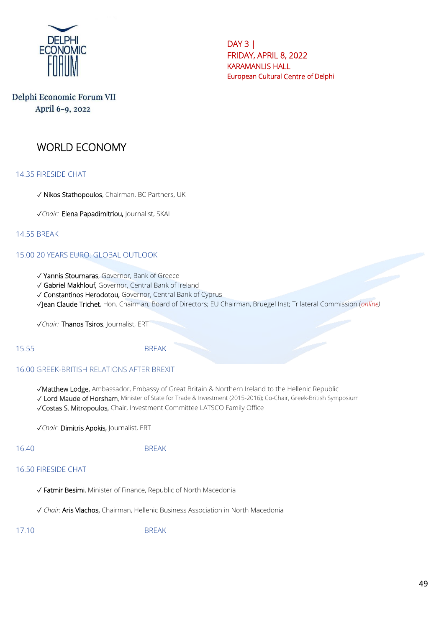

# Delphi Economic Forum VII April 6-9, 2022

# WORLD ECONOMY

#### 14.35 FIRESIDE CHAT

- ✓ Nikos Stathopoulos, Chairman, BC Partners, UK
- **√***Chair: Elena Papadimitriou,* Journalist, SKAI

#### 14.55 BREAK

#### 15.00 20 YEARS EURO: GLOBAL OUTLOOK

- ✓ Yannis Stournaras, Governor, Bank of Greece
- ✓ Gabriel Makhlouf, Governor, Central Bank of Ireland
- ✓ Constantinos Herodotou, Governor, Central Bank of Cyprus
- ✓Jean Claude Trichet, Hon. Chairman, Board of Directors; EU Chairman, Bruegel Inst; Trilateral Commission (*online)*

✓*Chair:* Thanos Tsiros, Journalist, ERT

#### 15.55 BREAK

#### 16.00 GREEK-BRITISH RELATIONS AFTER BREXIT

✓Matthew Lodge, Ambassador, Embassy of Great Britain & Northern Ireland to the Hellenic Republic ✓ Lord Maude of Horsham, Minister of State for Trade & Investment (2015-2016); Co-Chair, Greek-British Symposium ✓Costas S. Mitropoulos, Chair, Investment Committee LATSCO Family Office

✓*Chair*: Dimitris Apokis, Journalist, ERT

#### 16.40 BREAK

#### 16.50 FIRESIDE CHAT

- ✓ Fatmir Besimi, Minister of Finance, Republic of North Macedonia
- ✓ *Chair*: Aris Vlachos, Chairman, Hellenic Business Association in North Macedonia

17.10 BREAK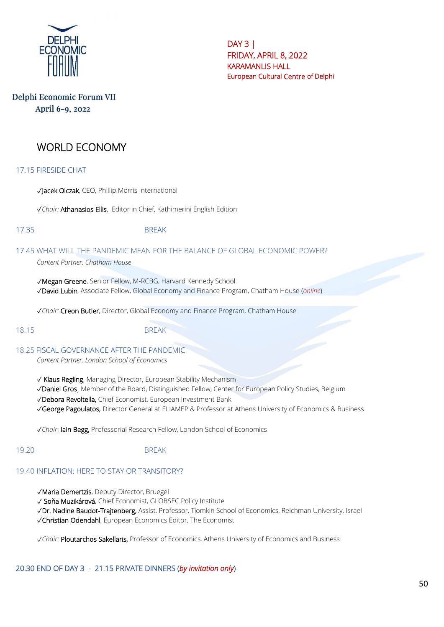

 $DAY3$ FRIDAY, APRIL 8, 2022 KARAMANLIS HALL European Cultural Centre of Delphi

# Delphi Economic Forum VII April 6-9, 2022

# WORLD ECONOMY

17.15 FIRESIDE CHAT

✓Jacek Olczak, CEO, Phillip Morris International

✓*Chair:* Athanasios Ellis, Editor in Chief, Kathimerini English Edition

#### 17.35 BREAK

17.45 WHAT WILL THE PANDEMIC MEAN FOR THE BALANCE OF GLOBAL ECONOMIC POWER? *Content Partner: Chatham House*

✓Megan Greene, Senior Fellow, M-RCBG, Harvard Kennedy School ✓David Lubin, Associate Fellow, Global Economy and Finance Program, Chatham House (*online*)

✓*Chair:* Creon Butler, Director, Global Economy and Finance Program, Chatham House

#### 18.15 BREAK

18.25 FISCAL GOVERNANCE AFTER THE PANDEMIC

*Content Partner: London School of Economics*

✓ Klaus Regling, Managing Director, European Stability Mechanism

✓Daniel Gros, Member of the Board, Distinguished Fellow, Center for European Policy Studies, Belgium

✓Debora Revoltella, Chief Economist, European Investment Bank

✓George Pagoulatos, Director General at ELIAMEP & Professor at Athens University of Economics & Business

✓*Chair*: Iain Begg, Professorial Research Fellow, London School of Economics

#### 19.20 BREAK

#### 19.40 INFLATION: HERE TO STAY OR TRANSITORY?

✓Maria Demertzis, Deputy Director, Bruegel

✓ Soňa Muzikárová, Chief Economist, GLOBSEC Policy Institute

✓Dr. Nadine Baudot-Trajtenberg, Assist. Professor, Tiomkin School of Economics, Reichman University, Israel

✓Christian Odendahl, European Economics Editor, The Economist

✓*Chair:* Ploutarchos Sakellaris, Professor of Economics, Athens University of Economics and Business

# 20.30 END OF DAY 3 - 21.15 PRIVATE DINNERS (*by invitation only*)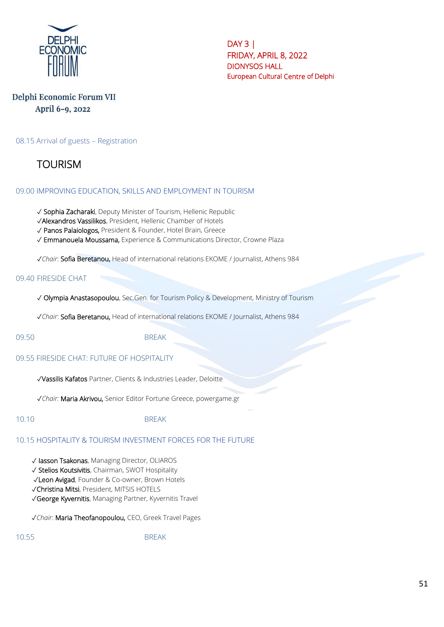

## Delphi Economic Forum VII April 6-9, 2022

08.15 Arrival of guests – Registration

**TOURISM** 

#### 09.00 IMPROVING EDUCATION, SKILLS AND EMPLOYMENT IN TOURISM

✓ Sophia Zacharaki, Deputy Minister of Tourism, Hellenic Republic

✓Alexandros Vassilikos, President, Hellenic Chamber of Hotels

✓ Panos Palaiologos, President & Founder, Hotel Brain, Greece

✓ Emmanouela Moussama, Experience & Communications Director, Crowne Plaza

✓*Chair*: Sofia Beretanou, Head of international relations EKOME / Journalist, Athens 984

#### 09.40 FIRESIDE CHAT

✓ Olympia Anastasopoulou, Sec.Gen. for Tourism Policy & Development, Ministry of Tourism

✓*Chair*: Sofia Beretanou, Head of international relations EKOME / Journalist, Athens 984

#### 09.50 BREAK

09.55 FIRESIDE CHAT: FUTURE OF HOSPITALITY

✓Vassilis Kafatos Partner, Clients & Industries Leader, Deloitte

✓*Chair:* Maria Akrivou, Senior Editor Fortune Greece, powergame.gr

10.10 BREAK

#### 10.15 HOSPITALITY & TOURISM INVESTMENT FORCES FOR THE FUTURE

✓ Iasson Tsakonas, Managing Director, OLIAROS

✓ Stelios Koutsivitis, Chairman, SWOT Hospitality

✓Leon Avigad, Founder & Co-owner, Brown Hotels

✓Christina Mitsi, President, MITSIS HOTELS

✓George Kyvernitis, Managing Partner, Kyvernitis Travel

✓*Chair*: Maria Theofanopoulou, CEO, Greek Travel Pages

10.55 BREAK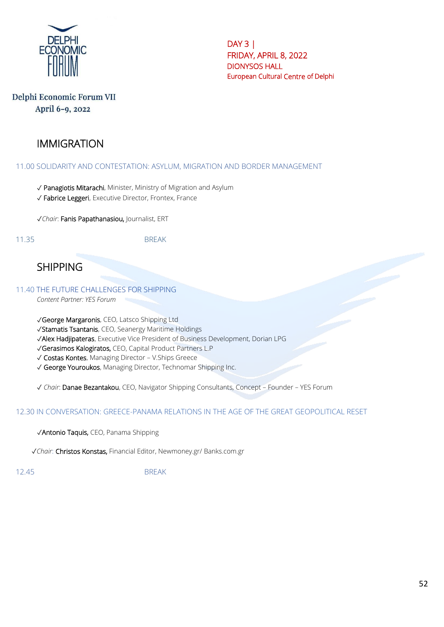

## Delphi Economic Forum VII April 6-9, 2022

# IMMIGRATION

#### 11.00 SOLIDARITY AND CONTESTATION: ASYLUM, MIGRATION AND BORDER MANAGEMENT

- ✓ Panagiotis Mitarachi, Minister, Ministry of Migration and Asylum
- ✓ Fabrice Leggeri, Executive Director, Frontex, France

✓*Chair*: Fanis Papathanasiou, Journalist, ERT

11.35 BREAK

SHIPPING

11.40 THE FUTURE CHALLENGES FOR SHIPPING

*Content Partner: YES Forum*

- ✓George Margaronis, CEO, Latsco Shipping Ltd
- ✓Stamatis Tsantanis, CEO, Seanergy Maritime Holdings
- ✓Alex Hadjipateras, Executive Vice President of Business Development, Dorian LPG
- ✓Gerasimos Kalogiratos, CEO, Capital Product Partners L.P
- ✓ Costas Kontes, Μanaging Director V.Ships Greece
- ✓ George Youroukos, Managing Director, Technomar Shipping Inc.

✓ *Chair*: Danae Bezantakou, CEO, Navigator Shipping Consultants, Concept – Founder – YES Forum

#### 12.30 IN CONVERSATION: GREECE-PANAMA RELATIONS IN THE AGE OF THE GREAT GEOPOLITICAL RESET

✓Antonio Taquis, CEO, Panama Shipping

✓*Chair*: Christos Konstas, Financial Editor, Newmoney.gr/ Banks.com.gr

12.45 BREAK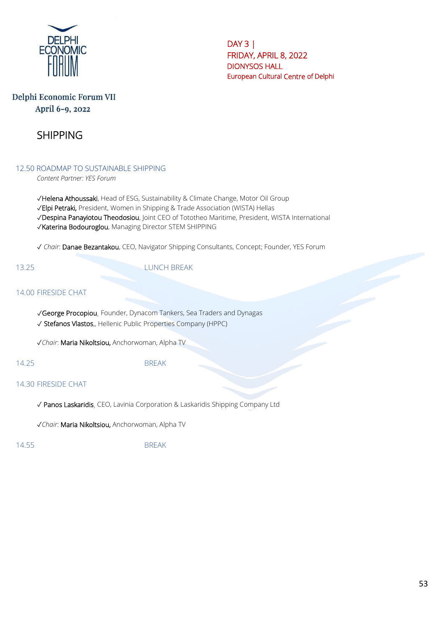

## Delphi Economic Forum VII April 6-9, 2022

# SHIPPING

12.50 ROADMAP TO SUSTAINABLE SHIPPING

*Content Partner: YES Forum*

✓Helena Athoussaki, Head of ESG, Sustainability & Climate Change, Motor Oil Group ✓Elpi Petraki, President, Women in Shipping & Trade Association (WISTA) Hellas ✓Despina Panayiotou Theodosiou, Joint CEO of Tototheo Maritime, President, WISTA International ✓Katerina Bodouroglou, Managing Director STEM SHIPPING

✓ *Chair*: Danae Bezantakou, CEO, Navigator Shipping Consultants, Concept; Founder, YES Forum

13.25 LUNCH BREAK

### 14.00 FIRESIDE CHAT

✓George Procopiou, Founder, Dynacom Tankers, Sea Traders and Dynagas ✓ Stefanos Vlastos,, Hellenic Public Properties Company (HPPC)

✓*Chair*: Maria Nikoltsiou, Anchorwoman, Alpha TV

14.25 BREAK

#### 14.30 FIRESIDE CHAT

✓ Panos Laskaridis, CEO, Lavinia Corporation & Laskaridis Shipping Company Ltd

✓*Chair*: Maria Nikoltsiou, Anchorwoman, Alpha TV

14.55 BREAK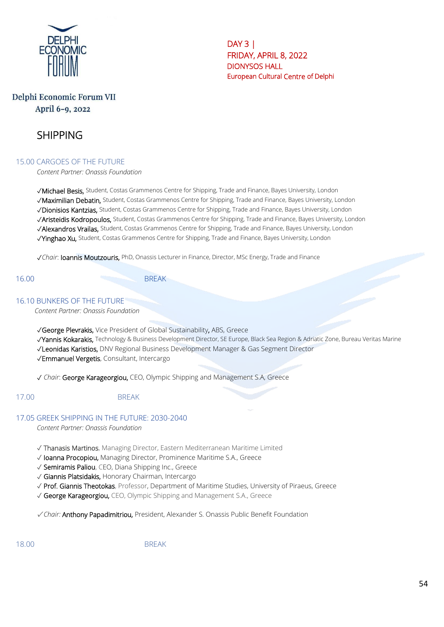

# Delphi Economic Forum VII April 6-9, 2022

# SHIPPING

#### 15.00 CARGOES OF THE FUTURE

*Content Partner: Onassis Foundation*

✓Michael Besis, Student, Costas Grammenos Centre for Shipping, Trade and Finance, Bayes University, London ✓Maximilian Debatin, Student, Costas Grammenos Centre for Shipping, Trade and Finance, Bayes University, London ✓Dionisios Kantzias, Student, Costas Grammenos Centre for Shipping, Trade and Finance, Bayes University, London ✓Aristeidis Kodropoulos, Student, Costas Grammenos Centre for Shipping, Trade and Finance, Bayes University, London ✓Alexandros Vrailas, Student, Costas Grammenos Centre for Shipping, Trade and Finance, Bayes University, London √Yinghao Xu, Student, Costas Grammenos Centre for Shipping, Trade and Finance, Bayes University, London

✓*Chair*: Ioannis Moutzouris, PhD, Onassis Lecturer in Finance, Director, MSc Energy, Trade and Finance

16.00 BREAK

#### 16.10 BUNKERS OF THE FUTURE

*Content Partner: Onassis Foundation*

✓George Plevrakis, Vice President of Global Sustainability, ABS, Greece

- √Yannis Kokarakis, Technology & Business Development Director, SE Europe, Black Sea Region & Adriatic Zone, Bureau Veritas Marine
- ✓Leonidas Karistios, DNV Regional Business Development Manager & Gas Segment Director

✓Emmanuel Vergetis, Consultant, Intercargo

✓ *Chair*: George Karageorgiou, CEO, Olympic Shipping and Management S.A, Greece

#### 17.00 BREAK

#### 17.05 GREEK SHIPPING IN THE FUTURE: 2030-2040

*Content Partner: Onassis Foundation*

- ✓ Thanasis Martinos, Managing Director, Eastern Mediterranean Maritime Limited
- ✓ Ioanna Procopiou, Managing Director, Prominence Maritime S.A., Greece
- ✓ Semiramis Paliou, CEO, Diana Shipping Inc., Greece
- ✓ Giannis Platsidakis, Honorary Chairman, Intercargo
- ✓ Prof. Giannis Theotokas, Professor, Department of Maritime Studies, University of Piraeus, Greece
- ✓ George Karageorgiou, CEO, Olympic Shipping and Management S.A., Greece

✓ *Chair:* Anthony Papadimitriou, President, Alexander S. Onassis Public Benefit Foundation

18.00 BREAK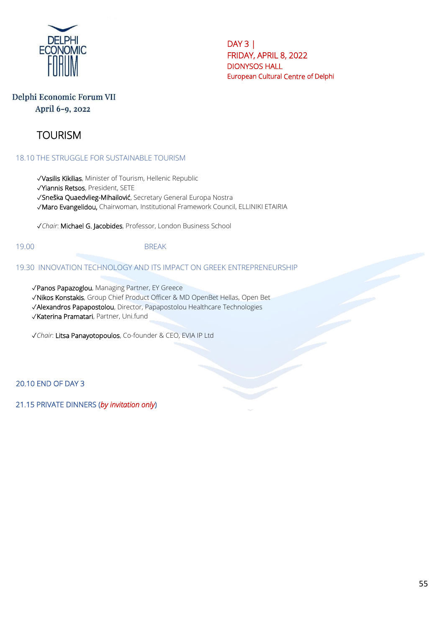

## Delphi Economic Forum VII April 6-9, 2022

# TOURISM

18.10 THE STRUGGLE FOR SUSTAINABLE TOURISM

✓Vasilis Kikilias, Minister of Tourism, Hellenic Republic

✓Yiannis Retsos, President, SETE

✓Sneška Quaedvlieg-Mihailović, Secretary General Europa Nostra

✓Maro Evangelidou, Chairwoman, Institutional Framework Council, ELLINIKI ETAIRIA

✓*Chair*: Michael G. Jacobides, Professor, London Business School

#### 19.00 BREAK

#### 19.30 INNOVATION TECHNOLOGY AND ITS IMPACT ON GREEK ENTREPRENEURSHIP

✓Panos Papazoglou, Managing Partner, EY Greece

✓Nikos Konstakis, Group Chief Product Officer & MD OpenBet Hellas, Open Bet

✓Alexandros Papapostolou, Director, Papapostolou Healthcare Technologies

✓Katerina Pramatari, Partner, Uni.fund

✓*Chair*: Litsa Panayotopoulos, Co-founder & CEO, EVIA IP Ltd

20.10 END OF DAY 3

21.15 PRIVATE DINNERS (*by invitation only*)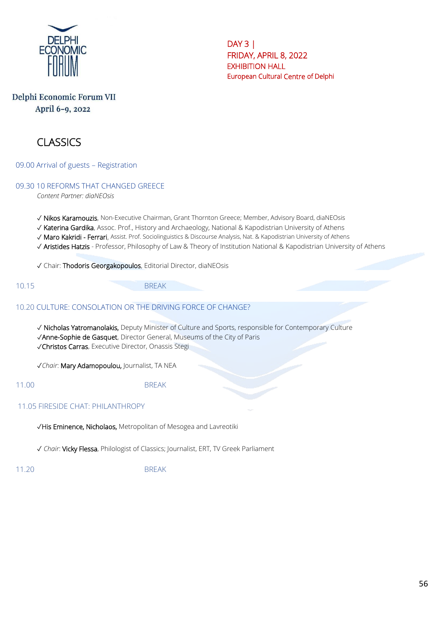

# Delphi Economic Forum VII April 6-9, 2022



09.00 Arrival of guests – Registration

09.30 10 REFORMS THAT CHANGED GREECE

*Content Partner: diaNEOsis*

✓ Nikos Karamouzis, Non-Executive Chairman, Grant Thornton Greece; Member, Advisory Board, diaNEOsis

- ✓ Katerina Gardika, Assoc. Prof., History and Archaeology, National & Kapodistrian University of Athens
- ✓ Maro Kakridi Ferrari, Assist. Prof. Sociolinguistics & Discourse Analysis, Nat. & Kapodistrian University of Athens
- ✓ Aristides Hatzis Professor, Philosophy of Law & Theory of Institution National & Kapodistrian University of Athens

✓ Chair: Thodoris Georgakopoulos, Editorial Director, diaNEOsis

10.15 BREAK

#### 10.20 CULTURE: CONSOLATION OR THE DRIVING FORCE OF CHANGE?

✓ Nicholas Yatromanolakis, Deputy Minister of Culture and Sports, responsible for Contemporary Culture ✓Anne-Sophie de Gasquet, Director General, Museums of the City of Paris

✓Christos Carras, Executive Director, Onassis Stegi

✓*Chair*: Mary Adamopoulou, Journalist, TA NEA

11.00 BREAK

11.05 FIRESIDE CHAT: PHILANTHROPY

✓His Eminence, Nicholaos, Metropolitan of Mesogea and Lavreotiki

✓ *Chair*: Vicky Flessa, Philologist of Classics; Journalist, ERT, TV Greek Parliament

11.20 BREAK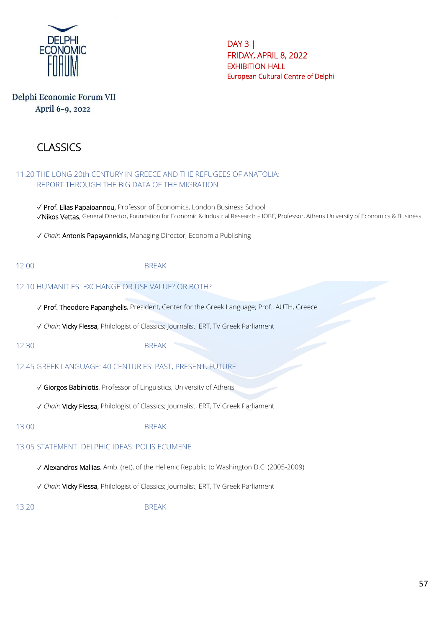

# Delphi Economic Forum VII April 6-9, 2022

# CLASSICS

#### 11.20 THE LONG 20th CENTURY IN GREECE AND THE REFUGEES OF ANATOLIA: REPORT THROUGH THE BIG DATA OF THE MIGRATION

✓ Prof. Elias Papaioannou, Professor of Economics, London Business School ✓Nikos Vettas, General Director, Foundation for Economic & Industrial Research – IOBE, Professor, Athens University of Economics & Business

✓ *Chair*: Antonis Papayannidis, Managing Director, Economia Publishing

#### 12.00 BREAK

## 12.10 HUMANITIES: EXCHANGE OR USE VALUE? OR BOTH?

✓ Prof. Theodore Papanghelis, President, Center for the Greek Language; Prof., AUTH, Greece

✓ *Chair*: Vicky Flessa, Philologist of Classics; Journalist, ERT, TV Greek Parliament

12.30 BREAK

## 12.45 GREEK LANGUAGE: 40 CENTURIES: PAST, PRESENT, FUTURE

✓ Giorgos Babiniotis, Professor of Linguistics, University of Athens

✓ *Chair*: Vicky Flessa, Philologist of Classics; Journalist, ERT, TV Greek Parliament

13.00 BREAK

# 13.05 STATEMENT: DELPHIC IDEAS: POLIS ECUMENE

✓ Alexandros Mallias, Amb. (ret), of the Hellenic Republic to Washington D.C. (2005-2009)

✓ *Chair*: Vicky Flessa, Philologist of Classics; Journalist, ERT, TV Greek Parliament

13.20 BREAK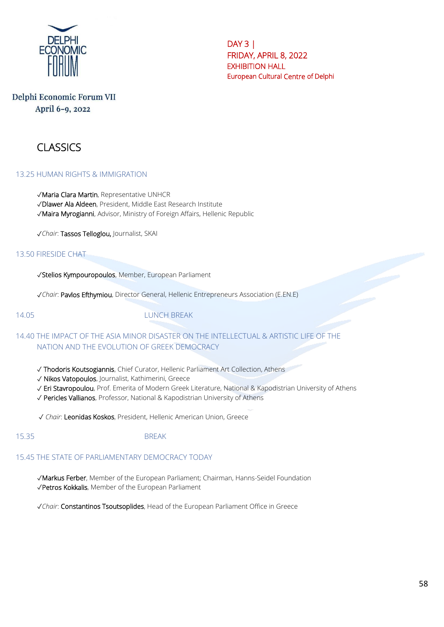

## Delphi Economic Forum VII April 6-9, 2022

# CLASSICS

#### 13.25 HUMAN RIGHTS & IMMIGRATION

✓Maria Clara Martin, Representative UNHCR

- ✓Dlawer Ala Aldeen, President, Middle East Research Institute
- ✓Maira Myrogianni, Advisor, Ministry of Foreign Affairs, Hellenic Republic

✓*Chair*: Tassos Telloglou, Journalist, SKAI

#### 13.50 FIRESIDE CHAT

✓Stelios Kympouropoulos, Member, European Parliament

✓*Chair*: Pavlos Efthymiou, Director General, Hellenic Entrepreneurs Association (E.EN.E)

#### 14.05 LUNCH BREAK

### 14.40 THE IMPACT OF THE ASIA MINOR DISASTER ON THE INTELLECTUAL & ARTISTIC LIFE OF THE NATION AND THE EVOLUTION OF GREEK DEMOCRACY

- ✓ Thodoris Koutsogiannis, Chief Curator, Hellenic Parliament Art Collection, Athens
- ✓ Nikos Vatopoulos, Journalist, Kathimerini, Greece
- ✓ Eri Stavropoulou, Prof. Emerita of Modern Greek Literature, National & Kapodistrian University of Athens
- ✓ Pericles Vallianos, Professor, National & Kapodistrian University of Athens

✓ *Chair*: Leonidas Koskos, President, Hellenic American Union, Greece

#### 15.35 BREAK

#### 15.45 THE STATE OF PARLIAMENTARY DEMOCRACY TODAY

✓Markus Ferber, Member of the European Parliament; Chairman, Hanns-Seidel Foundation ✓Petros Kokkalis, Member of the European Parliament

✓*Chair*: Constantinos Tsoutsoplides, Head of the European Parliament Office in Greece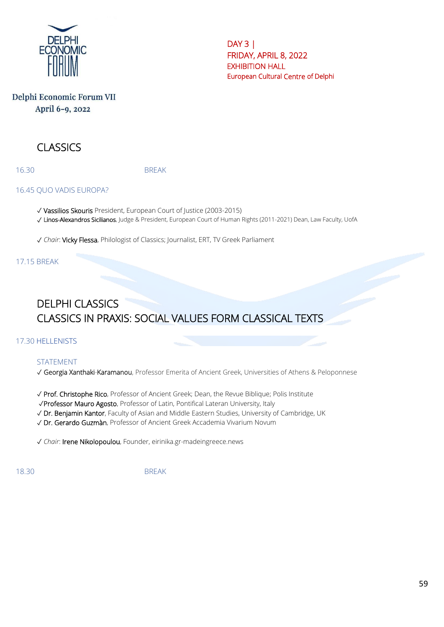

# Delphi Economic Forum VII April 6-9, 2022

# CLASSICS

16.30 BREAK

#### 16.45 QUO VADIS EUROPA?

✓ Vassilios Skouris President, European Court of Justice (2003-2015) ✓ Linos-Alexandros Sicilianos, Judge & President, European Court of Human Rights (2011-2021) Dean, Law Faculty, UofA

✓ *Chair*: Vicky Flessa, Philologist of Classics; Journalist, ERT, TV Greek Parliament

## 17.15 BREAK

# DELPHI CLASSICS CLASSICS IN PRAXIS: SOCIAL VALUES FORM CLASSICAL TEXTS

## 17.30 HELLENISTS

## STATEMENT

✓ Georgia Xanthaki-Karamanou, Professor Emerita of Ancient Greek, Universities of Athens & Peloponnese

✓ Prof. Christophe Rico, Professor of Ancient Greek; Dean, the Revue Biblique; Polis Institute

✓Professor Mauro Agosto, Professor of Latin, Pontifical Lateran University, Italy

✓ Dr. Benjamin Kantor, Faculty of Asian and Middle Eastern Studies, University of Cambridge, UK

✓ Dr. Gerardo Guzmàn, Professor of Ancient Greek Accademia Vivarium Novum

✓ *Chair*: Irene Nikolopoulou, Founder, eirinika.gr-madeingreece.news

18.30 BREAK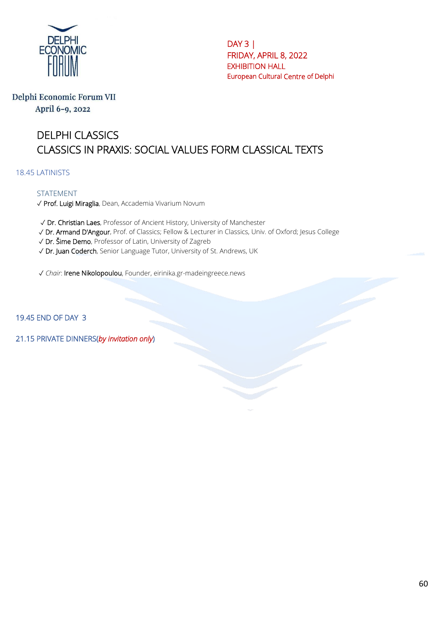

Delphi Economic Forum VII April 6-9, 2022

# DELPHI CLASSICS CLASSICS IN PRAXIS: SOCIAL VALUES FORM CLASSICAL TEXTS

18.45 LATINISTS

#### STATEMENT

✓ Prof. Luigi Miraglia, Dean, Accademia Vivarium Novum

✓ Dr. Christian Laes, Professor of Ancient History, University of Manchester

✓ Dr. Armand D'Angour, Prof. of Classics; Fellow & Lecturer in Classics, Univ. of Oxford; Jesus College

✓ Dr. Šime Demo, Professor of Latin, University of Zagreb

✓ Dr. Juan Coderch, Senior Language Tutor, University of St. Andrews, UK

✓ *Chair*: Irene Nikolopoulou, Founder, eirinika.gr-madeingreece.news

19.45 END OF DAY 3

21.15 PRIVATE DINNERS(*by invitation only*)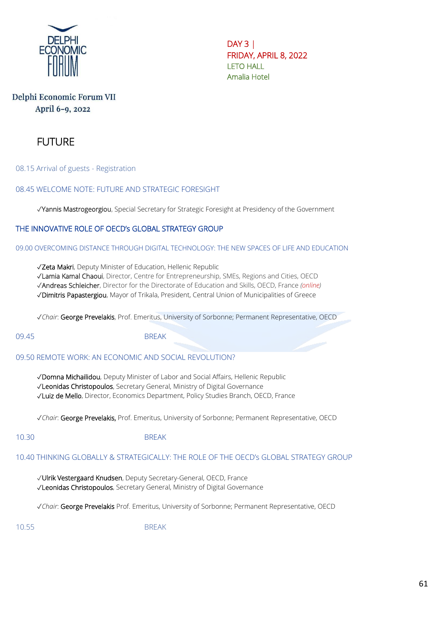

# Delphi Economic Forum VII April 6-9, 2022



08.15 Arrival of guests - Registration

08.45 WELCOME NOTE: FUTURE AND STRATEGIC FORESIGHT

✓Yannis Mastrogeorgiou, Special Secretary for Strategic Foresight at Presidency of the Government

### THE INNOVATIVE ROLE OF OECD's GLOBAL STRATEGY GROUP

09.00 OVERCOMING DISTANCE THROUGH DIGITAL TECHNOLOGY: THE NEW SPACES OF LIFE AND EDUCATION

✓Zeta Makri, Deputy Minister of Education, Hellenic Republic

✓Lamia Kamal Chaoui, Director, Centre for Entrepreneurship, SMEs, Regions and Cities, OECD

✓Andreas Schleicher, Director for the Directorate of Education and Skills, OECD, France *(online)*

✓Dimitris Papastergiou, Mayor of Trikala, President, Central Union of Municipalities of Greece

✓*Chair*: George Prevelakis, Prof. Emeritus, University of Sorbonne; Permanent Representative, OECD

09.45 BREAK

09.50 REMOTE WORK: AN ECONOMIC AND SOCIAL REVOLUTION?

✓Domna Michailidou, Deputy Minister of Labor and Social Affairs, Hellenic Republic

✓Leonidas Christopoulos, Secretary General, Ministry of Digital Governance

✓Luiz de Mello, Director, Economics Department, Policy Studies Branch, OECD, France

✓*Chair*: George Prevelakis, Prof. Emeritus, University of Sorbonne; Permanent Representative, OECD

#### 10.30 BRFAK

#### 10.40 THINKING GLOBALLY & STRATEGICALLY: THE ROLE OF THE OECD's GLOBAL STRATEGY GROUP

✓Ulrik Vestergaard Knudsen, Deputy Secretary-General, OECD, France ✓Leonidas Christopoulos, Secretary General, Ministry of Digital Governance

✓*Chair*: George Prevelakis Prof. Emeritus, University of Sorbonne; Permanent Representative, OECD

10.55 BREAK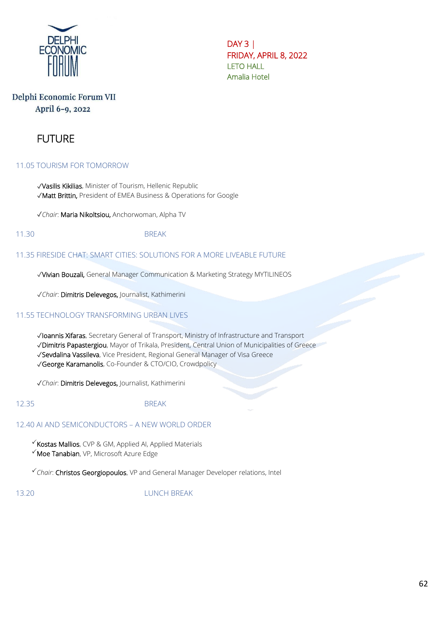

# Delphi Economic Forum VII April 6-9, 2022

# FUTURE

#### 11.05 TOURISM FOR TOMORROW

✓Vasilis Kikilias, Minister of Tourism, Hellenic Republic ✓Matt Brittin, President of EMEA Business & Operations for Google

✓*Chair*: Maria Nikoltsiou, Anchorwoman, Alpha TV

11.30 BREAK

#### 11.35 FIRESIDE CHAT: SMART CITIES: SOLUTIONS FOR A MORE LIVEABLE FUTURE

✓Vivian Bouzali, General Manager Communication & Marketing Strategy MYTILINEOS

✓*Chair*: Dimitris Delevegos, Journalist, Kathimerini

#### 11.55 TECHNOLOGY TRANSFORMING URBAN LIVES

✓Ioannis Xifaras, Secretary General of Transport, Ministry of Infrastructure and Transport

✓Dimitris Papastergiou, Mayor of Trikala, President, Central Union of Municipalities of Greece

✓Sevdalina Vassileva, Vice President, Regional General Manager of Visa Greece

✓George Karamanolis, Co-Founder & CTO/CIO, Crowdpolicy

✓*Chair*: Dimitris Delevegos, Journalist, Kathimerini

12.35 BREAK

12.40 AI AND SEMICONDUCTORS – A NEW WORLD ORDER

 $\checkmark$  Kostas Mallios, CVP & GM, Applied AI, Applied Materials

 $\checkmark$  Moe Tanabian, VP, Microsoft Azure Edge

*Chair*: Christos Georgiopoulos, VP and General Manager Developer relations, Intel

13.20 LUNCH BREAK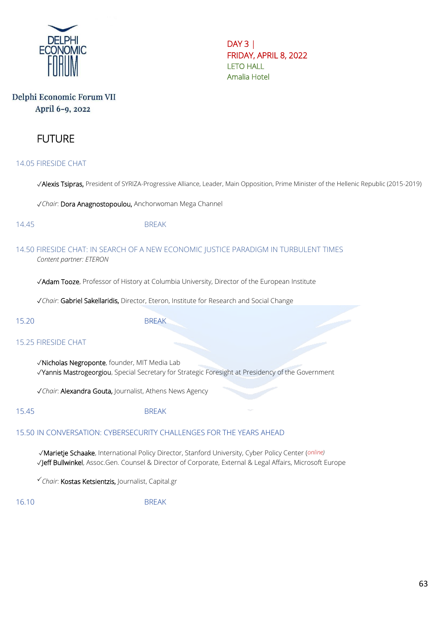

# Delphi Economic Forum VII April 6-9, 2022

# FUTURE

14.05 FIRESIDE CHAT

✓Alexis Tsipras, President of SYRIZA-Progressive Alliance, Leader, Main Opposition, Prime Minister of the Hellenic Republic (2015-2019)

✓*Chair*: Dora Anagnostopoulou, Anchorwoman Mega Channel

14.45 BREAK

#### 14.50 FIRESIDE CHAT: IN SEARCH OF A NEW ECONOMIC JUSTICE PARADIGM IN TURBULENT TIMES *Content partner: ETERON*

✓Adam Tooze, Professor of History at Columbia University, Director of the European Institute

✓*Chair*: Gabriel Sakellaridis, Director, Eteron, Institute for Research and Social Change

15.20 BREAK

#### 15.25 FIRESIDE CHAT

✓Nicholas Negroponte, founder, MIT Media Lab ✓Yannis Mastrogeorgiou, Special Secretary for Strategic Foresight at Presidency of the Government

✓*Chair*: Alexandra Gouta, Journalist, Athens News Agency

15.45 BREAK

#### 15.50 IN CONVERSATION: CYBERSECURITY CHALLENGES FOR THE YEARS AHEAD

✓Marietje Schaake, International Policy Director, Stanford University, Cyber Policy Center (*online)* ✓Jeff Bullwinkel, Assoc.Gen. Counsel & Director of Corporate, External & Legal Affairs, Microsoft Europe

*Chair*: Κostas Ketsientzis, Journalist, Capital.gr

16.10 BREAK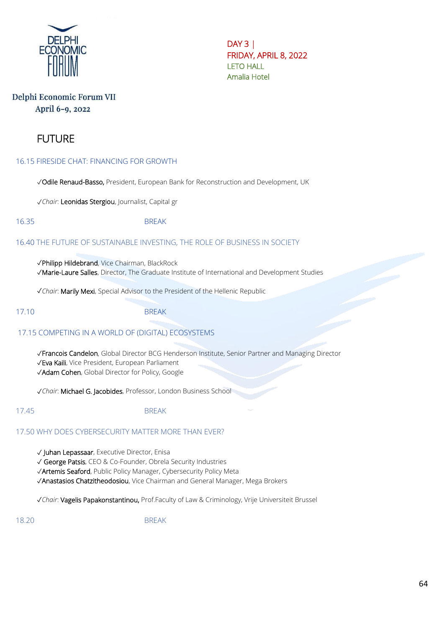

## Delphi Economic Forum VII April 6-9, 2022

# FUTURE

#### 16.15 FIRESIDE CHAT: FINANCING FOR GROWTH

✓Odile Renaud-Basso, President, European Bank for Reconstruction and Development, UK

✓*Chair*: Leonidas Stergiou, Journalist, Capital gr

16.35 BREAK

#### 16.40 THE FUTURE OF SUSTAINABLE INVESTING, THE ROLE OF BUSINESS IN SOCIETY

✓Philipp Hildebrand, Vice Chairman, BlackRock ✓Marie-Laure Salles, Director, The Graduate Institute of International and Development Studies

✓*Chair*: Marily Mexi, Special Advisor to the President of the Hellenic Republic

17.10 BREAK

## 17.15 COMPETING IN A WORLD OF (DIGITAL) ECOSYSTEMS

✓Francois Candelon, Global Director BCG Henderson Institute, Senior Partner and Managing Director ✓Eva Kaili, Vice President, European Parliament ✓Adam Cohen, Global Director for Policy, Google

✓*Chair*: Michael G. Jacobides, Professor, London Business School

#### 17.45 BREAK

#### 17.50 WHY DOES CYBERSECURITY MATTER MORE THAN EVER?

✓ Juhan Lepassaar, Executive Director, Enisa

✓ George Patsis, CEO & Co-Founder, Obrela Security Industries

✓Artemis Seaford, Public Policy Manager, Cybersecurity Policy Meta

✓Anastasios Chatzitheodosiou, Vice Chairman and General Manager, Mega Brokers

✓*Chair*: Vagelis Papakonstantinou, Prof.Faculty of Law & Criminology, Vrije Universiteit Brussel

18.20 BREAK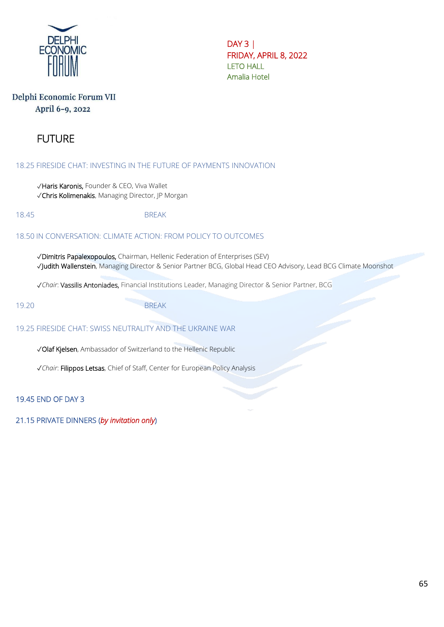

# Delphi Economic Forum VII April 6-9, 2022

# FUTURE

18.25 FIRESIDE CHAT: INVESTING IN THE FUTURE OF PAYMENTS INNOVATION

✓Haris Karonis, Founder & CEO, Viva Wallet ✓Chris Kolimenakis, Managing Director, JP Morgan

18.45 BREAK

#### 18.50 IN CONVERSATION: CLIMATE ACTION: FROM POLICY TO OUTCOMES

✓Dimitris Papalexopoulos, Chairman, Hellenic Federation of Enterprises (SEV) ✓Judith Wallenstein, Managing Director & Senior Partner BCG, Global Head CEO Advisory, Lead BCG Climate Moonshot

✓*Chair*: Vassilis Antoniades, Financial Institutions Leader, Managing Director & Senior Partner, BCG

19.20 BREAK

#### 19.25 FIRESIDE CHAT: SWISS NEUTRALITY AND THE UKRAINE WAR

✓Olaf Kjelsen, Ambassador of Switzerland to the Hellenic Republic

✓*Chair*: Filippos Letsas, Chief of Staff, Center for European Policy Analysis

19.45 END OF DAY 3

21.15 PRIVATE DINNERS (*by invitation only*)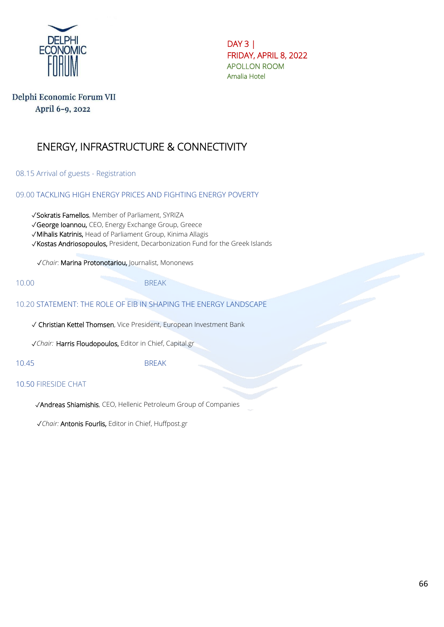

DAY 3 | FRIDAY, APRIL 8, 2022 APOLLON ROOM Amalia Hotel

# Delphi Economic Forum VII April 6-9, 2022

# ENERGY, INFRASTRUCTURE & CONNECTIVITY

08.15 Arrival of guests - Registration

09.00 TACKLING HIGH ENERGY PRICES AND FIGHTING ENERGY POVERTY

✓Sokratis Famellos, Member of Parliament, SYRIZA

✓George Ioannou, CEO, Energy Exchange Group, Greece

✓Mihalis Katrinis, Head of Parliament Group, Kinima Allagis

✓Kostas Andriosopoulos, President, Decarbonization Fund for the Greek Islands

✓*Chair*: Marina Protonotariou, Journalist, Mononews

10.00 BREAK

#### 10.20 STATEMENT: THE ROLE OF EIB IN SHAPING THE ENERGY LANDSCAPE

✓ Christian Kettel Thomsen, Vice President, European Investment Bank

√*Chair:* Harris Floudopoulos, Editor in Chief, Capital.gr

10.45 BREAK

#### 10.50 FIRESIDE CHAT

✓Andreas Shiamishis, CEO, Hellenic Petroleum Group of Companies

✓*Chair:* Antonis Fourlis, Editor in Chief, Huffpost.gr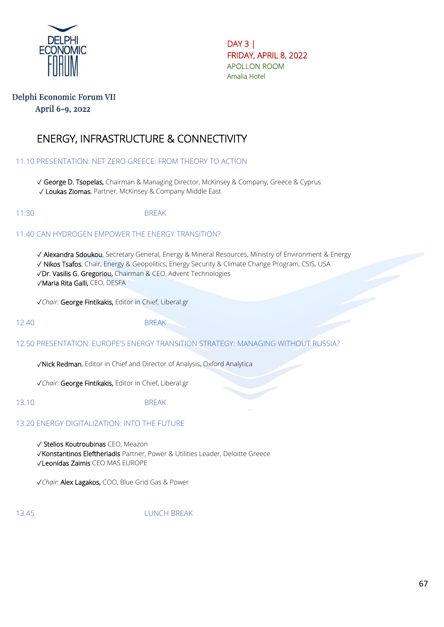

DAY 3 | FRIDAY, APRIL 8, 2022 APOLLON ROOM Amalia Hotel

# Delphi Economic Forum VII April 6-9, 2022

# ENERGY, INFRASTRUCTURE & CONNECTIVITY

### 11.10 PRESENTATION: NET ZERO GREECE: FROM THEORY TO ACTION

✓ George D. Tsopelas, Chairman & Managing Director, McKinsey & Company, Greece & Cyprus ✓ Loukas Ziomas, Partner, McKinsey & Company Middle East

11.30 BREAK

#### 11.40 CAN HYDROGEN EMPOWER THE ENERGY TRANSITION?

✓ Alexandra Sdoukou, Secretary General, Energy & Mineral Resources, Ministry of Environment & Energy ✓ Nikos Tsafos, Chair, Energy & Geopolitics, Energy Security & Climate Change Program, CSIS, USA ✓Dr. Vasilis G. Gregoriou, Chairman & CEO, Advent Technologies

✓Maria Rita Galli, CEO, DESFA

✓*Chair*: George Fintikakis, Editor in Chief, Liberal.gr

12.40 BREAK

#### 12.50 PRESENTATION: EUROPE'S ENERGY TRANSITION STRATEGY: MANAGING WITHOUT RUSSIA?

✓Nick Redman, Editor in Chief and Director of Analysis, Oxford Analytica

✓*Chair*: George Fintikakis, Editor in Chief, Liberal.gr

13.10 BREAK

#### 13.20 ENERGY DIGITALIZATION: INTO THE FUTURE

✓ Stelios Koutroubinas CEO, Meazon

✓Konstantinos Eleftheriadis Partner, Power & Utilities Leader, Deloitte Greece

✓Leonidas Zaimis CEO MAS EUROPE

✓*Chair*: Alex Lagakos, COO, Blue Grid Gas & Power

13.45 LUNCH BREAK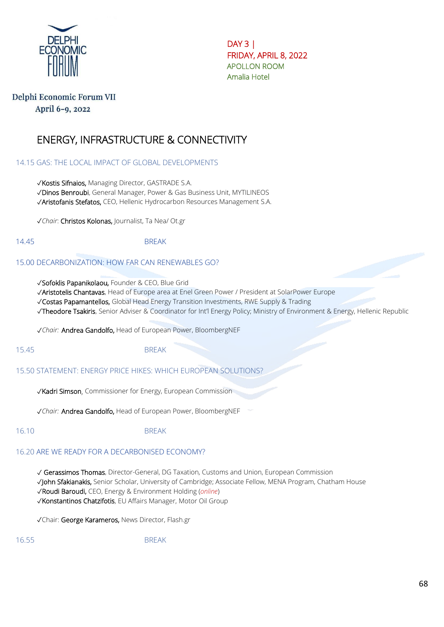

 $DAY3$ FRIDAY, APRIL 8, 2022 APOLLON ROOM Amalia Hotel

## Delphi Economic Forum VII April 6-9, 2022

# ENERGY, INFRASTRUCTURE & CONNECTIVITY

14.15 GAS: THE LOCAL IMPACT OF GLOBAL DEVELOPMENTS

✓Kostis Sifnaios, Managing Director, GASTRADE S.A. ✓Dinos Benroubi, General Manager, Power & Gas Business Unit, MYTILINEOS ✓Aristofanis Stefatos, CEO, Hellenic Hydrocarbon Resources Management S.A.

✓*Chair*: Christos Kolonas, Journalist, Ta Nea/ Ot.gr

14.45 BREAK

#### 15.00 DECARBONIZATION: HOW FAR CAN RENEWABLES GO?

✓Sofoklis Papanikolaou, Founder & CEO, Blue Grid

✓Aristotelis Chantavas, Head of Europe area at Enel Green Power / President at SolarPower Europe

✓Costas Papamantellos, Global Head Energy Transition Investments, RWE Supply & Trading

✓Theodore Tsakiris, Senior Adviser & Coordinator for Int'l Energy Policy; Ministry of Environment & Energy, Hellenic Republic

✓*Chair:* Andrea Gandolfo, Head of European Power, BloombergNEF

15.45 BREAK

15.50 STATEMENT: ENERGY PRICE HIKES: WHICH EUROPEAN SOLUTIONS?

✓Kadri Simson, Commissioner for Energy, European Commission

✓*Chair:* Andrea Gandolfo, Head of European Power, BloombergNEF

16.10 BREAK

#### 16.20 ARE WE READY FOR A DECARBONISED ECONOMY?

✓ Gerassimos Thomas, Director-General, DG Taxation, Customs and Union, European Commission

✓John Sfakianakis, Senior Scholar, University of Cambridge; Associate Fellow, MENA Program, Chatham House

✓Roudi Baroudi, CEO, Energy & Environment Holding (*online*)

✓Konstantinos Chatzifotis, EU Affairs Manager, Motor Oil Group

✓Chair: George Karameros, News Director, Flash.gr

16.55 BREAK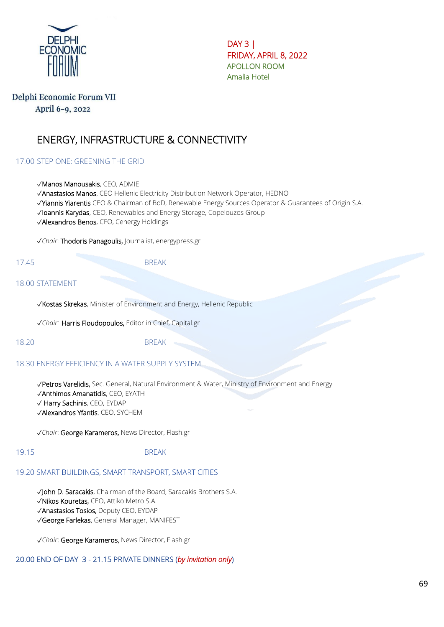

DAY 3 | FRIDAY, APRIL 8, 2022 APOLLON ROOM Amalia Hotel

## Delphi Economic Forum VII April 6-9, 2022

# ENERGY, INFRASTRUCTURE & CONNECTIVITY

### 17.00 STEP ONE: GREENING THE GRID

✓Manos Manousakis, CEO, ADMIE

✓Anastasios Manos, CEO Hellenic Electricity Distribution Network Operator, HEDNO

✓Yiannis Yiarentis CEO & Chairman of BoD, Renewable Energy Sources Operator & Guarantees of Origin S.A.

✓Ioannis Karydas, CEO, Renewables and Energy Storage, Copelouzos Group

✓Alexandros Benos, CFO, Cenergy Holdings

✓*Chair*: Thodoris Panagoulis, Journalist, energypress.gr

17.45 BREAK

### 18.00 STATEMENT

✓Kostas Skrekas, Minister of Environment and Energy, Hellenic Republic

✓*Chair:* Harris Floudopoulos, Editor in Chief, Capital.gr

18.20 BREAK

#### 18.30 ENERGY EFFICIENCY IN A WATER SUPPLY SYSTEM

✓Petros Varelidis, Sec. General, Natural Environment & Water, Ministry of Environment and Energy ✓Anthimos Amanatidis, CEO, EYATH ✓ Harry Sachinis, CEO, EYDAP ✓Alexandros Yfantis, CEO, SYCHEM

✓*Chair*: George Karameros, News Director, Flash.gr

#### 19.15 BREAK

# 19.20 SMART BUILDINGS, SMART TRANSPORT, SMART CITIES

✓John D. Saracakis, Chairman of the Board, Saracakis Brothers S.A. ✓Nikos Kouretas, CEO, Attiko Metro S.A. ✓Anastasios Tosios, Deputy CEO, EYDAP ✓George Farlekas, General Manager, MANIFEST

✓*Chair*: George Karameros, News Director, Flash.gr

# 20.00 END OF DAY 3 - 21.15 PRIVATE DINNERS (*by invitation only*)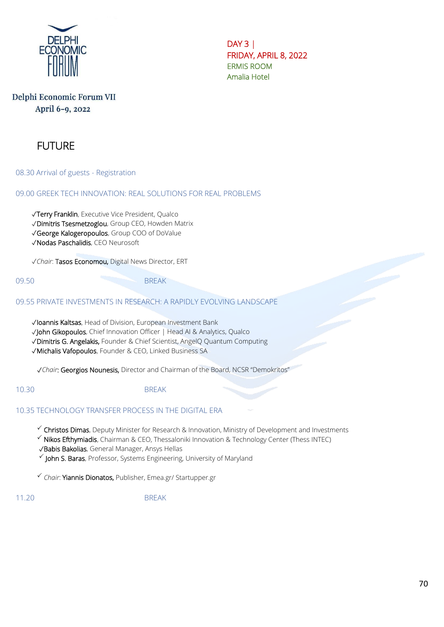

DAY 3 | FRIDAY, APRIL 8, 2022 ERMIS ROOM Amalia Hotel

# Delphi Economic Forum VII April 6-9, 2022

# **FUTURE**

08.30 Arrival of guests - Registration

09.00 GREEK TECH INNOVATION: REAL SOLUTIONS FOR REAL PROBLEMS

✓Terry Franklin, Executive Vice President, Qualco

✓Dimitris Tsesmetzoglou, Group CEO, Howden Matrix

✓George Kalogeropoulos, Group COO of DoValue

✓Nodas Paschalidis, CEO Neurosoft

✓*Chair*: Tasos Economou, Digital News Director, ERT

09.50 BREAK

09.55 PRIVATE INVESTMENTS IN RESEARCH: A RAPIDLY EVOLVING LANDSCAPE

✓Ioannis Kaltsas, Head of Division, European Investment Bank ✓John Gikopoulos, Chief Innovation Officer | Head AI & Analytics, Qualco ✓Dimitris G. Angelakis, Founder & Chief Scientist, AngelQ Quantum Computing ✓Michalis Vafopoulos, Founder & CEO, Linked Business SA

✓*Chair*: Georgios Nounesis, Director and Chairman of the Board, NCSR "Demokritos"

10.30 BREAK

#### 10.35 TECHNOLOGY TRANSFER PROCESS IN THE DIGITAL ERA

 $\checkmark$  Christos Dimas, Deputy Minister for Research & Innovation, Ministry of Development and Investments

 $\checkmark$  Nikos Efthymiadis, Chairman & CEO, Thessaloniki Innovation & Technology Center (Thess INTEC)

✓Babis Bakolias, General Manager, Ansys Hellas

 $\checkmark$  John S. Baras, Professor, Systems Engineering, University of Maryland

*Chair*: Yiannis Dionatos, Publisher, Emea.gr/ Startupper.gr

11.20 BREAK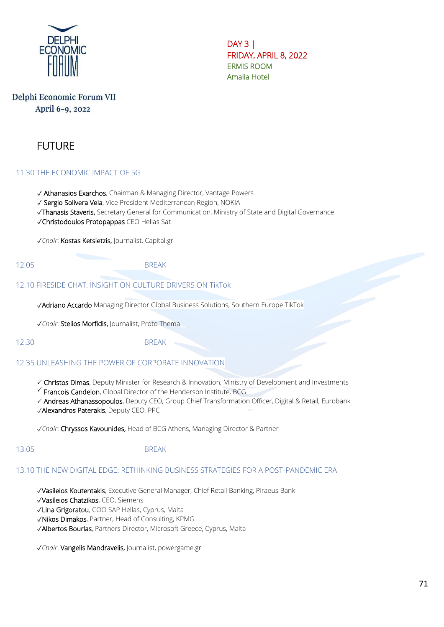

DAY 3 | FRIDAY, APRIL 8, 2022 ERMIS ROOM Amalia Hotel

# Delphi Economic Forum VII April 6-9, 2022

# **FUTURE**

#### 11.30 THE ECONOMIC IMPACT OF 5G

✓ Athanasios Exarchos, Chairman & Managing Director, Vantage Powers

✓ Sergio Solivera Vela, Vice President Mediterranean Region, NOKIA

✓Thanasis Staveris, Secretary General for Communication, Ministry of State and Digital Governance

✓Christodoulos Protopappas CEO Hellas Sat

✓*Chair*: Kostas Ketsietzis, Journalist, Capital.gr

#### 12.05 BREAK

#### 12.10 FIRESIDE CHAT: INSIGHT ON CULTURE DRIVERS ON TikTok

✓Adriano Accardo Managing Director Global Business Solutions, Southern Europe TikTok

✓*Chair*: Stelios Morfidis, Journalist, Proto Thema

#### 12.30 BREAK

#### 12.35 UNLEASHING THE POWER OF CORPORATE INNOVATION

- Christos Dimas, Deputy Minister for Research & Innovation, Ministry of Development and Investments
- $\checkmark$  Francois Candelon, Global Director of the Henderson Institute, BCG
- Andreas Athanassopoulos, Deputy CEO, Group Chief Transformation Officer, Digital & Retail, Eurobank ✓Alexandros Paterakis, Deputy CEO, PPC

✓*Chair*: Chryssos Kavounides, Head of BCG Athens, Managing Director & Partner

#### 13.05 BREAK

#### 13.10 THE NEW DIGITAL EDGE: RETHINKING BUSINESS STRATEGIES FOR A POST-PANDEMIC ERA

✓Vasileios Koutentakis, Executive General Manager, Chief Retail Banking, Piraeus Bank

✓Vasileios Chatzikos, CEO, Siemens

- ✓Lina Grigoratou, COO SAP Hellas, Cyprus, Malta
- ✓Nikos Dimakos, Partner, Head of Consulting, KPMG
- ✓Albertos Bourlas, Partners Director, Microsoft Greece, Cyprus, Malta

✓*Chair*: Vangelis Mandravelis, Journalist, powergame.gr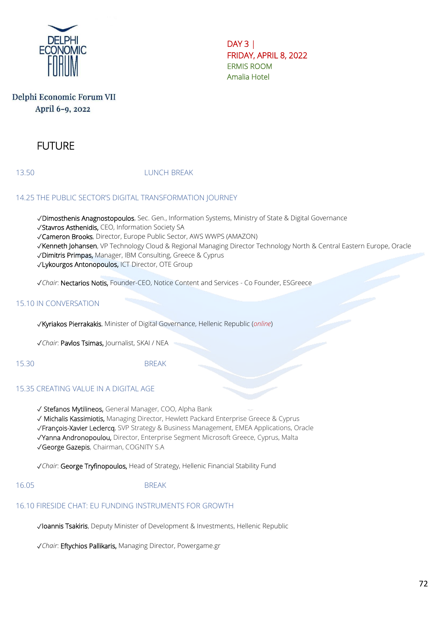

DAY 3 | FRIDAY, APRIL 8, 2022 ERMIS ROOM Amalia Hotel

# Delphi Economic Forum VII April 6-9, 2022

# FUTURE

13.50 LUNCH BREAK

### 14.25 THE PUBLIC SECTOR'S DIGITAL TRANSFORMATION JOURNEY

✓Dimosthenis Anagnostopoulos, Sec. Gen., Information Systems, Ministry of State & Digital Governance

✓Stavros Asthenidis, CEO, Information Society SA

✓Cameron Brooks, Director, Europe Public Sector, AWS WWPS (AMAZON)

✓Kenneth Johansen, VP Technology Cloud & Regional Managing Director Technology North & Central Eastern Europe, Oracle

✓Dimitris Primpas, Manager, IBM Consulting, Greece & Cyprus

✓Lykourgos Antonopoulos, ICT Director, OTE Group

✓*Chair*: Nectarios Notis, Founder-CEO, Notice Content and Services - Co Founder, ESGreece

### 15.10 IN CONVERSATION

✓Kyriakos Pierrakakis, Minister of Digital Governance, Hellenic Republic (*online*)

✓*Chair*: Pavlos Tsimas, Journalist, SKAI / NEA

15.30 BREAK

#### 15.35 CREATING VALUE IN A DIGITAL AGE

✓ Stefanos Mytilineos, General Manager, COO, Alpha Bank

✓ Michalis Kassimiotis, Managing Director, Hewlett Packard Enterprise Greece & Cyprus

✓François-Xavier Leclercq, SVP Strategy & Business Management, EMEA Applications, Oracle

✓Yanna Andronopoulou, Director, Enterprise Segment Microsoft Greece, Cyprus, Malta

✓George Gazepis, Chairman, COGNITY S.A

✓*Chair*: George Tryfinopoulos, Head of Strategy, Hellenic Financial Stability Fund

16.05 BREAK

#### 16.10 FIRESIDE CHAT: EU FUNDING INSTRUMENTS FOR GROWTH

✓Ioannis Tsakiris, Deputy Minister of Development & Investments, Hellenic Republic

✓*Chair*: Eftychios Pallikaris, Managing Director, Powergame.gr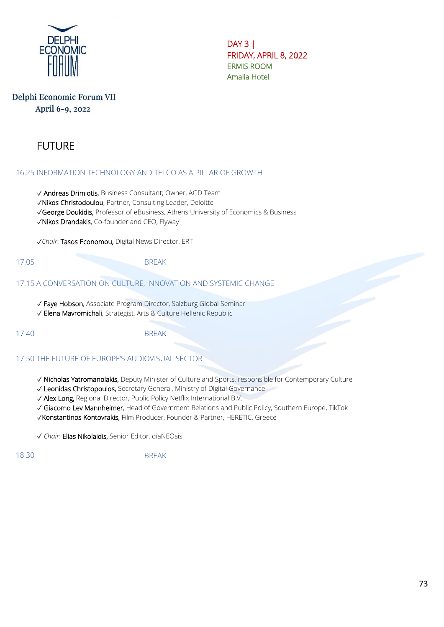

DAY 3 | FRIDAY, APRIL 8, 2022 ERMIS ROOM Amalia Hotel

# Delphi Economic Forum VII April 6-9, 2022

# FUTURE

### 16.25 INFORMATION TECHNOLOGY AND TELCO AS A PILLAR OF GROWTH

✓ Andreas Drimiotis, Business Consultant; Owner, AGD Team

✓Nikos Christodoulou, Partner, Consulting Leader, Deloitte

✓George Doukidis, Professor of eBusiness, Athens University of Economics & Business

✓Nikos Drandakis, Co-founder and CEO, Flyway

✓*Chair*: Tasos Economou, Digital News Director, ERT

17.05 BRFAK

### 17.15 A CONVERSATION ON CULTURE, INNOVATION AND SYSTEMIC CHANGE

✓ Faye Hobson, Associate Program Director, Salzburg Global Seminar

✓ Elena Mavromichali, Strategist, Arts & Culture Hellenic Republic

### 17.40 BREAK

17.50 THE FUTURE OF EUROPE'S AUDIOVISUAL SECTOR

✓ Nicholas Yatromanolakis, Deputy Minister of Culture and Sports, responsible for Contemporary Culture

✓ Leonidas Christopoulos, Secretary General, Ministry of Digital Governance

✓ Alex Long, Regional Director, Public Policy Netflix International B.V.

✓ Giacomo Lev Mannheimer, Head of Government Relations and Public Policy, Southern Europe, TikTok

✓Konstantinos Kontovrakis, Film Producer, Founder & Partner, HERETIC, Greece

✓ *Chair*: Elias Nikolaidis, Senior Editor, diaNEOsis

18.30 BREAK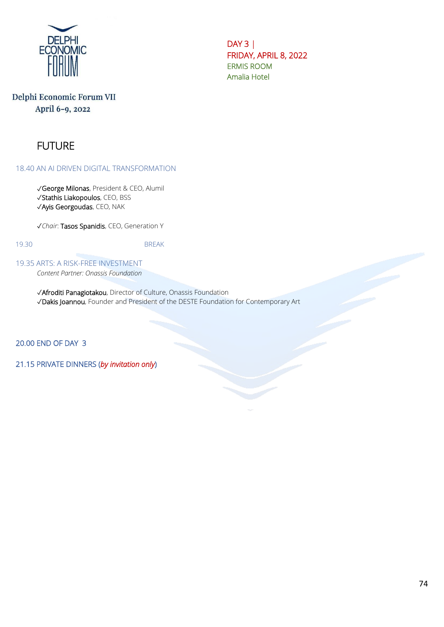

DAY 3 | FRIDAY, APRIL 8, 2022 ERMIS ROOM Amalia Hotel

# Delphi Economic Forum VII April 6-9, 2022

# FUTURE

18.40 AN AI DRIVEN DIGITAL TRANSFORMATION

✓George Milonas, President & CEO, Alumil ✓Stathis Liakopoulos, CEO, BSS ✓Ayis Georgoudas, CEO, NAK

✓*Chair*: Tasos Spanidis, CEO, Generation Y

19.30 BREAK

19.35 ARTS: A RISK-FREE INVESTMENT

*Content Partner: Onassis Foundation*

✓Afroditi Panagiotakou, Director of Culture, Onassis Foundation ✓Dakis Joannou, Founder and President of the DESTE Foundation for Contemporary Art

ļ

20.00 END OF DAY 3

21.15 PRIVATE DINNERS (*by invitation only*)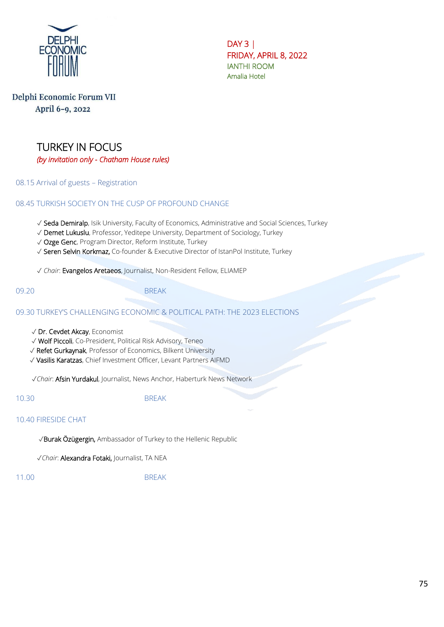

DAY 3 | FRIDAY, APRIL 8, 2022 IANTHI ROOM Amalia Hotel

# Delphi Economic Forum VII April 6-9, 2022



08.15 Arrival of guests – Registration

08.45 TURKISH SOCIETY ON THE CUSP OF PROFOUND CHANGE

✓ Seda Demiralp, Isik University, Faculty of Economics, Administrative and Social Sciences, Turkey

- ✓ Demet Lukuslu, Professor, Yeditepe University, Department of Sociology, Turkey
- ✓ Ozge Genc, Program Director, Reform Institute, Turkey
- ✓ Seren Selvin Korkmaz, Co-founder & Executive Director of IstanPol Institute, Turkey

✓ *Chair*: Evangelos Aretaeos, Journalist, Non-Resident Fellow, ELIAMEP

09.20 BRFAK

09.30 TURKEY'S CHALLENGING ECONOMIC & POLITICAL PATH: THE 2023 ELECTIONS

- ✓ Dr. Cevdet Akcay, Economist
- ✓ Wolf Piccoli, Co-President, Political Risk Advisory, Teneo
- ✓ Refet Gurkaynak, Professor of Economics, Bilkent University
- ✓ Vasilis Karatzas, Chief Investment Officer, Levant Partners AIFMD

✓*Chair*: Afsin Yurdakul, Journalist, News Anchor, Haberturk News Network

10.30 BREAK

#### 10.40 FIRESIDE CHAT

✓Burak Özügergin, Ambassador of Turkey to the Hellenic Republic

✓*Chair*: Alexandra Fotaki, Journalist, TA NEA

11.00 BREAK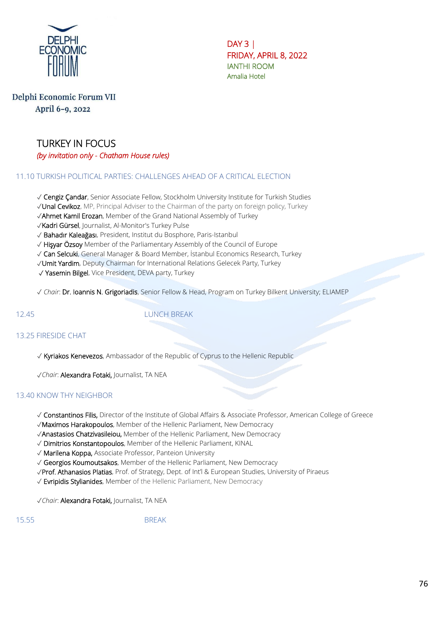

DAY 3 | FRIDAY, APRIL 8, 2022 IANTHI ROOM Amalia Hotel

### Delphi Economic Forum VII April 6-9, 2022

# TURKEY IN FOCUS *(by invitation only - Chatham House rules)*

### 11.10 TURKISH POLITICAL PARTIES: CHALLENGES AHEAD OF A CRITICAL ELECTION

✓ Cengiz Çandar, Senior Associate Fellow, Stockholm University Institute for Turkish Studies

- ✓Unal Cevikoz, MP, Principal Adviser to the Chairman of the party on foreign policy, Turkey
- ✓Ahmet Kamil Erozan, Member of the Grand National Assembly of Turkey

✓Kadri Gürsel, Journalist, Al-Monitor's Turkey Pulse

- ✓ Bahadır Kaleağası, President, Institut du Bosphore, Paris-Istanbul
- ✓ Hişyar Özsoy Member of the Parliamentary Assembly of the Council of Europe
- ✓ Can Selcuki, General Manager & Board Member, İstanbul Economics Research, Turkey
- ✓Umit Yardim, Deputy Chairman for International Relations Gelecek Party, Turkey
- ✓ Yasemin Bilgel, Vice President, DEVA party, Turkey

✓ *Chair*: Dr. Ioannis N. Grigoriadis, Senior Fellow & Head, Program on Turkey Bilkent University; ELIAMEP

12.45 LUNCH BREAK

#### 13.25 FIRESIDE CHAT

✓ Kyriakos Kenevezos, Ambassador of the Republic of Cyprus to the Hellenic Republic

✓*Chair*: Alexandra Fotaki, Journalist, TA NEA

#### 13.40 KNOW THY NEIGHBOR

- ✓ Constantinos Filis, Director of the Institute of Global Affairs & Associate Professor, American College of Greece
- ✓Maximos Harakopoulos, Member of the Hellenic Parliament, New Democracy
- ✓Anastasios Chatzivasileiou, Member of the Hellenic Parliament, New Democracy
- ✓ Dimitrios Konstantopoulos, Member of the Hellenic Parliament, KINAL
- ✓ Marilena Koppa, Associate Professor, Panteion University
- ✓ Georgios Koumoutsakos, Member of the Hellenic Parliament, New Democracy
- ✓Prof. Athanasios Platias, Prof. of Strategy, Dept. of Int'l & European Studies, University of Piraeus
- √ Evripidis Stylianides, Member of the Hellenic Parliament, New Democracy

✓*Chair*: Alexandra Fotaki, Journalist, TA NEA

15.55 BREAK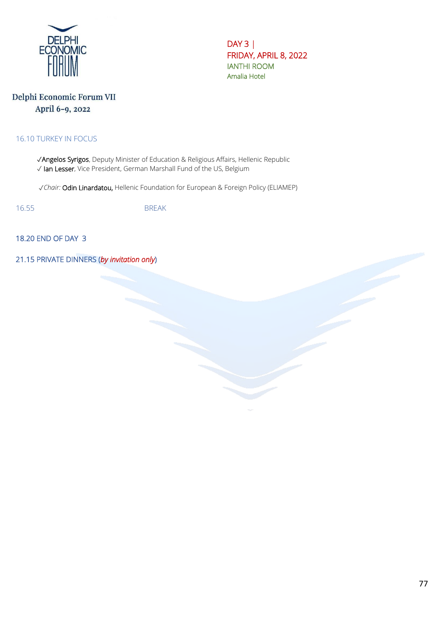

DAY 3 | FRIDAY, APRIL 8, 2022 IANTHI ROOM Amalia Hotel

# Delphi Economic Forum VII April 6-9, 2022

#### 16.10 TURKEY IN FOCUS

✓Angelos Syrigos, Deputy Minister of Education & Religious Affairs, Hellenic Republic ✓ Ian Lesser, Vice President, German Marshall Fund of the US, Belgium

✓*Chair:* Odin Linardatou, Hellenic Foundation for European & Foreign Policy (ELIAMEP)

16.55 BREAK

18.20 END OF DAY 3

21.15 PRIVATE DINNERS (*by invitation only*)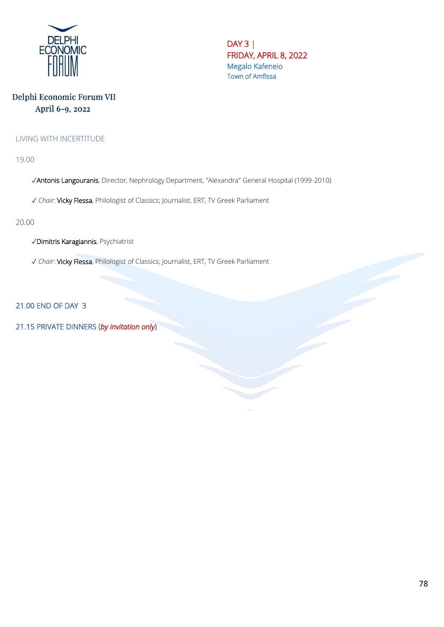

DAY 3 | FRIDAY, APRIL 8, 2022 Megalo Kafeneio Town of Amfissa

# Delphi Economic Forum VII April 6-9, 2022

#### LIVING WITH INCERTITUDE

19.00

✓Antonis Langouranis, Director, Nephrology Department, "Alexandra" General Hospital (1999-2010)

✓ *Chair*: Vicky Flessa, Philologist of Classics; Journalist, ERT, TV Greek Parliament

#### 20.00

✓Dimitris Karagiannis, Psychiatrist

✓ *Chair*: Vicky Flessa, Philologist of Classics; Journalist, ERT, TV Greek Parliament

21.00 END OF DAY 3

21.15 PRIVATE DINNERS (*by invitation only*)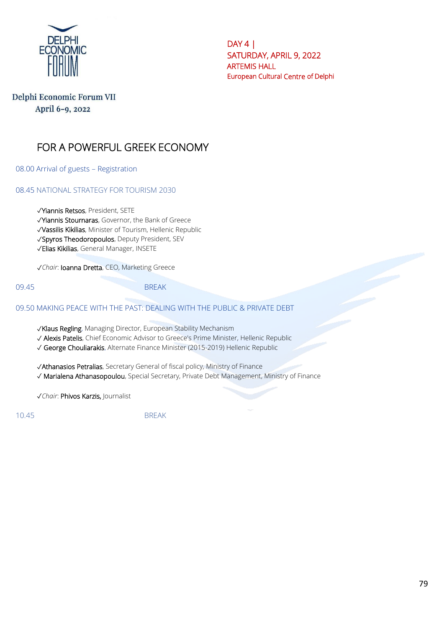

 $DAY 4$ SATURDAY, APRIL 9, 2022 ARTEMIS HALL European Cultural Centre of Delphi

# Delphi Economic Forum VII April 6-9, 2022

# FOR A POWERFUL GREEK ECONOMY

08.00 Arrival of guests – Registration

08.45 NATIONAL STRATEGY FOR TOURISM 2030

✓Yiannis Retsos, President, SETE

✓Yiannis Stournaras, Governor, the Bank of Greece

✓Vassilis Kikilias, Minister of Tourism, Hellenic Republic

✓Spyros Theodoropoulos, Deputy President, SEV

✓Elias Kikilias, General Manager, INSETE

✓*Chair*: Ioanna Dretta, CEO, Marketing Greece

09.45 BREAK

#### 09.50 MAKING PEACE WITH THE PAST: DEALING WITH THE PUBLIC & PRIVATE DEBT

✓Klaus Regling, Managing Director, European Stability Mechanism

✓ Alexis Patelis, Chief Economic Advisor to Greece's Prime Minister, Hellenic Republic

✓ George Chouliarakis, Alternate Finance Minister (2015-2019) Hellenic Republic

✓Athanasios Petralias, Secretary General of fiscal policy, Ministry of Finance

✓ Marialena Athanasopoulou, Special Secretary, Private Debt Management, Ministry of Finance

✓*Chair*: Phivos Karzis, Journalist

10.45 BREAK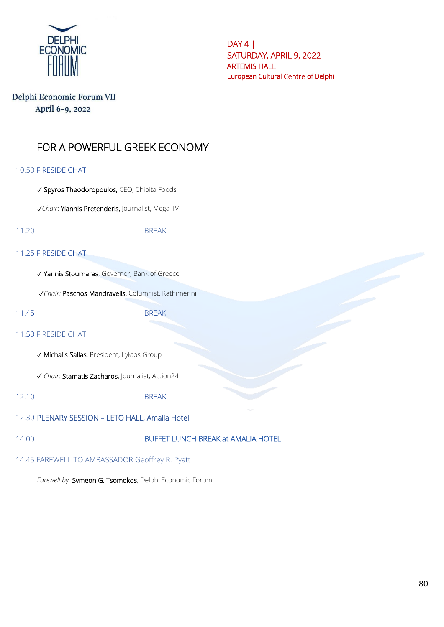

DAY 4 | SATURDAY, APRIL 9, 2022 ARTEMIS HALL European Cultural Centre of Delphi

### Delphi Economic Forum VII April 6-9, 2022

# FOR A POWERFUL GREEK ECONOMY

#### 10.50 FIRESIDE CHAT

✓ Spyros Theodoropoulos, CEO, Chipita Foods

✓*Chair*: Yiannis Pretenderis, Journalist, Mega TV

11.20 BREAK

#### 11.25 FIRESIDE CHAT

✓ Yannis Stournaras, Governor, Bank of Greece

✓*Chair:* Paschos Mandravelis, Columnist, Kathimerini

11.45 BREAK

#### 11.50 FIRESIDE CHAT

✓ Michalis Sallas, President, Lyktos Group

✓ *Chair*: Stamatis Zacharos, Journalist, Action24

12.10 BREAK

12.30 PLENARY SESSION – LETO HALL, Amalia Hotel

### 14.00 BUFFET LUNCH BREAK at AMALIA HOTEL

14.45 FAREWELL TO AMBASSADOR Geoffrey R. Pyatt

*Farewell by:* Symeon G. Tsomokos, Delphi Economic Forum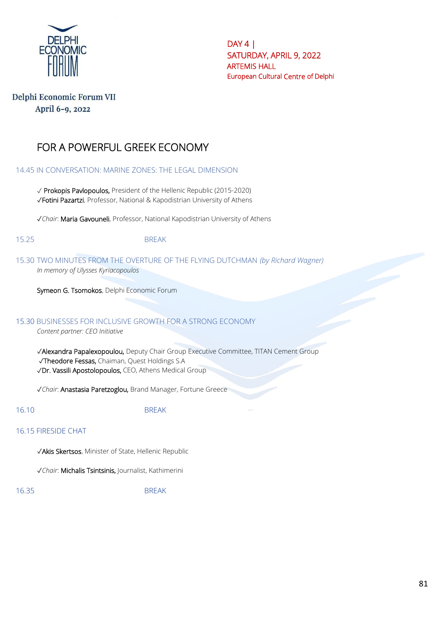

DAY 4 | SATURDAY, APRIL 9, 2022 ARTEMIS HALL European Cultural Centre of Delphi

### Delphi Economic Forum VII April 6-9, 2022

# FOR A POWERFUL GREEK ECONOMY

14.45 IN CONVERSATION: MARINE ZONES: THE LEGAL DIMENSION

✓ Prokopis Pavlopoulos, President of the Hellenic Republic (2015-2020) ✓Fotini Pazartzi, Professor, National & Kapodistrian University of Athens

✓*Chair*: Maria Gavouneli, Professor, National Kapodistrian University of Athens

15.25 BREAK

15.30 TWO MINUTES FROM THE OVERTURE OF THE FLYING DUTCHMAN *(by Richard Wagner) In memory of Ulysses Kyriacopoulos*

Symeon G. Tsomokos, Delphi Economic Forum

#### 15.30 BUSINESSES FOR INCLUSIVE GROWTH FOR A STRONG ECONOMY

*Content partner: CEO Initiative*

 ✓Alexandra Papalexopoulou, Deputy Chair Group Executive Committee, TITAN Cement Group ✓Theodore Fessas, Chaiman, Quest Holdings S.A ✓Dr. Vassili Apostolopoulos, CEO, Athens Medical Group

✓*Chair*: Anastasia Paretzoglou, Brand Manager, Fortune Greece

16.10 BREAK

#### 16.15 FIRESIDE CHAT

✓Akis Skertsos, Minister of State, Hellenic Republic

✓*Chair*: Michalis Tsintsinis, Journalist, Kathimerini

16.35 BREAK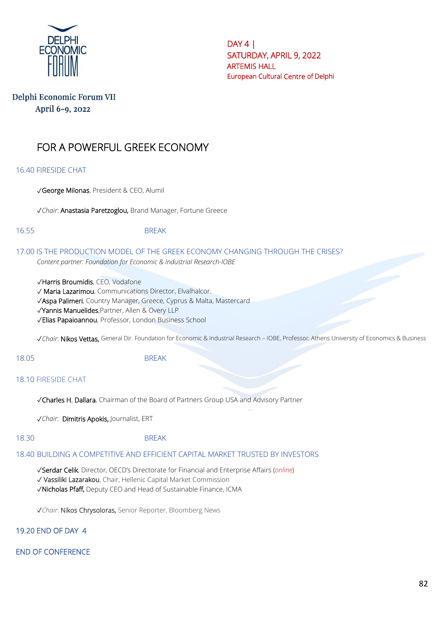

DAY 4 | SATURDAY, APRIL 9, 2022 ARTEMIS HALL European Cultural Centre of Delphi

# Delphi Economic Forum VII April 6-9, 2022

# FOR A POWERFUL GREEK ECONOMY

16.40 FIRESIDE CHAT

✓George Milonas, President & CEO, Alumil

✓*Chair*: Anastasia Paretzoglou, Brand Manager, Fortune Greece

16.55 BREAK

17.00 IS THE PRODUCTION MODEL OF THE GREEK ECONOMY CHANGING THROUGH THE CRISES? *Content partner: Foundation for Economic & Industrial Research-IOBE*

✓Harris Broumidis, CEO, Vodafone

✓ Maria Lazarimou, Communications Director, Elvalhalcor.

✓Aspa Palimeri, Country Manager, Greece, Cyprus & Malta, Mastercard

✓Yannis Manuelides,Partner, Allen & Overy LLP

✓Elias Papaioannou, Professor, London Business School

✓*Chair*: Nikos Vettas, General Dir. Foundation for Economic & Industrial Research – IOBE, Professor, Athens University of Economics & Business

#### 18.05 BREAK

#### 18.10 FIRESIDE CHAT

✓Charles H. Dallara, Chairman of the Board of Partners Group USA and Advisory Partner

✓*Chair*: Dimitris Apokis, Journalist, ERT

#### 18.30 BREAK

#### 18.40 BUILDING A COMPETITIVE AND EFFICIENT CAPITAL MARKET TRUSTED BY INVESTORS

✓Serdar Celik, Director, OECD's Directorate for Financial and Enterprise Affairs (*online*) ✓ Vassiliki Lazarakou, Chair, Hellenic Capital Market Commission ✓Nicholas Pfaff, Deputy CEO and Head of Sustainable Finance, ICMA

✓*Chair*: Nikos Chrysoloras, Senior Reporter, Bloomberg News

19.20 END OF DAY 4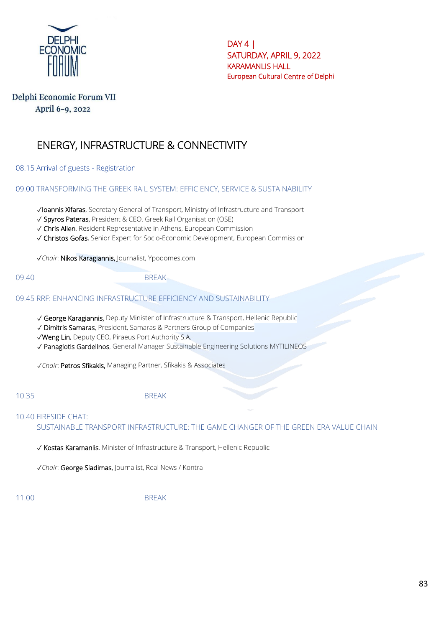

 $DAY 4$ SATURDAY, APRIL 9, 2022 KARAMANLIS HALL European Cultural Centre of Delphi

# Delphi Economic Forum VII April 6-9, 2022

# ENERGY, INFRASTRUCTURE & CONNECTIVITY

08.15 Arrival of guests - Registration

09.00 TRANSFORMING THE GREEK RAIL SYSTEM: EFFICIENCY, SERVICE & SUSTAINABILITY

✓Ioannis Xifaras, Secretary General of Transport, Ministry of Infrastructure and Transport

✓ Spyros Pateras, President & CEO, Greek Rail Organisation (OSE)

✓ Chris Allen, Resident Representative in Athens, European Commission

✓ Christos Gofas, Senior Expert for Socio-Economic Development, European Commission

✓*Chair*: Nikos Karagiannis, Journalist, Ypodomes.com

09.40 BREAK

09.45 RRF: ENHANCING INFRASTRUCTURE EFFICIENCY AND SUSTAINABILITY

✓ George Karagiannis, Deputy Minister of Infrastructure & Transport, Hellenic Republic

✓ Dimitris Samaras, President, Samaras & Partners Group of Companies

✓Weng Lin, Deputy CEO, Piraeus Port Authority S.A.

✓ Panagiotis Gardelinos, General Manager Sustainable Engineering Solutions MYTILINEOS

✓*Chair*: Petros Sfikakis, Managing Partner, Sfikakis & Associates

10.35 BREAK

#### 10.40 FIRESIDE CHAT:

SUSTAINABLE TRANSPORT INFRASTRUCTURE: THE GAME CHANGER OF THE GREEN ERA VALUE CHAIN

✓ Kostas Karamanlis, Minister of Infrastructure & Transport, Hellenic Republic

✓*Chair*: George Siadimas, Journalist, Real News / Kontra

11.00 BREAK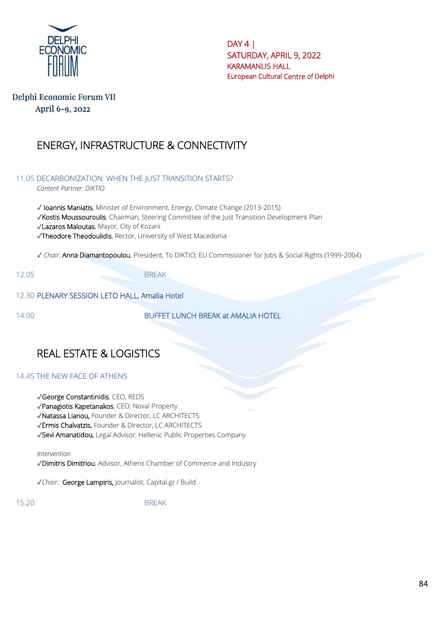

DAY 4 | SATURDAY, APRIL 9, 2022 KARAMANLIS HALL European Cultural Centre of Delphi

### Delphi Economic Forum VII April 6-9, 2022

# ENERGY, INFRASTRUCTURE & CONNECTIVITY

11.05 DECARBONIZATION: WHEN THE JUST TRANSITION STARTS?

*Content Partner: DIKTIO*

✓ Ioannis Maniatis, Minister of Environment, Energy, Climate Change (2013-2015) ✓Kostis Moussouroulis, Chairman, Steering Committee of the Just Transition Development Plan ✓Lazaros Maloutas, Mayor, City of Kozani ✓Theodore Theodoulidis, Rector, University of West Macedonia

✓ *Chair*: Anna Diamantopoulou, President, To DIKTIO; EU Commissioner for Jobs & Social Rights (1999-2004)

12.05 BREAK

12.30 PLENARY SESSION LETO HALL, Amalia Hotel

14.00 BUFFET LUNCH BREAK at AMALIA HOTEL

# REAL ESTATE & LOGISTICS

#### 14.45 THE NEW FACE OF ATHENS

- ✓George Constantinidis, CEO, REDS
- ✓Panagiotis Kapetanakos, CEO, Noval Property
- ✓Natassa Lianou, Founder & Director, LC ARCHITECTS
- ✓Ermis Chalvatzis, Founder & Director, LC ARCHITECTS
- ✓Sevi Amanatidou, Legal Advisor, Hellenic Public Properties Company

*Intervention*

✓Dimitris Dimitriou, Advisor, Athens Chamber of Commerce and Industry

✓*Chair:* George Lampiris, Journalist, Capital.gr / Build

15.20 BREAK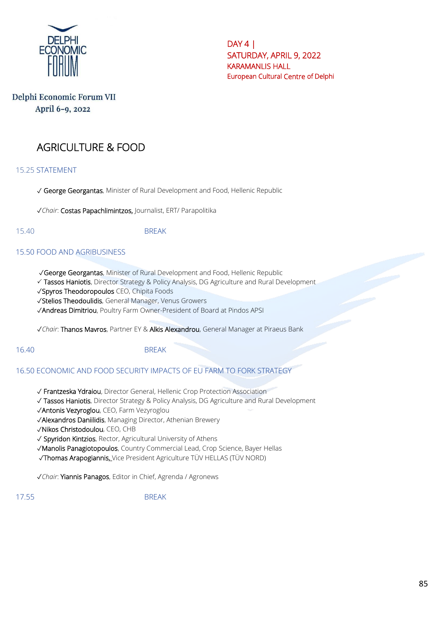

 $DAY 4$ SATURDAY, APRIL 9, 2022 KARAMANLIS HALL European Cultural Centre of Delphi

# Delphi Economic Forum VII April 6-9, 2022

# AGRICULTURE & FOOD

15.25 STATEMENT

✓ George Georgantas, Minister of Rural Development and Food, Hellenic Republic

✓*Chair*: Costas Papachlimintzos, Journalist, ERT/ Parapolitika

15.40 BREAK

#### 15.50 FOOD AND AGRIBUSINESS

✓George Georgantas, Minister of Rural Development and Food, Hellenic Republic

Tassos Haniotis, Director Strategy & Policy Analysis, DG Agriculture and Rural Development

✓Spyros Theodoropoulos CEO, Chipita Foods

✓Stelios Theodoulidis, General Manager, Venus Growers

✓Andreas Dimitriou, Poultry Farm Owner-President of Board at Pindos APSI

✓*Chair*: Thanos Mavros, Partner EY & Alkis Alexandrou, General Manager at Piraeus Bank

16.40 BREAK

#### 16.50 ECONOMIC AND FOOD SECURITY IMPACTS OF EU FARM TO FORK STRATEGY

✓ Frantzeska Ydraiou, Director General, Hellenic Crop Protection Association

✓ Tassos Haniotis, Director Strategy & Policy Analysis, DG Agriculture and Rural Development

✓Antonis Vezyroglou, CEO, Farm Vezyroglou

✓Alexandros Daniilidis, Managing Director, Athenian Brewery

✓Nikos Christodoulou, CEO, CHB

✓ Spyridon Kintzios, Rector, Agricultural University of Athens

✓Manolis Panagiotopoulos, Country Commercial Lead, Crop Science, Bayer Hellas

✓Τhomas Arapogiannis, Vice President Agriculture TÜV HELLAS (TÜV NORD)

✓*Chair*: Yiannis Panagos, Editor in Chief, Agrenda / Agronews

17.55 BREAK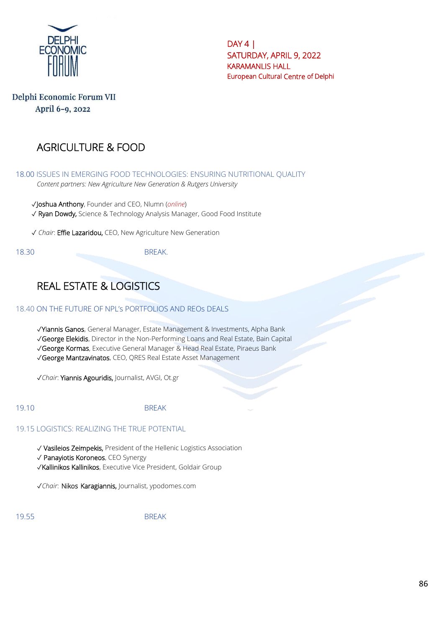

 $DAY 4$ SATURDAY, APRIL 9, 2022 KARAMANLIS HALL European Cultural Centre of Delphi

# Delphi Economic Forum VII April 6-9, 2022

# AGRICULTURE & FOOD

18.00 ISSUES IN EMERGING FOOD TECHNOLOGIES: ENSURING NUTRITIONAL QUALITY *Content partners: New Agriculture New Generation & Rutgers University*

✓Joshua Anthony, Founder and CEO, Nlumn (*online*) ✓ Ryan Dowdy, Science & Technology Analysis Manager, Good Food Institute

✓ *Chair*: Effie Lazaridou, CEO, New Agriculture New Generation

18.30 BRFAK

# REAL ESTATE & LOGISTICS

#### 18.40 ON THE FUTURE OF NPL's PORTFOLIOS AND REOs DEALS

✓Yiannis Ganos, General Manager, Estate Management & Investments, Alpha Bank

✓George Elekidis, Director in the Non-Performing Loans and Real Estate, Bain Capital

✓George Kormas, Executive General Manager & Head Real Estate, Piraeus Bank

✓George Mantzavinatos, CEO, QRES Real Estate Asset Management

✓*Chair*: Yiannis Agouridis, Journalist, AVGI, Ot.gr

#### 19.10 BREAK

#### 19.15 LOGISTICS: REALIZING THE TRUE POTENTIAL

✓ Vasileios Zeimpekis, President of the Hellenic Logistics Association

✓ Panayiotis Koroneos, CEO Synergy

✓Kallinikos Kallinikos, Executive Vice President, Goldair Group

✓*Chair*: Nikos Karagiannis, Journalist, ypodomes.com

19.55 BREAK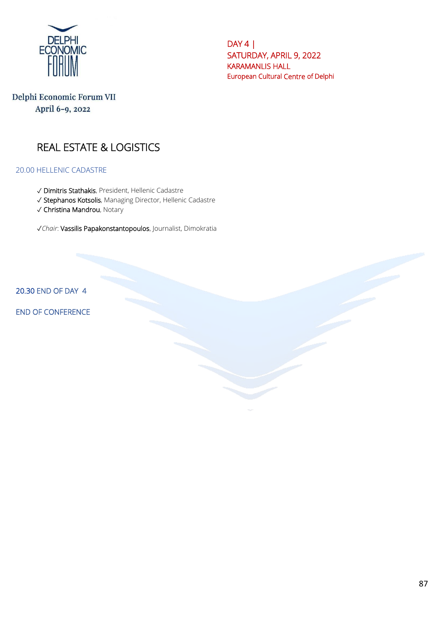

DAY 4 | SATURDAY, APRIL 9, 2022 KARAMANLIS HALL European Cultural Centre of Delphi

Delphi Economic Forum VII April 6-9, 2022

# REAL ESTATE & LOGISTICS

20.00 HELLENIC CADASTRE

- ✓ Dimitris Stathakis, President, Hellenic Cadastre
- ✓ Stephanos Kotsolis, Managing Director, Hellenic Cadastre
- ✓ Christina Mandrou, Notary

✓*Chair*: Vassilis Papakonstantopoulos, Journalist, Dimokratia

20.30 END OF DAY 4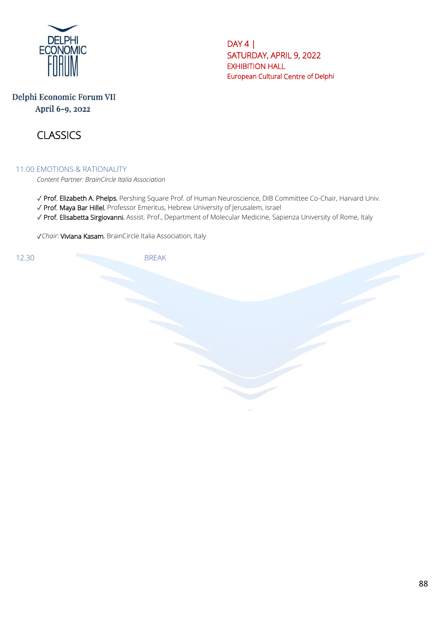

DAY 4 | SATURDAY, APRIL 9, 2022 EXHIBITION HALL European Cultural Centre of Delphi

# Delphi Economic Forum VII April 6-9, 2022



#### 11.00 EMOTIONS & RATIONALITY

*Content Partner: BrainCircle Italia Association*

- ✓ Prof. Elizabeth A. Phelps, Pershing Square Prof. of Human Neuroscience, DIB Committee Co-Chair, Harvard Univ.
- ✓ Prof. Maya Bar Hillel, Professor Emeritus, Hebrew University of Jerusalem, Israel
- ✓ Prof. Elisabetta Sirgiovanni, Assist. Prof., Department of Molecular Medicine, Sapienza University of Rome, Italy

✓*Chair*: Viviana Kasam, BrainCircle Italia Association, Italy

12.30 BRFAK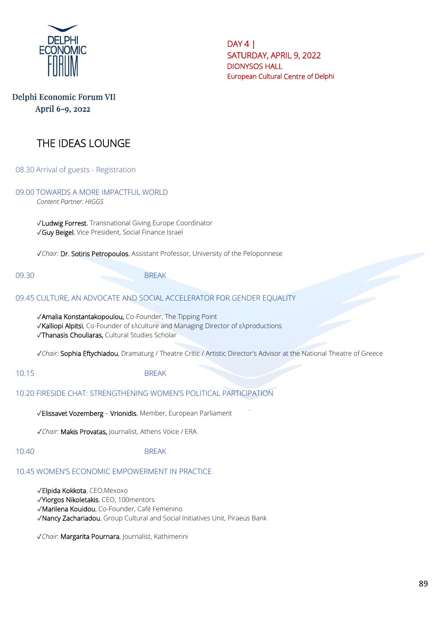

 $DAY 4$ SATURDAY, APRIL 9, 2022 DIONYSOS HALL European Cultural Centre of Delphi

# Delphi Economic Forum VII April 6-9, 2022

# THE IDEAS LOUNGE

08.30 Arrival of guests - Registration

09.00 TOWARDS A MORE IMPACTFUL WORLD

*Content Partner: HIGGS*

✓Ludwig Forrest, Transnational Giving Europe Coordinator ✓Guy Beigel, Vice President, Social Finance Israel

✓*Chair:* Dr. Sotiris Petropoulos, Assistant Professor, University of the Peloponnese

09.30 BREAK

#### 09.45 CULTURE, AN ADVOCATE AND SOCIAL ACCELERATOR FOR GENDER EQUALITY

✓Amalia Konstantakopoulou, Co-Founder, The Tipping Point

✓Kalliopi Alpitsi, Co-Founder of ελculture and Managing Director of ελproductions

✓Thanasis Chouliaras, Cultural Studies Scholar

✓*Chair:* Sophia Eftychiadou, Dramaturg / Theatre Critic / Artistic Director's Advisor at the National Theatre of Greece

10.15 BREAK

#### 10.20 FIRESIDE CHAT: STRENGTHENING WOMEN'S POLITICAL PARTICIPATION

✓Elissavet Vozemberg – Vrionidis, Member, European Parliament

✓*Chair:* Makis Provatas, Journalist, Athens Voice / ERA

#### 10.40 BREAK

#### 10.45 WOMEN'S ECONOMIC EMPOWERMENT IN PRACTICE

- ✓Elpida Kokkota, CEO,Mexoxo
- ✓Yiorgos Nikoletakis, CEO, 100mentors

✓Marilena Kouidou, Co-Founder, Café Femenino

✓Nancy Zachariadou, Group Cultural and Social Initiatives Unit, Piraeus Bank

✓*Chair*: Margarita Pournara, Journalist, Kathimerini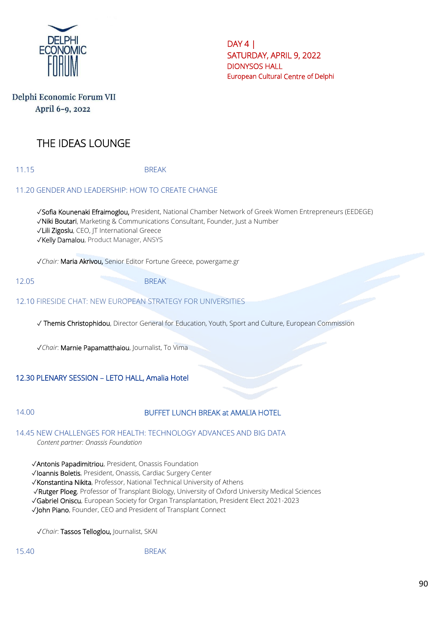

DAY 4 | SATURDAY, APRIL 9, 2022 DIONYSOS HALL European Cultural Centre of Delphi

# Delphi Economic Forum VII April 6-9, 2022

# THE IDEAS LOUNGE

11.15 BREAK

### 11.20 GENDER AND LEADERSHIP: HOW TO CREATE CHANGE

✓Sofia Kounenaki Efraimoglou, President, National Chamber Network of Greek Women Entrepreneurs (EEDEGE) ✓Niki Boutari, Marketing & Communications Consultant, Founder, Just a Number ✓Lili Zigoslu, CEO, JT International Greece ✓Kelly Damalou, Product Manager, ANSYS

✓*Chair:* Maria Akrivou, Senior Editor Fortune Greece, powergame.gr

12.05 BRFAK

### 12.10 FIRESIDE CHAT: NEW EUROPEAN STRATEGY FOR UNIVERSITIES

✓ Themis Christophidou, Director General for Education, Youth, Sport and Culture, European Commission

✓*Chair*: Marnie Papamatthaiou, Journalist, To Vima

### 12.30 PLENARY SESSION – LETO HALL, Amalia Hotel

### 14.00 BUFFET LUNCH BREAK at AMALIA HOTEL

14.45 NEW CHALLENGES FOR HEALTH: TECHNOLOGY ADVANCES AND BIG DATA *Content partner: Onassis Foundation*

✓Antonis Papadimitriou, President, Onassis Foundation

✓Ioannis Boletis, President, Onassis, Cardiac Surgery Center

✓Konstantina Nikita, Professor, National Technical University of Athens

✓Rutger Ploeg, Professor of Transplant Biology, University of Oxford University Medical Sciences

✓Gabriel Oniscu, European Society for Organ Transplantation, President Elect 2021-2023

✓John Piano, Founder, CEO and President of Transplant Connect

✓*Chair*: Tassos Telloglou, Journalist, SKAI

15.40 BREAK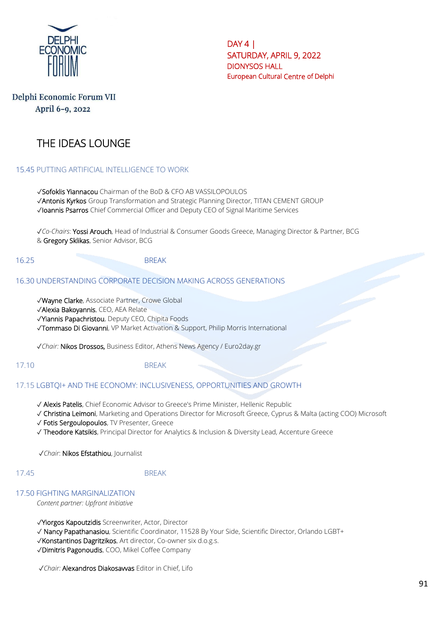

DAY 4 | SATURDAY, APRIL 9, 2022 DIONYSOS HALL European Cultural Centre of Delphi

# Delphi Economic Forum VII April 6-9, 2022

# THE IDEAS LOUNGE

#### 15.45 PUTTING ARTIFICIAL INTELLIGENCE TO WORK

✓Sofoklis Yiannacou Chairman of the BoD & CFO AB VASSILOPOULOS ✓Antonis Kyrkos Group Transformation and Strategic Planning Director, TITAN CEMENT GROUP ✓Ioannis Psarros Chief Commercial Officer and Deputy CEO of Signal Maritime Services

✓*Co-Chairs*: Yossi Arouch, Head of Industrial & Consumer Goods Greece, Managing Director & Partner, BCG & Gregory Sklikas, Senior Advisor, BCG

#### 16.25 BREAK

#### 16.30 UNDERSTANDING CORPORATE DECISION MAKING ACROSS GENERATIONS

✓Wayne Clarke, Associate Partner, Crowe Global

✓Alexia Bakoyannis, CEO, AEA Relate

✓Yiannis Papachristou, Deputy CEO, Chipita Foods

✓Tommaso Di Giovanni, VP Market Activation & Support, Philip Morris International

✓*Chair:* Nikos Drossos, Business Editor, Athens News Agency / Euro2day.gr

#### 17.10 BREAK

#### 17.15 LGBTQI+ AND THE ECONOMY: INCLUSIVENESS, OPPORTUNITIES AND GROWTH

- √ Alexis Patelis, Chief Economic Advisor to Greece's Prime Minister, Hellenic Republic
- ✓ Christina Leimoni, Marketing and Operations Director for Microsoft Greece, Cyprus & Malta (acting COO) Microsoft
- ✓ Fotis Sergoulopoulos, TV Presenter, Greece
- ✓ Theodore Katsikis, Principal Director for Analytics & Inclusion & Diversity Lead, Accenture Greece

✓*Chair*: Nikos Efstathiou, Journalist

#### 17.45 BREAK

#### 17.50 FIGHTING MARGINALIZATION

*Content partner: Upfront Initiative*

✓Yiorgos Kapoutzidis Screenwriter, Actor, Director

✓ Nancy Papathanasiou, Scientific Coordinator, 11528 By Your Side, Scientific Director, Orlando LGBT+

✓Konstantinos Dagritzikos, Art director, Co-owner six d.o.g.s.

✓Dimitris Pagonoudis, COO, Mikel Coffee Company

✓*Chair:* Alexandros Diakosavvas Editor in Chief, Lifo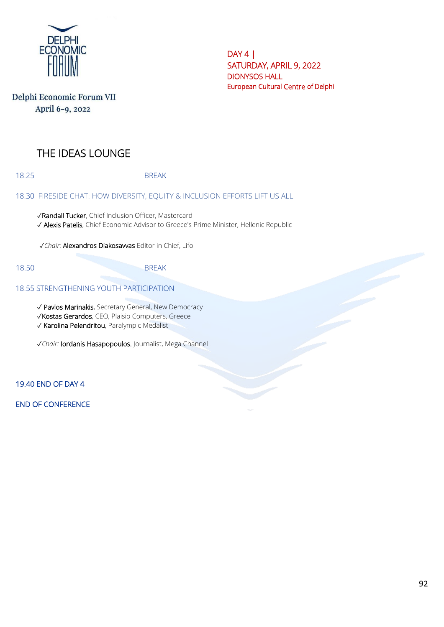

DAY 4 | SATURDAY, APRIL 9, 2022 DIONYSOS HALL European Cultural Centre of Delphi

| Delphi Economic Forum VII |  |
|---------------------------|--|
| April 6-9, 2022           |  |

# THE IDEAS LOUNGE

18.25 BREAK

#### 18.30 FIRESIDE CHAT: HOW DIVERSITY, EQUITY & INCLUSION EFFORTS LIFT US ALL

✓Randall Tucker, Chief Inclusion Officer, Mastercard ✓ Alexis Patelis, Chief Economic Advisor to Greece's Prime Minister, Hellenic Republic

✓*Chair:* Alexandros Diakosavvas Editor in Chief, Lifo

### 18.50 BREAK

### 18.55 STRENGTHENING YOUTH PARTICIPATION

✓ Pavlos Marinakis, Secretary General, New Democracy ✓Kostas Gerardos, CEO, Plaisio Computers, Greece

✓ Karolina Pelendritou, Paralympic Medalist

✓*Chair:* Iordanis Hasapopoulos. Journalist, Mega Channel

19.40 END OF DAY 4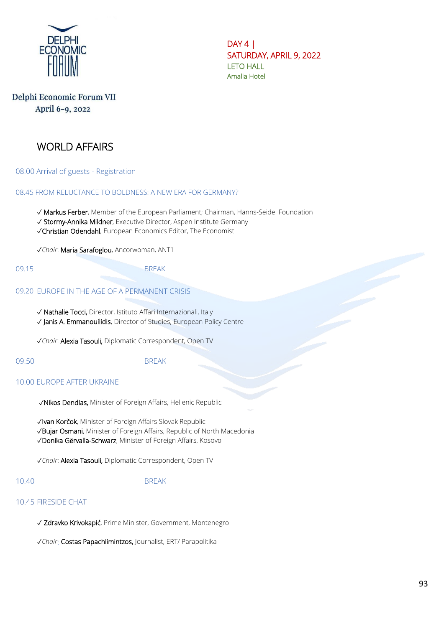

# Delphi Economic Forum VII April 6-9, 2022

# WORLD AFFAIRS

08.00 Arrival of guests - Registration

#### 08.45 FROM RELUCTANCE TO BOLDNESS: A NEW ERA FOR GERMANY?

✓ Markus Ferber, Member of the European Parliament; Chairman, Hanns-Seidel Foundation

✓ Stormy-Annika Mildner, Executive Director, Aspen Institute Germany

✓Christian Odendahl, European Economics Editor, The Economist

✓*Chair*: Maria Sarafoglou, Ancorwoman, ANT1

#### 09.15 BREAK

#### 09.20 EUROPE IN THE AGE OF A PERMANENT CRISIS

✓ Nathalie Tocci, Director, Istituto Affari Internazionali, Italy ✓ Janis A. Emmanouilidis, Director of Studies, European Policy Centre

✓*Chair*: Alexia Tasouli, Diplomatic Correspondent, Open TV

### 09.50 BREAK

#### 10.00 EUROPE AFTER UKRAINE

✓Nikos Dendias, Minister of Foreign Affairs, Hellenic Republic

✓Ivan Korčok, Minister of Foreign Affairs Slovak Republic ✓Bujar Osmani, Minister of Foreign Affairs, Republic of North Macedonia

✓Donika Gërvalla-Schwarz, Minister of Foreign Affairs, Kosovo

✓*Chair*: Alexia Tasouli, Diplomatic Correspondent, Open TV

#### 10.40 BREAK

#### 10.45 FIRESIDE CHAT

✓ Zdravko Krivokapić, Prime Minister, Government, Montenegro

✓*Chair*: Costas Papachlimintzos, Journalist, ERT/ Parapolitika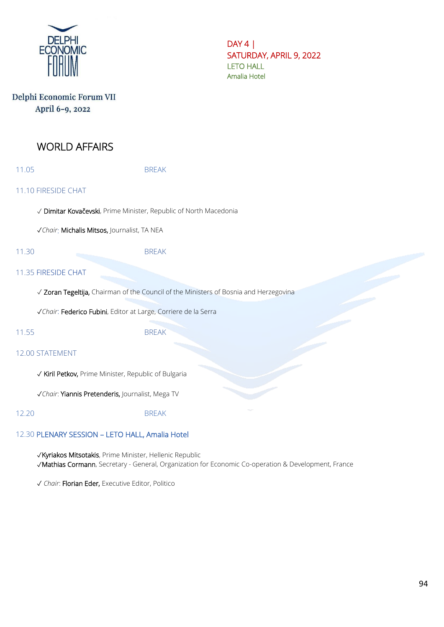

# Delphi Economic Forum VII April 6-9, 2022

# WORLD AFFAIRS

11.05 BREAK

### 11.10 FIRESIDE CHAT

✓ Dimitar Kovačevski, Prime Minister, Republic of North Macedonia

✓*Chair*: Michalis Mitsos, Journalist, TA NEA

11.30 BREAK

#### 11.35 FIRESIDE CHAT

✓ Zoran Tegeltija, Chairman of the Council of the Ministers of Bosnia and Herzegovina

✓*Chair*: Federico Fubini, Editor at Large, Corriere de la Serra

#### 11.55 BREAK

#### 12.00 STATEMENT

✓ Kiril Petkov, Prime Minister, Republic of Bulgaria

✓*Chair*: Yiannis Pretenderis, Journalist, Mega TV

12.20 BREAK

#### 12.30 PLENARY SESSION – LETO HALL, Amalia Hotel

✓Kyriakos Mitsotakis, Prime Minister, Hellenic Republic ✓Mathias Cormann, Secretary - General, Organization for Economic Co-operation & Development, France

✓ *Chair*: Florian Eder, Executive Editor, Politico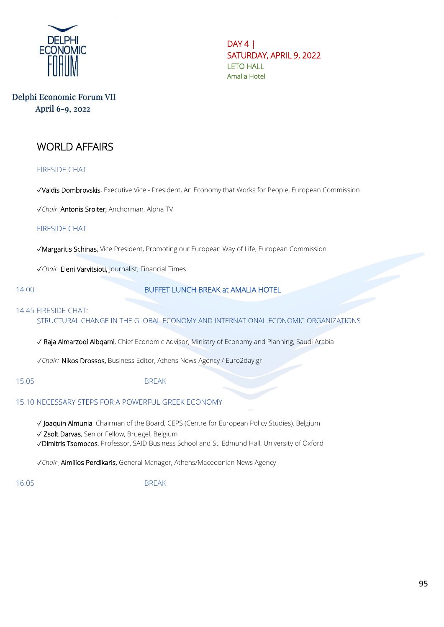

# Delphi Economic Forum VII April 6-9, 2022

# WORLD AFFAIRS

FIRESIDE CHAT

✓Valdis Dombrovskis, Executive Vice - President, An Economy that Works for People, European Commission

✓*Chair*: Antonis Sroiter, Anchorman, Alpha TV

FIRESIDE CHAT

✓Margaritis Schinas, Vice President, Promoting our European Way of Life, European Commission

✓*Chair*: Eleni Varvitsioti, Journalist, Financial Times

14.00 BUFFET LUNCH BREAK at AMALIA HOTEL

#### 14.45 FIRESIDE CHAT:

STRUCTURAL CHANGE IN THE GLOBAL ECONOMY AND INTERNATIONAL ECONOMIC ORGANIZATIONS

✓ Raja Almarzoqi Albqami, Chief Economic Advisor, Ministry of Economy and Planning, Saudi Arabia

✓*Chair:* Nikos Drossos, Business Editor, Athens News Agency / Euro2day.gr

#### 15.05 BREAK

#### 15.10 NECESSARY STEPS FOR A POWERFUL GREEK ECONOMY

✓ Joaquin Almunia, Chairman of the Board, CEPS (Centre for European Policy Studies), Belgium ✓ Zsolt Darvas, Senior Fellow, Bruegel, Belgium ✓Dimitris Tsomocos, Professor, SAÏD Business School and St. Edmund Hall, University of Oxford

✓*Chair*: Aimilios Perdikaris, General Manager, Athens/Macedonian News Agency

16.05 BREAK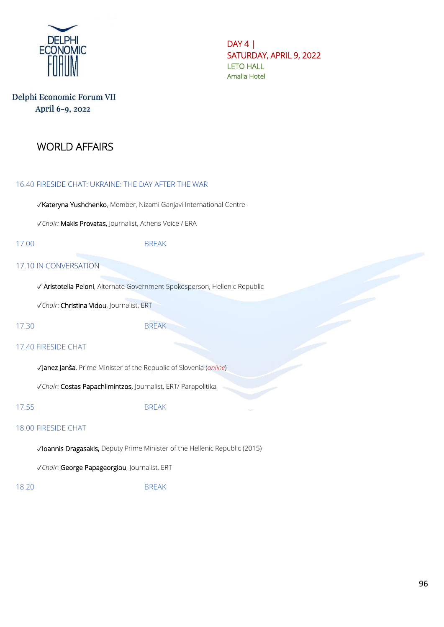

# Delphi Economic Forum VII April 6-9, 2022

# WORLD AFFAIRS

#### 16.40 FIRESIDE CHAT: UKRAINE: THE DAY AFTER THE WAR

✓Kateryna Yushchenko, Member, Nizami Ganjavi International Centre

✓*Chair:* Makis Provatas, Journalist, Athens Voice / ERA

#### 17.00 BREAK

#### 17.10 IN CONVERSATION

✓ Aristotelia Peloni, Alternate Government Spokesperson, Hellenic Republic

✓*Chair*: Christina Vidou, Journalist, ERT

17.30 BREAK

#### 17.40 FIRESIDE CHAT

✓Janez Janša, Prime Minister of the Republic of Slovenia (*online*)

✓*Chair*: Costas Papachlimintzos, Journalist, ERT/ Parapolitika

17.55 BREAK

#### 18.00 FIRESIDE CHAT

✓Ioannis Dragasakis, Deputy Prime Minister of the Hellenic Republic (2015)

✓*Chair*: George Papageorgiou, Journalist, ERT

18.20 BREAK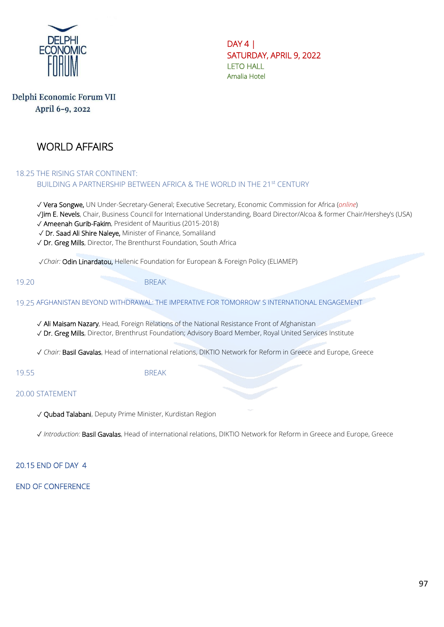

# Delphi Economic Forum VII April 6-9, 2022

# WORLD AFFAIRS

#### 18.25 THE RISING STAR CONTINENT: BUILDING A PARTNERSHIP BETWEEN AFRICA & THE WORLD IN THE 21st CENTURY

✓ Vera Songwe, UN Under-Secretary-General; Executive Secretary, Economic Commission for Africa (*online*) ✓Jim E. Nevels, Chair, Business Council for International Understanding, Board Director/Alcoa & former Chair/Hershey's (USA) ✓ Ameenah Gurib-Fakim, President of Mauritius (2015-2018) ✓ Dr. Saad Ali Shire Naleye, Minister of Finance, Somaliland

✓ Dr. Greg Mills, Director, The Brenthurst Foundation, South Africa

✓*Chair:* Odin Linardatou, Hellenic Foundation for European & Foreign Policy (ELIAMEP)

19.20 BREAK

19.25 AFGHANISTAN BEYOND WITHDRAWAL: THE IMPERATIVE FOR TOMORROW' S INTERNATIONAL ENGAGEMENT

✓ Ali Maisam Nazary, Head, Foreign Relations of the National Resistance Front of Afghanistan

✓ Dr. Greg Mills, Director, Brenthrust Foundation; Advisory Board Member, Royal United Services Institute

✓ *Chair:* Basil Gavalas, Head of international relations, DIKTIO Network for Reform in Greece and Europe, Greece

19.55 BRFAK

### 20.00 STATEMENT

✓ Qubad Talabani, Deputy Prime Minister, Kurdistan Region

✓ *Introduction:* Basil Gavalas, Head of international relations, DIKTIO Network for Reform in Greece and Europe, Greece

### 20.15 END OF DAY 4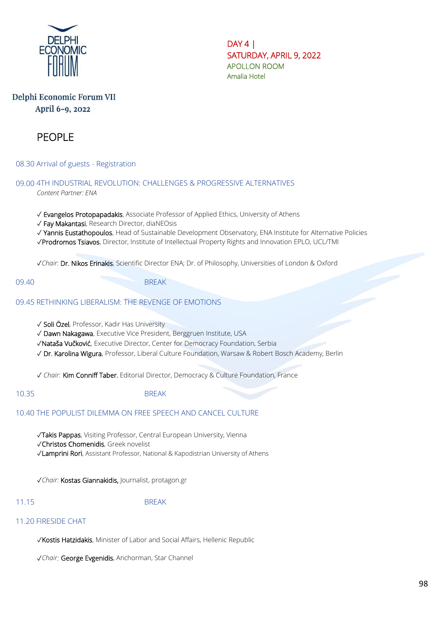

 $DAY 4$ SATURDAY, APRIL 9, 2022 APOLLON ROOM Amalia Hotel

# Delphi Economic Forum VII April 6-9, 2022

# PEOPLE

08.30 Arrival of guests - Registration

09.00 4TH INDUSTRIAL REVOLUTION: CHALLENGES & PROGRESSIVE ALTERNATIVES *Content Partner: ENA*

✓ Evangelos Protopapadakis, Associate Professor of Applied Ethics, University of Athens

✓ Fay Makantasi, Research Director, diaNEOsis

✓ Yannis Eustathopoulos, Head of Sustainable Development Observatory, ENA Institute for Alternative Policies

✓Prodromos Tsiavos, Director, Institute of Intellectual Property Rights and Innovation EPLO, UCL/TMI

✓*Chair*: Dr. Nikos Erinakis, Scientific Director ENA; Dr. of Philosophy, Universities of London & Oxford

09.40 BREAK

#### 09.45 RETHINKING LIBERALISM: THE REVENGE OF EMOTIONS

✓ Soli Özel, Professor, Kadir Has University

✓ Dawn Nakagawa, Executive Vice President, Berggruen Institute, USA

✓Nataša Vučković, Executive Director, Center for Democracy Foundation, Serbia

✓ Dr. Karolina Wigura, Professor, Liberal Culture Foundation, Warsaw & Robert Bosch Academy, Berlin

✓ *Chair:* Kim Conniff Taber, Editorial Director, Democracy & Culture Foundation, France

10.35 BREAK

# 10.40 THE POPULIST DILEMMA ON FREE SPEECH AND CANCEL CULTURE

✓Takis Pappas, Visiting Professor, Central European University, Vienna

✓Christos Chomenidis, Greek novelist

✓Lamprini Rori, Assistant Professor, National & Kapodistrian University of Athens

✓*Chair:* Kostas Giannakidis, Journalist, protagon.gr

# 11.15 BREAK

#### 11.20 FIRESIDE CHAT

✓Kostis Hatzidakis, Minister of Labor and Social Affairs, Hellenic Republic

✓*Chair:* George Evgenidis, Anchorman, Star Channel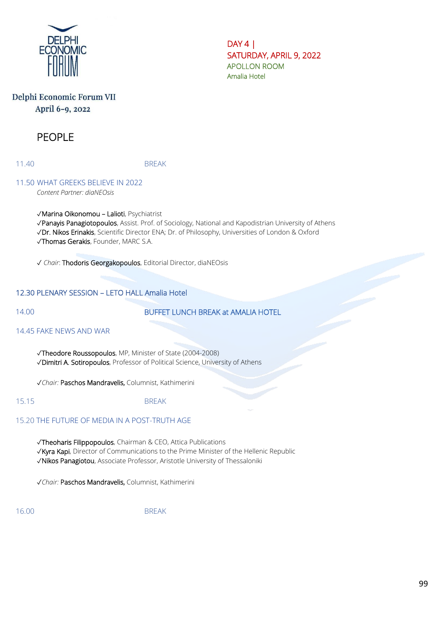

DAY 4 | SATURDAY, APRIL 9, 2022 APOLLON ROOM Amalia Hotel

# Delphi Economic Forum VII April 6-9, 2022

# PEOPLE

11.40 BREAK

#### 11.50 WHAT GREEKS BELIEVE IN 2022 *Content Partner: diaNEOsis*

✓Marina Oikonomou – Lalioti, Psychiatrist ✓Panayis Panagiotopoulos, Assist. Prof. of Sociology, National and Kapodistrian University of Athens ✓Dr. Nikos Erinakis, Scientific Director ENA; Dr. of Philosophy, Universities of London & Oxford ✓Thomas Gerakis, Founder, MARC S.A.

✓ *Chair*: Thodoris Georgakopoulos, Editorial Director, diaNEOsis

### 12.30 PLENARY SESSION – LETO HALL Amalia Hotel

### 14.00 BUFFET LUNCH BREAK at AMALIA HOTEL

#### 14.45 FAKE NEWS AND WAR

✓Theodore Roussopoulos, MP, Minister of State (2004-2008) ✓Dimitri A. Sotiropoulos, Professor of Political Science, University of Athens

✓*Chair:* Paschos Mandravelis, Columnist, Kathimerini

15.15 BREAK

# 15.20 THE FUTURE OF MEDIA IN A POST-TRUTH AGE

✓Theoharis Filippopoulos, Chairman & CEO, Attica Publications

✓Kyra Kapi, Director of Communications to the Prime Minister of the Hellenic Republic

✓Nikos Panagiotou, Associate Professor, Aristotle University of Thessaloniki

✓*Chair:* Paschos Mandravelis, Columnist, Kathimerini

16.00 BREAK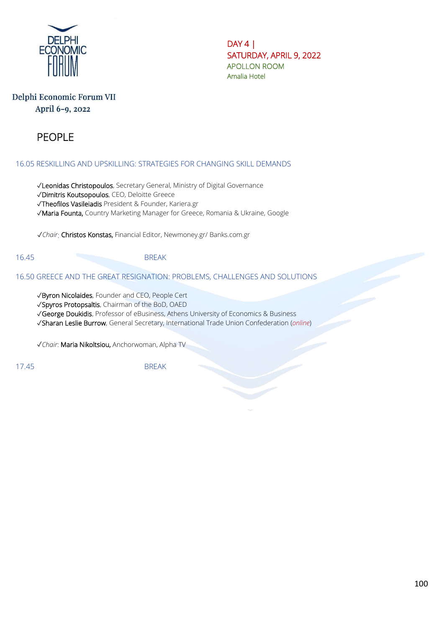

DAY 4 | SATURDAY, APRIL 9, 2022 APOLLON ROOM Amalia Hotel

# Delphi Economic Forum VII April 6-9, 2022

# PEOPLE

16.05 RESKILLING AND UPSKILLING: STRATEGIES FOR CHANGING SKILL DEMANDS

✓Leonidas Christopoulos, Secretary General, Ministry of Digital Governance

✓Dimitris Koutsopoulos, CEO, Deloitte Greece

✓Theofilos Vasileiadis President & Founder, Kariera.gr

✓Maria Founta, Country Marketing Manager for Greece, Romania & Ukraine, Google

✓*Chair*: Christos Konstas, Financial Editor, Newmoney.gr/ Banks.com.gr

16.45 BREAK

16.50 GREECE AND THE GREAT RESIGNATION: PROBLEMS, CHALLENGES AND SOLUTIONS

✓Byron Nicolaides, Founder and CEO, People Cert

✓Spyros Protopsaltis, Chairman of the BoD, OAED

✓George Doukidis, Professor of eBusiness, Athens University of Economics & Business

✓Sharan Leslie Burrow, General Secretary, International Trade Union Confederation (*online*)

✓*Chair*: Maria Nikoltsiou, Anchorwoman, Alpha TV

17.45 BREAK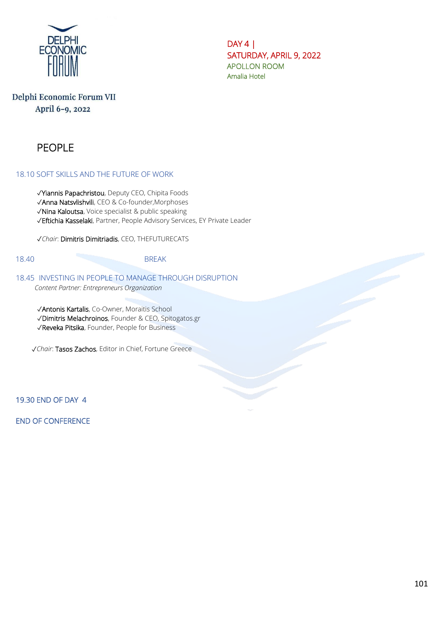

DAY 4 | SATURDAY, APRIL 9, 2022 APOLLON ROOM Amalia Hotel

# Delphi Economic Forum VII April 6-9, 2022

# PEOPLE

#### 18.10 SOFT SKILLS AND THE FUTURE OF WORK

✓Yiannis Papachristou, Deputy CEO, Chipita Foods ✓Anna Natsvlishvili, CEO & Co-founder,Morphoses ✓Nina Kaloutsa, Voice specialist & public speaking

✓Eftichia Kasselaki, Partner, People Advisory Services, EY Private Leader

✓*Chair*: Dimitris Dimitriadis, CEO, THEFUTURECATS

### 18.40 BREAK

#### 18.45 INVESTING IN PEOPLE TO MANAGE THROUGH DISRUPTION *Content Partner: Entrepreneurs Organization*

✓Antonis Kartalis, Co-Owner, Moraitis School ✓Dimitris Melachroinos, Founder & CEO, Spitogatos.gr ✓Reveka Pitsika, Founder, People for Business

✓*Chair*: Tasos Zachos, Editor in Chief, Fortune Greece

19.30 END OF DAY 4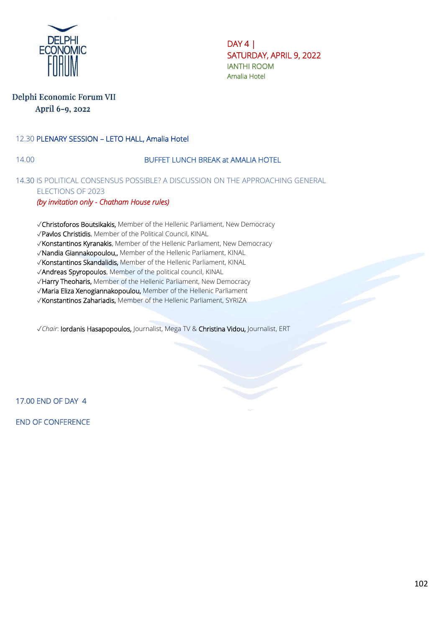

DAY 4 | SATURDAY, APRIL 9, 2022 IANTHI ROOM Amalia Hotel

### Delphi Economic Forum VII April 6-9, 2022

### 12.30 PLENARY SESSION – LETO HALL, Amalia Hotel

### 14.00 BUFFET LUNCH BREAK at AMALIA HOTEL

### 14.30 IS POLITICAL CONSENSUS POSSIBLE? A DISCUSSION ON THE APPROACHING GENERAL ELECTIONS OF 2023

#### *(by invitation only - Chatham House rules)*

- ✓Christoforos Boutsikakis, Member of the Hellenic Parliament, New Democracy
- ✓Pavlos Christidis, Member of the Political Council, KINAL
- ✓Konstantinos Kyranakis, Member of the Hellenic Parliament, New Democracy
- ✓Nandia Giannakopoulou,, Member of the Hellenic Parliament, KINAL
- ✓Konstantinos Skandalidis, Member of the Hellenic Parliament, KINAL
- ✓Andreas Spyropoulos, Member of the political council, KINAL
- ✓Harry Theoharis, Member of the Hellenic Parliament, New Democracy
- ✓Maria Eliza Xenogiannakopoulou, Member of the Hellenic Parliament
- ✓Konstantinos Zahariadis, Member of the Hellenic Parliament, SYRIZA

✓*Chair*: Iordanis Hasapopoulos, Journalist, Mega TV & Christina Vidou, Journalist, ERT

17.00 END OF DAY 4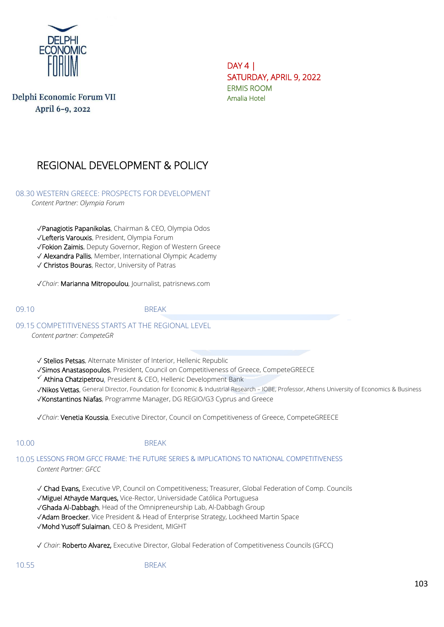

Delphi Economic Forum VII April 6-9, 2022

DAY 4 | SATURDAY, APRIL 9, 2022 ERMIS ROOM Amalia Hotel

# REGIONAL DEVELOPMENT & POLICY

08.30 WESTERN GREECE: PROSPECTS FOR DEVELOPMENT

*Content Partner: Olympia Forum*

✓Panagiotis Papanikolas, Chairman & CEO, Olympia Odos

✓Lefteris Varouxis, President, Olympia Forum

✓Fokion Zaimis, Deputy Governor, Region of Western Greece

✓ Alexandra Pallis, Member, International Olympic Academy

✓ Christos Bouras, Rector, University of Patras

✓*Chair*: Marianna Mitropoulou, Journalist, patrisnews.com

09.10 BREAK

09.15 COMPETITIVENESS STARTS AT THE REGIONAL LEVEL

*Content partner: CompeteGR*

✓ Stelios Petsas, Alternate Minister of Interior, Hellenic Republic

✓Simos Anastasopoulos, President, Council on Competitiveness of Greece, CompeteGREECE

 $\checkmark$  Athina Chatzipetrou, President & CEO, Hellenic Development Bank

✓Nikos Vettas, General Director, Foundation for Economic & Industrial Research – IOBE, Professor, Athens University of Economics & Business

✓Konstantinos Niafas, Programme Manager, DG REGIO/G3 Cyprus and Greece

✓*Chair*: Venetia Koussia, Executive Director, Council on Competitiveness of Greece, CompeteGREECE

#### 10.00 BREAK

10.05 LESSONS FROM GFCC FRAME: THE FUTURE SERIES & IMPLICATIONS TO NATIONAL COMPETITIVENESS *Content Partner: GFCC*

✓ Chad Evans, Executive VP, Council on Competitiveness; Treasurer, Global Federation of Comp. Councils

✓Miguel Athayde Marques, Vice-Rector, Universidade Católica Portuguesa

✓Ghada Al-Dabbagh, Head of the Omnipreneurship Lab, Al-Dabbagh Group

✓Adam Broecker, Vice President & Head of Enterprise Strategy, Lockheed Martin Space

✓Mohd Yusoff Sulaiman, CEO & President, MIGHT

✓ *Chair*: Roberto Alvarez, Executive Director, Global Federation of Competitiveness Councils (GFCC)

10.55 BREAK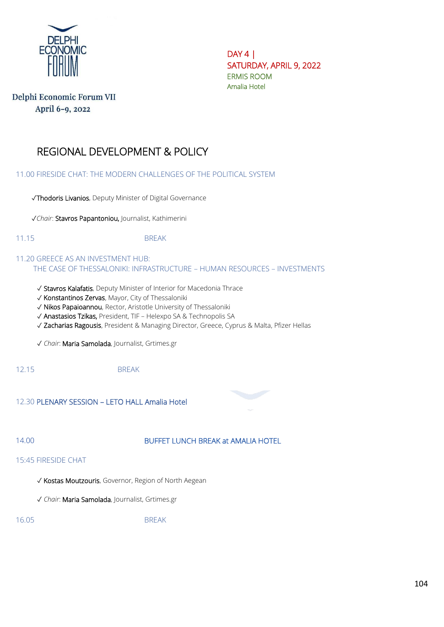

DAY 4 | SATURDAY, APRIL 9, 2022 ERMIS ROOM Amalia Hotel

# Delphi Economic Forum VII April 6-9, 2022

# REGIONAL DEVELOPMENT & POLICY

11.00 FIRESIDE CHAT: THE MODERN CHALLENGES OF THE POLITICAL SYSTEM

✓Thodoris Livanios, Deputy Minister of Digital Governance

✓*Chair*: Stavros Papantoniou, Journalist, Kathimerini

11.15 BREAK

11.20 GREECE AS AN INVESTMENT HUB: THE CASE OF THESSALONIKI: INFRASTRUCTURE – HUMAN RESOURCES – INVESTMENTS

- ✓ Stavros Kalafatis, Deputy Minister of Interior for Macedonia Thrace
- ✓ Konstantinos Zervas, Mayor, City of Thessaloniki
- ✓ Nikos Papaioannou, Rector, Aristotle University of Thessaloniki
- ✓ Anastasios Tzikas, President, TIF Helexpo SA & Technopolis SA
- ✓ Zacharias Ragousis, President & Managing Director, Greece, Cyprus & Malta, Pfizer Hellas

✓ *Chair*: Maria Samolada, Journalist, Grtimes.gr

12.15 BREAK

12.30 PLENARY SESSION – LETO HALL Amalia Hotel

### 14.00 BUFFET LUNCH BREAK at AMALIA HOTEL

15:45 FIRESIDE CHAT

- ✓ Kostas Moutzouris, Governor, Region of North Aegean
- ✓ *Chair*: Maria Samolada, Journalist, Grtimes.gr

16.05 BREAK